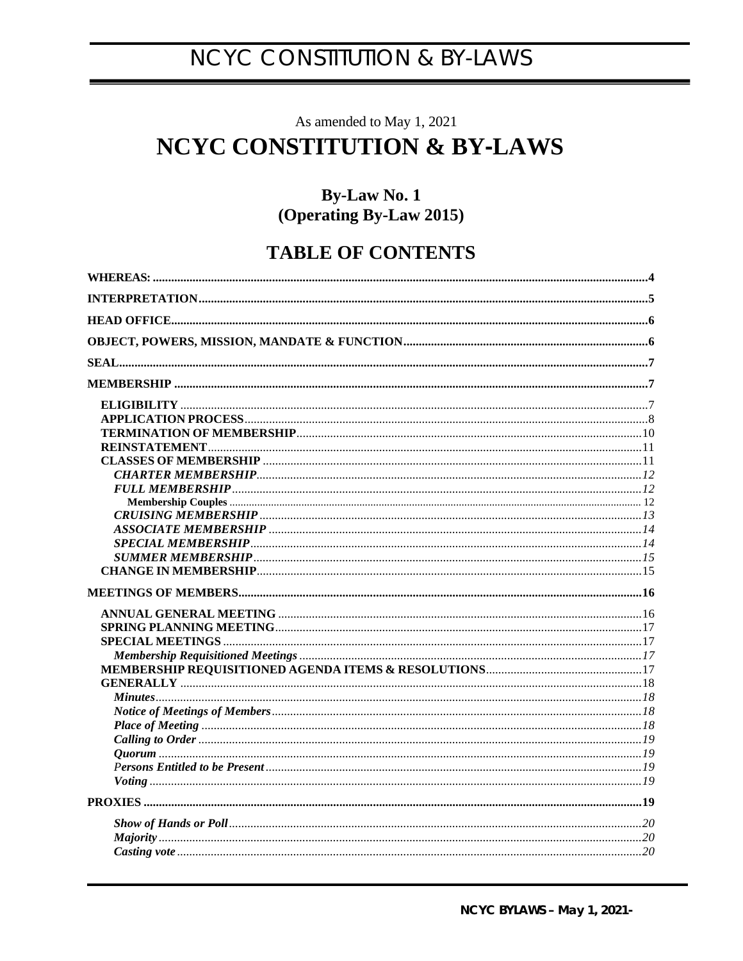## As amended to May 1, 2021 **NCYC CONSTITUTION & BY-LAWS**

## **By-Law No. 1** (Operating By-Law 2015)

## **TABLE OF CONTENTS**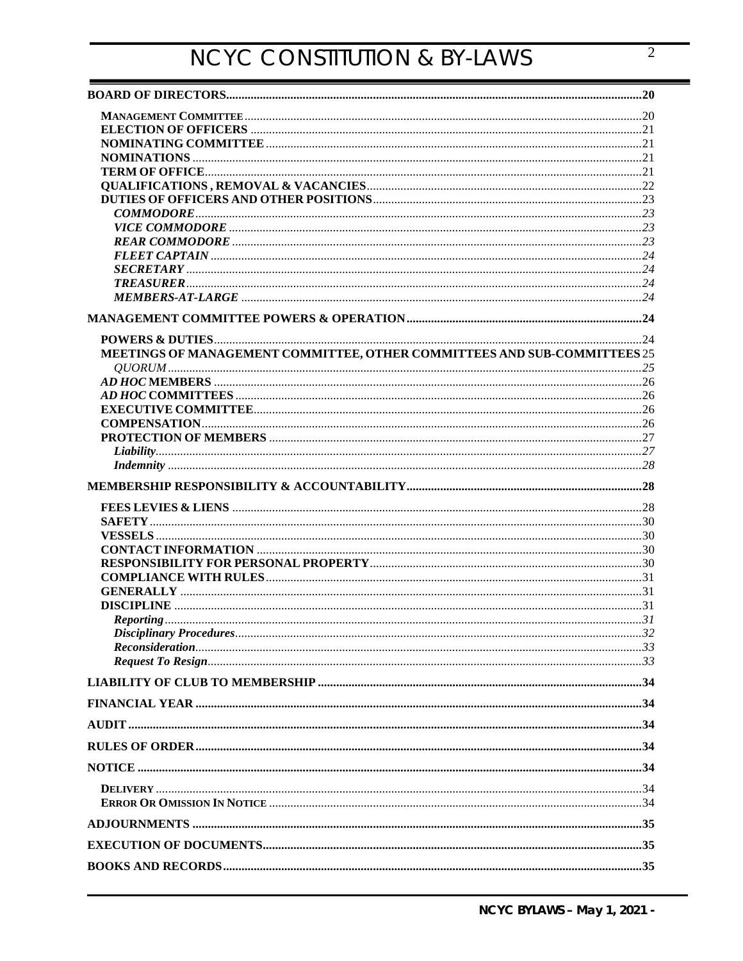| MEETINGS OF MANAGEMENT COMMITTEE, OTHER COMMITTEES AND SUB-COMMITTEES 25 |  |
|--------------------------------------------------------------------------|--|
|                                                                          |  |
|                                                                          |  |
|                                                                          |  |
|                                                                          |  |
|                                                                          |  |
|                                                                          |  |
|                                                                          |  |
|                                                                          |  |
|                                                                          |  |
|                                                                          |  |
|                                                                          |  |
|                                                                          |  |
|                                                                          |  |
|                                                                          |  |
|                                                                          |  |
|                                                                          |  |
|                                                                          |  |
|                                                                          |  |
|                                                                          |  |
|                                                                          |  |
|                                                                          |  |
|                                                                          |  |
|                                                                          |  |
|                                                                          |  |
|                                                                          |  |
|                                                                          |  |
|                                                                          |  |
|                                                                          |  |
|                                                                          |  |
|                                                                          |  |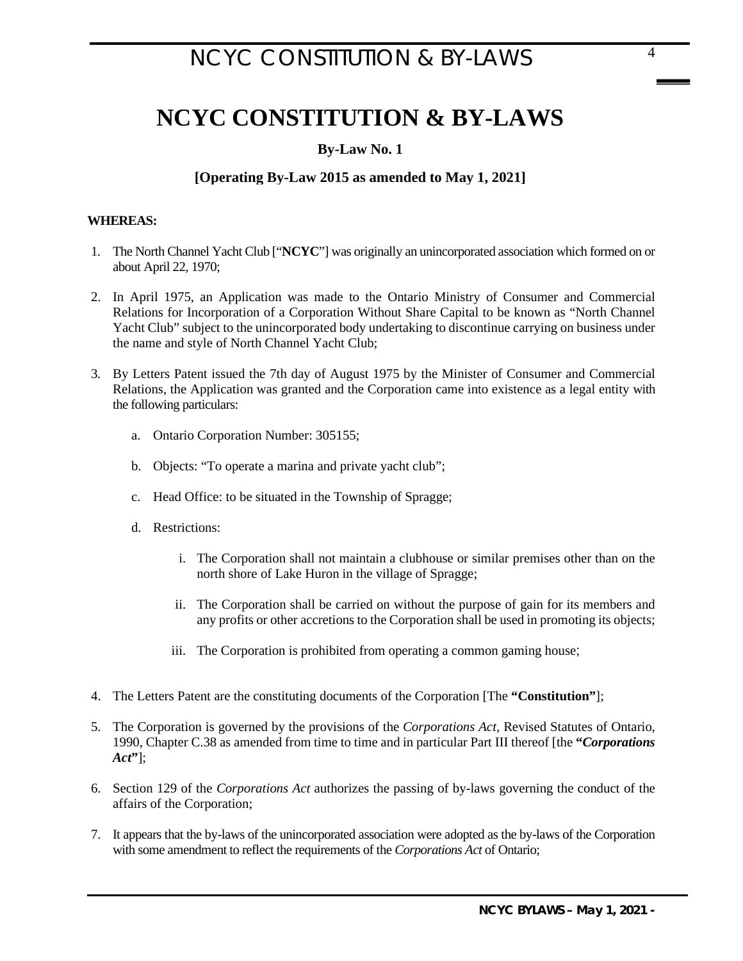## **By-Law No. 1**

## <span id="page-3-0"></span>**[Operating By-Law 2015 as amended to May 1, 2021]**

### **WHEREAS:**

- 1. The North Channel Yacht Club ["**NCYC**"] was originally an unincorporated association which formed on or about April 22, 1970;
- 2. In April 1975, an Application was made to the Ontario Ministry of Consumer and Commercial Relations for Incorporation of a Corporation Without Share Capital to be known as "North Channel Yacht Club" subject to the unincorporated body undertaking to discontinue carrying on business under the name and style of North Channel Yacht Club;
- 3. By Letters Patent issued the 7th day of August 1975 by the Minister of Consumer and Commercial Relations, the Application was granted and the Corporation came into existence as a legal entity with the following particulars:
	- a. Ontario Corporation Number: 305155;
	- b. Objects: "To operate a marina and private yacht club";
	- c. Head Office: to be situated in the Township of Spragge;
	- d. Restrictions:
		- i. The Corporation shall not maintain a clubhouse or similar premises other than on the north shore of Lake Huron in the village of Spragge;
		- ii. The Corporation shall be carried on without the purpose of gain for its members and any profits or other accretions to the Corporation shall be used in promoting its objects;
		- iii. The Corporation is prohibited from operating a common gaming house;
- 4. The Letters Patent are the constituting documents of the Corporation [The **"Constitution"**];
- 5. The Corporation is governed by the provisions of the *Corporations Act,* Revised Statutes of Ontario, 1990, Chapter C.38 as amended from time to time and in particular Part III thereof [the **"***Corporations Act***"**];
- 6. Section 129 of the *Corporations Act* authorizes the passing of by-laws governing the conduct of the affairs of the Corporation;
- 7. It appears that the by-laws of the unincorporated association were adopted as the by-laws of the Corporation with some amendment to reflect the requirements of the *Corporations Act* of Ontario;

4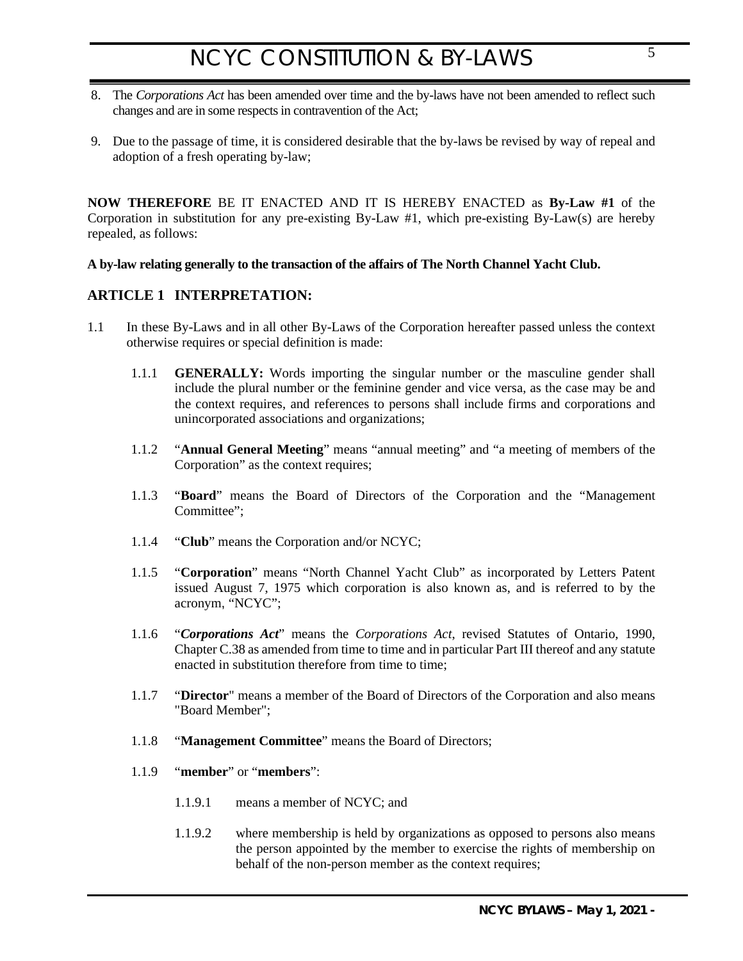- 8. The *Corporations Act* has been amended over time and the by-laws have not been amended to reflect such changes and are in some respects in contravention of the Act;
- 9. Due to the passage of time, it is considered desirable that the by-laws be revised by way of repeal and adoption of a fresh operating by-law;

**NOW THEREFORE** BE IT ENACTED AND IT IS HEREBY ENACTED as **By-Law #1** of the Corporation in substitution for any pre-existing By-Law #1, which pre-existing By-Law(s) are hereby repealed, as follows:

### **A by-law relating generally to the transaction of the affairs of The North Channel Yacht Club.**

## <span id="page-4-0"></span>**ARTICLE 1 INTERPRETATION:**

- 1.1 In these By-Laws and in all other By-Laws of the Corporation hereafter passed unless the context otherwise requires or special definition is made:
	- 1.1.1 **GENERALLY:** Words importing the singular number or the masculine gender shall include the plural number or the feminine gender and vice versa, as the case may be and the context requires, and references to persons shall include firms and corporations and unincorporated associations and organizations;
	- 1.1.2 "**Annual General Meeting**" means "annual meeting" and "a meeting of members of the Corporation" as the context requires;
	- 1.1.3 "**Board**" means the Board of Directors of the Corporation and the "Management Committee";
	- 1.1.4 "**Club**" means the Corporation and/or NCYC;
	- 1.1.5 "**Corporation**" means "North Channel Yacht Club" as incorporated by Letters Patent issued August 7, 1975 which corporation is also known as, and is referred to by the acronym, "NCYC";
	- 1.1.6 "*Corporations Act*" means the *Corporations Act*, revised Statutes of Ontario, 1990, Chapter C.38 as amended from time to time and in particular Part III thereof and any statute enacted in substitution therefore from time to time;
	- 1.1.7 "**Director**" means a member of the Board of Directors of the Corporation and also means "Board Member";
	- 1.1.8 "**Management Committee**" means the Board of Directors;
	- 1.1.9 "**member**" or "**members**":
		- 1.1.9.1 means a member of NCYC; and
		- 1.1.9.2 where membership is held by organizations as opposed to persons also means the person appointed by the member to exercise the rights of membership on behalf of the non-person member as the context requires;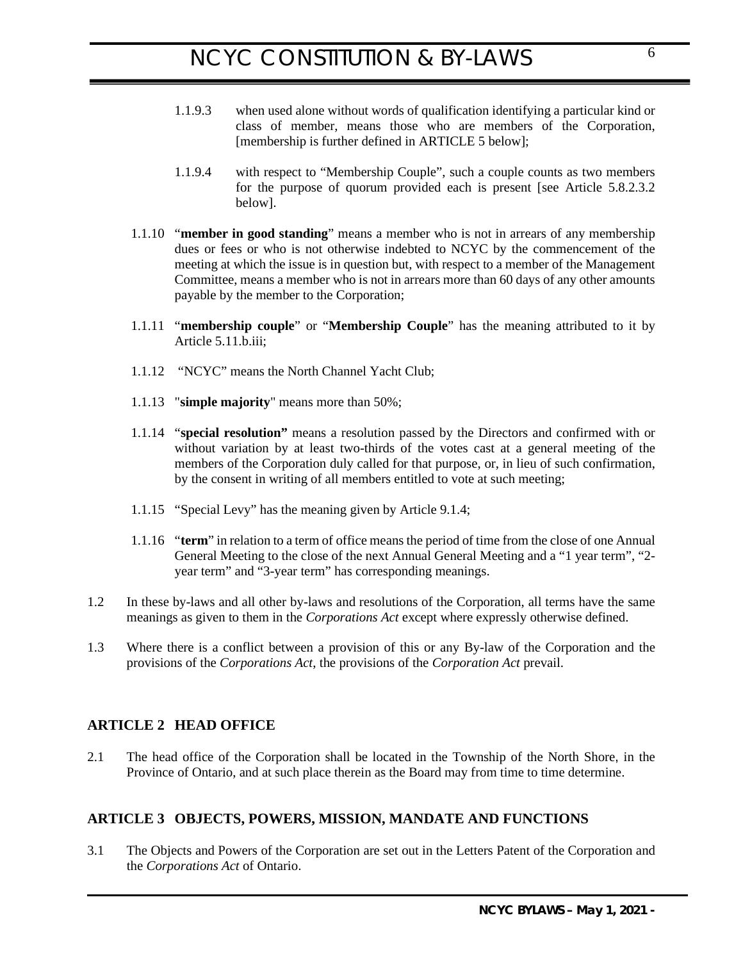- 1.1.9.3 when used alone without words of qualification identifying a particular kind or class of member, means those who are members of the Corporation, [membership is further defined in [ARTICLE 5 below\]](#page-6-3);
- 1.1.9.4 with respect to "Membership Couple", such a couple counts as two members for the purpose of quorum provided each is present [see Article [5.8.2.3.2](#page-11-3)  [below\]](#page-11-3).
- 1.1.10 "**member in good standing**" means a member who is not in arrears of any membership dues or fees or who is not otherwise indebted to NCYC by the commencement of the meeting at which the issue is in question but, with respect to a member of the Management Committee, means a member who is not in arrears more than 60 days of any other amounts payable by the member to the Corporation;
- 1.1.11 "**membership couple**" or "**Membership Couple**" has the meaning attributed to it by Article 5.11.b.iii;
- 1.1.12 "NCYC" means the North Channel Yacht Club;
- 1.1.13 "**simple majority**" means more than 50%;
- 1.1.14 "**special resolution"** means a resolution passed by the Directors and confirmed with or without variation by at least two-thirds of the votes cast at a general meeting of the members of the Corporation duly called for that purpose, or, in lieu of such confirmation, by the consent in writing of all members entitled to vote at such meeting;
- 1.1.15 "Special Levy" has the meaning given by Articl[e 9.1.4;](#page-28-0)
- 1.1.16 "**term**" in relation to a term of office means the period of time from the close of one Annual General Meeting to the close of the next Annual General Meeting and a "1 year term", "2 year term" and "3-year term" has corresponding meanings.
- 1.2 In these by-laws and all other by-laws and resolutions of the Corporation, all terms have the same meanings as given to them in the *Corporations Act* except where expressly otherwise defined.
- 1.3 Where there is a conflict between a provision of this or any By-law of the Corporation and the provisions of the *Corporations Act*, the provisions of the *Corporation Act* prevail.

## <span id="page-5-0"></span>**ARTICLE 2 HEAD OFFICE**

2.1 The head office of the Corporation shall be located in the Township of the North Shore, in the Province of Ontario, and at such place therein as the Board may from time to time determine.

## <span id="page-5-1"></span>**ARTICLE 3 OBJECTS, POWERS, MISSION, MANDATE AND FUNCTIONS**

3.1 The Objects and Powers of the Corporation are set out in the Letters Patent of the Corporation and the *Corporations Act* of Ontario.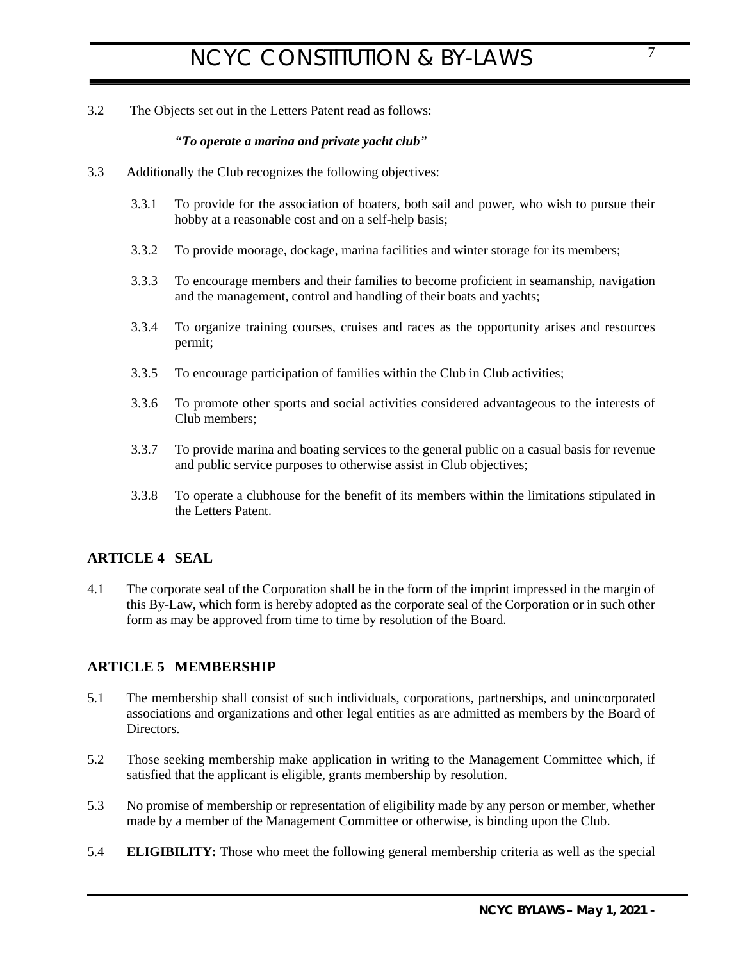3.2 The Objects set out in the Letters Patent read as follows:

## *"To operate a marina and private yacht club"*

- 3.3 Additionally the Club recognizes the following objectives:
	- 3.3.1 To provide for the association of boaters, both sail and power, who wish to pursue their hobby at a reasonable cost and on a self-help basis;
	- 3.3.2 To provide moorage, dockage, marina facilities and winter storage for its members;
	- 3.3.3 To encourage members and their families to become proficient in seamanship, navigation and the management, control and handling of their boats and yachts;
	- 3.3.4 To organize training courses, cruises and races as the opportunity arises and resources permit;
	- 3.3.5 To encourage participation of families within the Club in Club activities;
	- 3.3.6 To promote other sports and social activities considered advantageous to the interests of Club members;
	- 3.3.7 To provide marina and boating services to the general public on a casual basis for revenue and public service purposes to otherwise assist in Club objectives;
	- 3.3.8 To operate a clubhouse for the benefit of its members within the limitations stipulated in the Letters Patent.

## <span id="page-6-0"></span>**ARTICLE 4 SEAL**

4.1 The corporate seal of the Corporation shall be in the form of the imprint impressed in the margin of this By-Law, which form is hereby adopted as the corporate seal of the Corporation or in such other form as may be approved from time to time by resolution of the Board.

## <span id="page-6-3"></span><span id="page-6-1"></span>**ARTICLE 5 MEMBERSHIP**

- 5.1 The membership shall consist of such individuals, corporations, partnerships, and unincorporated associations and organizations and other legal entities as are admitted as members by the Board of Directors.
- 5.2 Those seeking membership make application in writing to the Management Committee which, if satisfied that the applicant is eligible, grants membership by resolution.
- 5.3 No promise of membership or representation of eligibility made by any person or member, whether made by a member of the Management Committee or otherwise, is binding upon the Club.
- <span id="page-6-2"></span>5.4 **ELIGIBILITY:** Those who meet the following general membership criteria as well as the special

7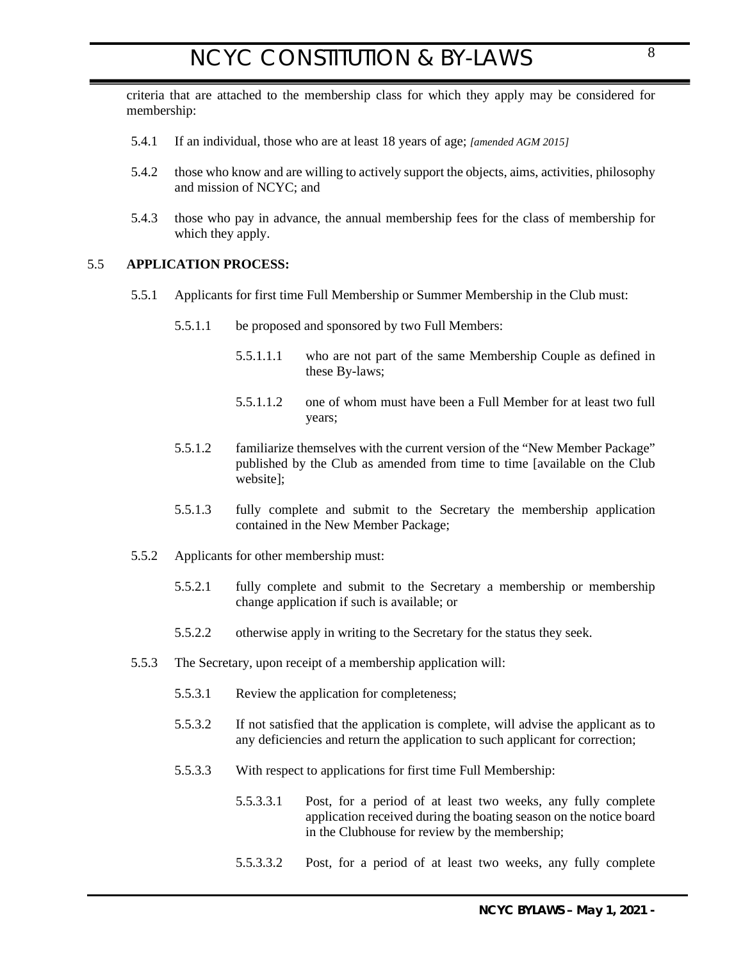criteria that are attached to the membership class for which they apply may be considered for membership:

- 5.4.1 If an individual, those who are at least 18 years of age; *[amended AGM 2015]*
- 5.4.2 those who know and are willing to actively support the objects, aims, activities, philosophy and mission of NCYC; and
- 5.4.3 those who pay in advance, the annual membership fees for the class of membership for which they apply.

### 5.5 **APPLICATION PROCESS:**

- <span id="page-7-0"></span>5.5.1 Applicants for first time Full Membership or Summer Membership in the Club must:
	- 5.5.1.1 be proposed and sponsored by two Full Members:
		- 5.5.1.1.1 who are not part of the same Membership Couple as defined in these By-laws;
		- 5.5.1.1.2 one of whom must have been a Full Member for at least two full years;
	- 5.5.1.2 familiarize themselves with the current version of the "New Member Package" published by the Club as amended from time to time [available on the Club website];
	- 5.5.1.3 fully complete and submit to the Secretary the membership application contained in the New Member Package;
- 5.5.2 Applicants for other membership must:
	- 5.5.2.1 fully complete and submit to the Secretary a membership or membership change application if such is available; or
	- 5.5.2.2 otherwise apply in writing to the Secretary for the status they seek.
- 5.5.3 The Secretary, upon receipt of a membership application will:
	- 5.5.3.1 Review the application for completeness;
	- 5.5.3.2 If not satisfied that the application is complete, will advise the applicant as to any deficiencies and return the application to such applicant for correction;
	- 5.5.3.3 With respect to applications for first time Full Membership:
		- 5.5.3.3.1 Post, for a period of at least two weeks, any fully complete application received during the boating season on the notice board in the Clubhouse for review by the membership;
		- 5.5.3.3.2 Post, for a period of at least two weeks, any fully complete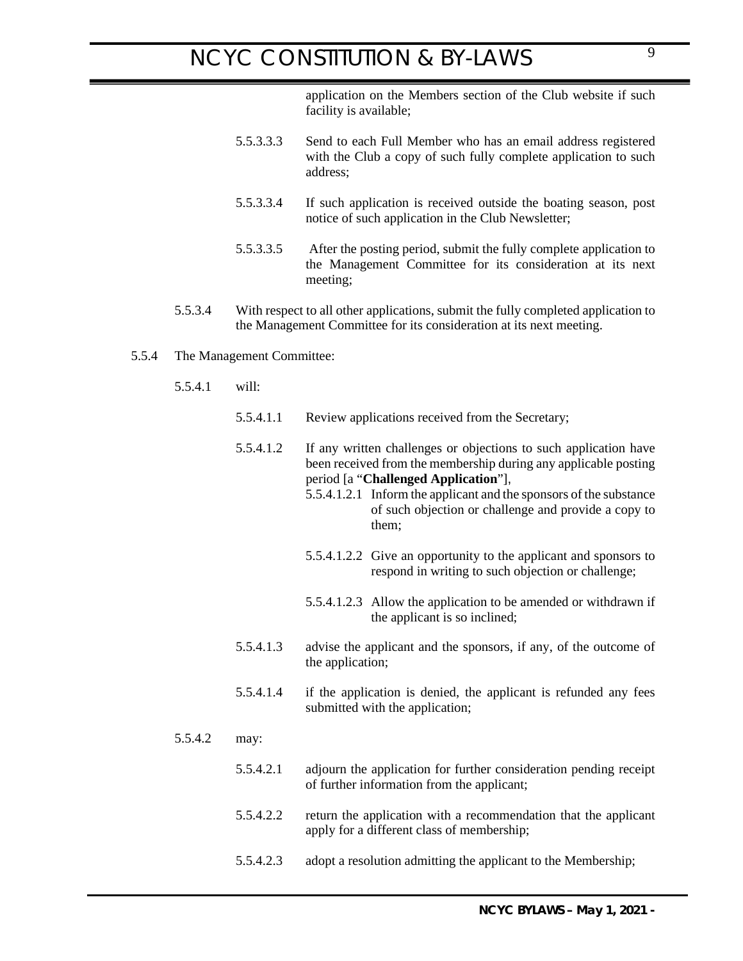application on the Members section of the Club website if such facility is available;

- 5.5.3.3.3 Send to each Full Member who has an email address registered with the Club a copy of such fully complete application to such address;
- 5.5.3.3.4 If such application is received outside the boating season, post notice of such application in the Club Newsletter;
- 5.5.3.3.5 After the posting period, submit the fully complete application to the Management Committee for its consideration at its next meeting;
- 5.5.3.4 With respect to all other applications, submit the fully completed application to the Management Committee for its consideration at its next meeting.

#### 5.5.4 The Management Committee:

- 5.5.4.1 will:
	- 5.5.4.1.1 Review applications received from the Secretary;
	- 5.5.4.1.2 If any written challenges or objections to such application have been received from the membership during any applicable posting period [a "**Challenged Application**"],
		- 5.5.4.1.2.1 Inform the applicant and the sponsors of the substance of such objection or challenge and provide a copy to them;
		- 5.5.4.1.2.2 Give an opportunity to the applicant and sponsors to respond in writing to such objection or challenge;
		- 5.5.4.1.2.3 Allow the application to be amended or withdrawn if the applicant is so inclined;
	- 5.5.4.1.3 advise the applicant and the sponsors, if any, of the outcome of the application;
	- 5.5.4.1.4 if the application is denied, the applicant is refunded any fees submitted with the application;

#### 5.5.4.2 may:

- 5.5.4.2.1 adjourn the application for further consideration pending receipt of further information from the applicant;
- 5.5.4.2.2 return the application with a recommendation that the applicant apply for a different class of membership;
- 5.5.4.2.3 adopt a resolution admitting the applicant to the Membership;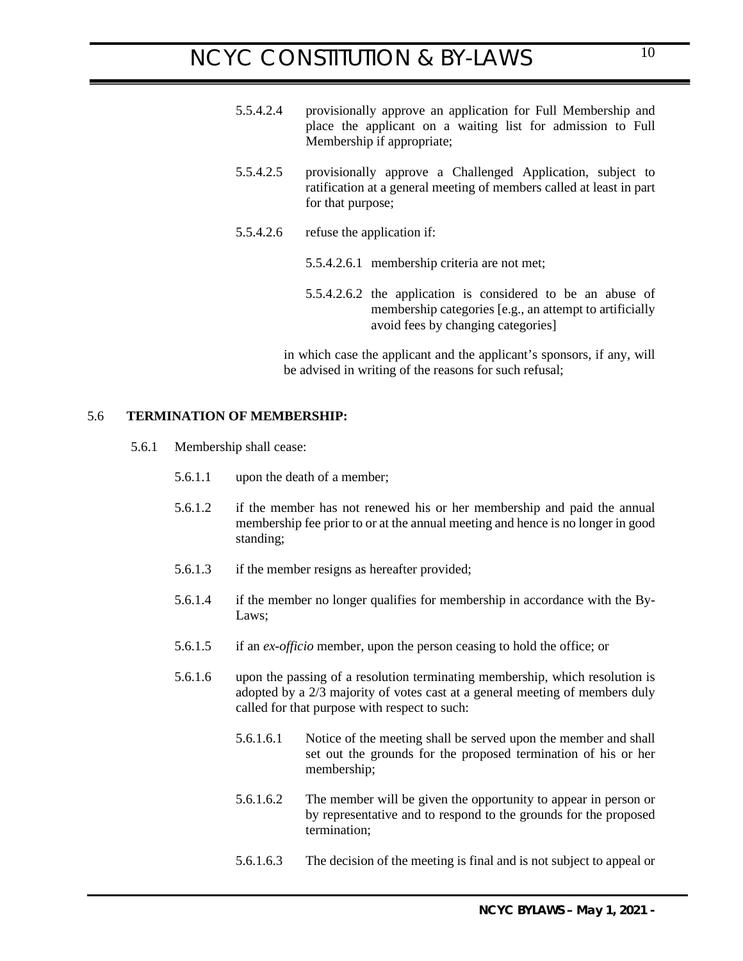- 5.5.4.2.4 provisionally approve an application for Full Membership and place the applicant on a waiting list for admission to Full Membership if appropriate;
- 5.5.4.2.5 provisionally approve a Challenged Application, subject to ratification at a general meeting of members called at least in part for that purpose;
- 5.5.4.2.6 refuse the application if:
	- 5.5.4.2.6.1 membership criteria are not met;
	- 5.5.4.2.6.2 the application is considered to be an abuse of membership categories [e.g., an attempt to artificially avoid fees by changing categories]

<span id="page-9-0"></span>in which case the applicant and the applicant's sponsors, if any, will be advised in writing of the reasons for such refusal;

### 5.6 **TERMINATION OF MEMBERSHIP:**

- 5.6.1 Membership shall cease:
	- 5.6.1.1 upon the death of a member;
	- 5.6.1.2 if the member has not renewed his or her membership and paid the annual membership fee prior to or at the annual meeting and hence is no longer in good standing;
	- 5.6.1.3 if the member resigns as hereafter provided;
	- 5.6.1.4 if the member no longer qualifies for membership in accordance with the By-Laws;
	- 5.6.1.5 if an *ex-officio* member, upon the person ceasing to hold the office; or
	- 5.6.1.6 upon the passing of a resolution terminating membership, which resolution is adopted by a 2/3 majority of votes cast at a general meeting of members duly called for that purpose with respect to such:
		- 5.6.1.6.1 Notice of the meeting shall be served upon the member and shall set out the grounds for the proposed termination of his or her membership;
		- 5.6.1.6.2 The member will be given the opportunity to appear in person or by representative and to respond to the grounds for the proposed termination;
		- 5.6.1.6.3 The decision of the meeting is final and is not subject to appeal or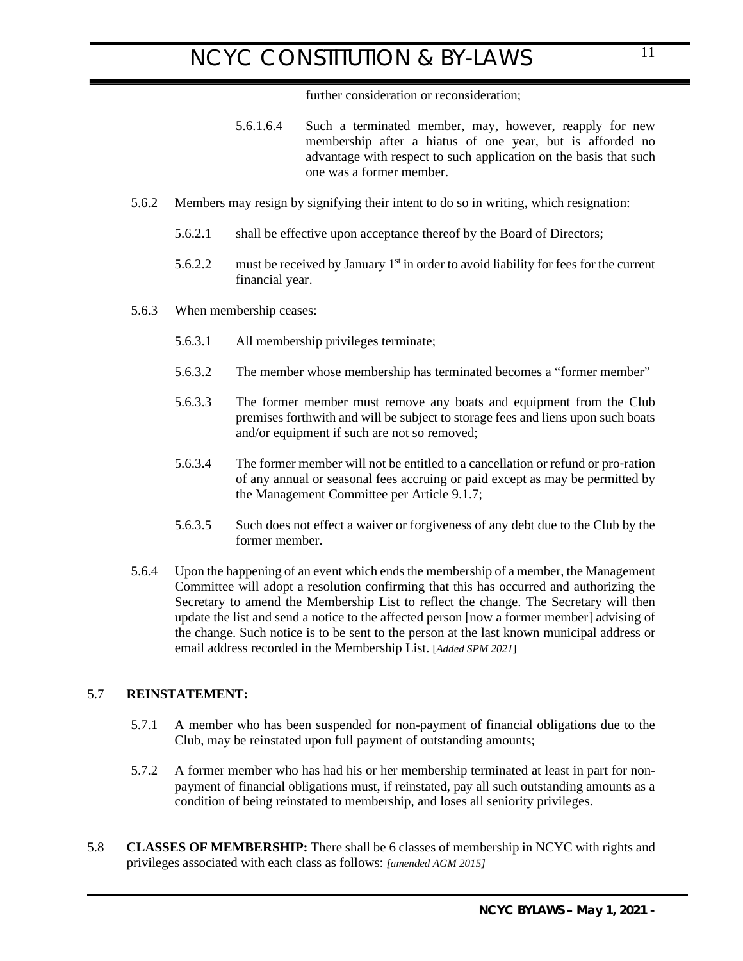further consideration or reconsideration;

- 5.6.1.6.4 Such a terminated member, may, however, reapply for new membership after a hiatus of one year, but is afforded no advantage with respect to such application on the basis that such one was a former member.
- 5.6.2 Members may resign by signifying their intent to do so in writing, which resignation:
	- 5.6.2.1 shall be effective upon acceptance thereof by the Board of Directors;
	- 5.6.2.2 must be received by January  $1<sup>st</sup>$  in order to avoid liability for fees for the current financial year.
- 5.6.3 When membership ceases:
	- 5.6.3.1 All membership privileges terminate;
	- 5.6.3.2 The member whose membership has terminated becomes a "former member"
	- 5.6.3.3 The former member must remove any boats and equipment from the Club premises forthwith and will be subject to storage fees and liens upon such boats and/or equipment if such are not so removed;
	- 5.6.3.4 The former member will not be entitled to a cancellation or refund or pro-ration of any annual or seasonal fees accruing or paid except as may be permitted by the Management Committee per Article [9.1.7;](#page-28-1)
	- 5.6.3.5 Such does not effect a waiver or forgiveness of any debt due to the Club by the former member.
- 5.6.4 Upon the happening of an event which ends the membership of a member, the Management Committee will adopt a resolution confirming that this has occurred and authorizing the Secretary to amend the Membership List to reflect the change. The Secretary will then update the list and send a notice to the affected person [now a former member] advising of the change. Such notice is to be sent to the person at the last known municipal address or email address recorded in the Membership List. [*Added SPM 2021*]

## 5.7 **REINSTATEMENT:**

- <span id="page-10-0"></span>5.7.1 A member who has been suspended for non-payment of financial obligations due to the Club, may be reinstated upon full payment of outstanding amounts;
- <span id="page-10-1"></span>5.7.2 A former member who has had his or her membership terminated at least in part for nonpayment of financial obligations must, if reinstated, pay all such outstanding amounts as a condition of being reinstated to membership, and loses all seniority privileges.
- 5.8 **CLASSES OF MEMBERSHIP:** There shall be 6 classes of membership in NCYC with rights and privileges associated with each class as follows: *[amended AGM 2015]*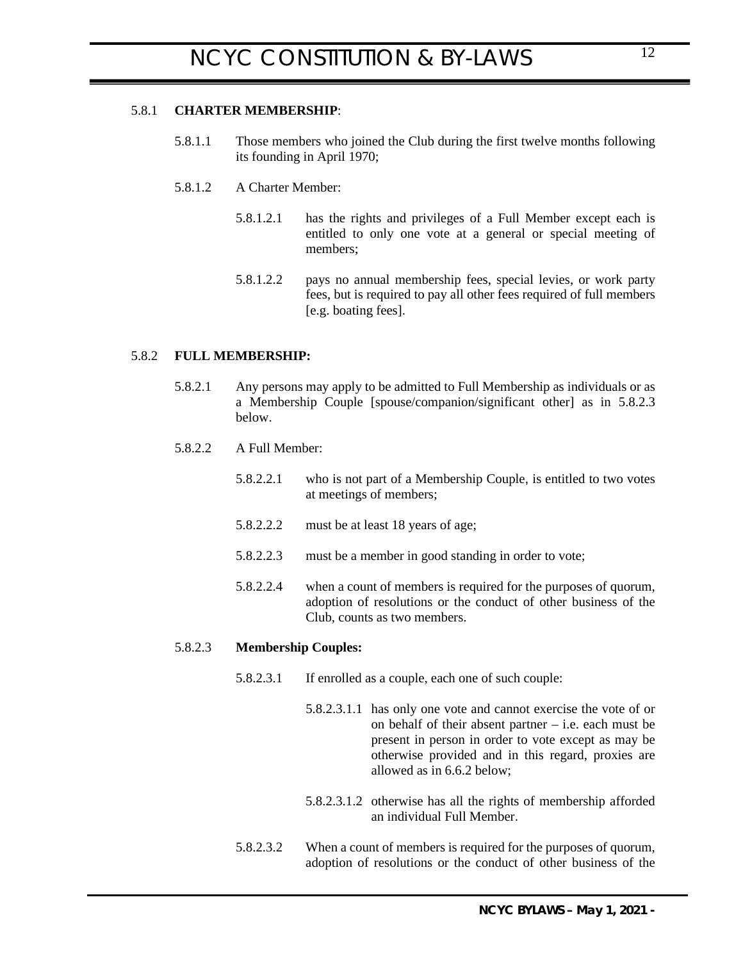### 5.8.1 **CHARTER MEMBERSHIP**:

- <span id="page-11-0"></span>5.8.1.1 Those members who joined the Club during the first twelve months following its founding in April 1970;
- 5.8.1.2 A Charter Member:
	- 5.8.1.2.1 has the rights and privileges of a Full Member except each is entitled to only one vote at a general or special meeting of members;
	- 5.8.1.2.2 pays no annual membership fees, special levies, or work party fees, but is required to pay all other fees required of full members [e.g. boating fees].

### 5.8.2 **FULL MEMBERSHIP:**

- <span id="page-11-1"></span>5.8.2.1 Any persons may apply to be admitted to Full Membership as individuals or as a Membership Couple [spouse/companion/significant other] as in [5.8.2.3](#page-11-4)  [below](#page-11-4).
- 5.8.2.2 A Full Member:
	- 5.8.2.2.1 who is not part of a Membership Couple, is entitled to two votes at meetings of members;
	- 5.8.2.2.2 must be at least 18 years of age;
	- 5.8.2.2.3 must be a member in good standing in order to vote;
	- 5.8.2.2.4 when a count of members is required for the purposes of quorum, adoption of resolutions or the conduct of other business of the Club, counts as two members.

#### <span id="page-11-4"></span>5.8.2.3 **Membership Couples:**

- <span id="page-11-2"></span>5.8.2.3.1 If enrolled as a couple, each one of such couple:
	- 5.8.2.3.1.1 has only one vote and cannot exercise the vote of or on behalf of their absent partner – i.e. each must be present in person in order to vote except as may be otherwise provided and in this regard, proxies are allowed as in [6.6.2 below;](#page-18-5)
	- 5.8.2.3.1.2 otherwise has all the rights of membership afforded an individual Full Member.
- <span id="page-11-3"></span>5.8.2.3.2 When a count of members is required for the purposes of quorum, adoption of resolutions or the conduct of other business of the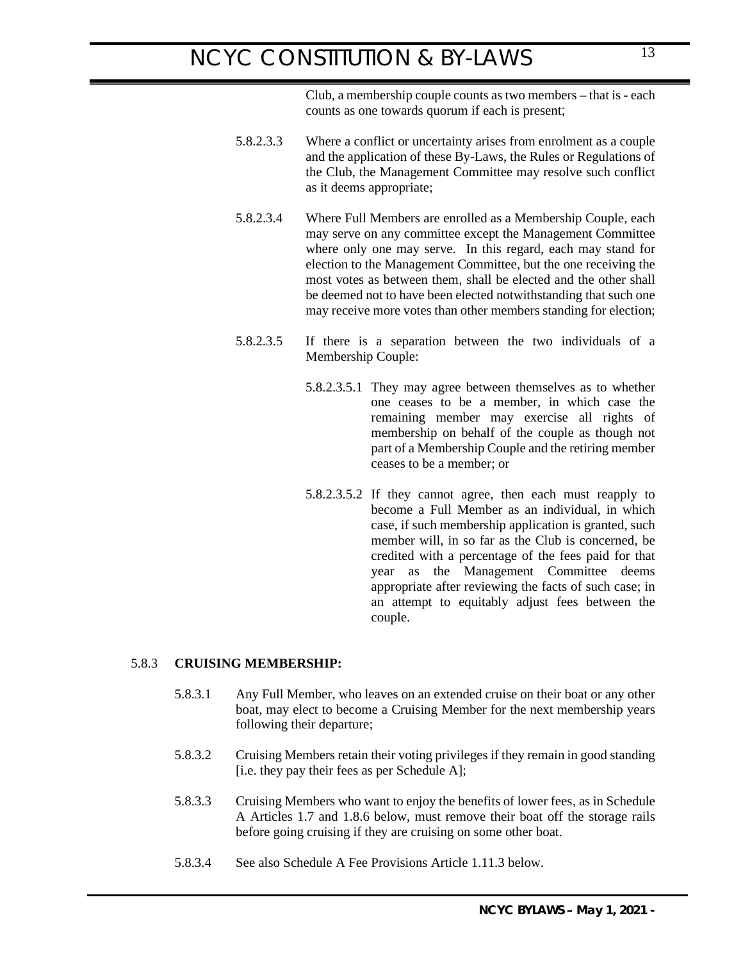Club, a membership couple counts as two members – that is - each counts as one towards quorum if each is present;

- 5.8.2.3.3 Where a conflict or uncertainty arises from enrolment as a couple and the application of these By-Laws, the Rules or Regulations of the Club, the Management Committee may resolve such conflict as it deems appropriate;
- 5.8.2.3.4 Where Full Members are enrolled as a Membership Couple, each may serve on any committee except the Management Committee where only one may serve. In this regard, each may stand for election to the Management Committee, but the one receiving the most votes as between them, shall be elected and the other shall be deemed not to have been elected notwithstanding that such one may receive more votes than other members standing for election;
- 5.8.2.3.5 If there is a separation between the two individuals of a Membership Couple:
	- 5.8.2.3.5.1 They may agree between themselves as to whether one ceases to be a member, in which case the remaining member may exercise all rights of membership on behalf of the couple as though not part of a Membership Couple and the retiring member ceases to be a member; or
	- 5.8.2.3.5.2 If they cannot agree, then each must reapply to become a Full Member as an individual, in which case, if such membership application is granted, such member will, in so far as the Club is concerned, be credited with a percentage of the fees paid for that year as the Management Committee deems appropriate after reviewing the facts of such case; in an attempt to equitably adjust fees between the couple.

### <span id="page-12-1"></span>5.8.3 **CRUISING MEMBERSHIP:**

- <span id="page-12-0"></span>5.8.3.1 Any Full Member, who leaves on an extended cruise on their boat or any other boat, may elect to become a Cruising Member for the next membership years following their departure;
- 5.8.3.2 Cruising Members retain their voting privileges if they remain in good standing [i.e. they pay their fees as per Schedule A];
- 5.8.3.3 Cruising Members who want to enjoy the benefits of lower fees, as in Schedule A Articles [1.7](#page-39-0) and [1.8.6 below,](#page-41-0) must remove their boat off the storage rails before going cruising if they are cruising on some other boat.
- 5.8.3.4 See also Schedule A Fee Provisions Article [1.11.3 below.](#page-44-2)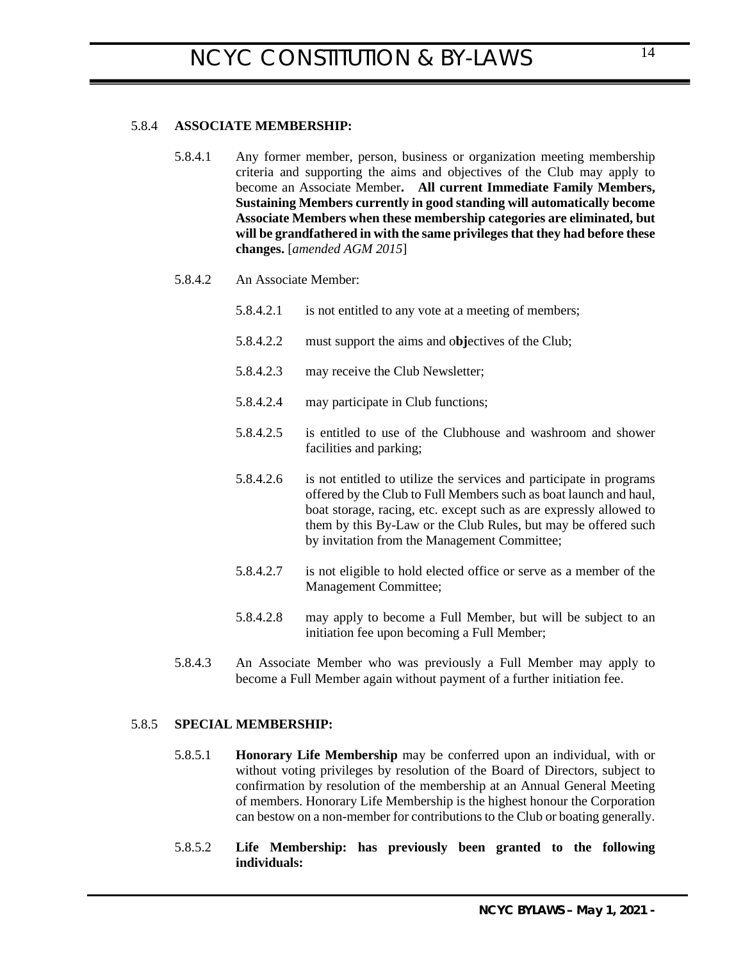### 5.8.4 **ASSOCIATE MEMBERSHIP:**

<span id="page-13-0"></span>5.8.4.1 Any former member, person, business or organization meeting membership criteria and supporting the aims and objectives of the Club may apply to become an Associate Member**. All current Immediate Family Members, Sustaining Members currently in good standing will automatically become Associate Members when these membership categories are eliminated, but will be grandfathered in with the same privileges that they had before these changes.** [*amended AGM 2015*]

#### 5.8.4.2 An Associate Member:

- 5.8.4.2.1 is not entitled to any vote at a meeting of members;
- 5.8.4.2.2 must support the aims and o**bj**ectives of the Club;
- 5.8.4.2.3 may receive the Club Newsletter;
- 5.8.4.2.4 may participate in Club functions;
- 5.8.4.2.5 is entitled to use of the Clubhouse and washroom and shower facilities and parking;
- 5.8.4.2.6 is not entitled to utilize the services and participate in programs offered by the Club to Full Members such as boat launch and haul, boat storage, racing, etc. except such as are expressly allowed to them by this By-Law or the Club Rules, but may be offered such by invitation from the Management Committee;
- 5.8.4.2.7 is not eligible to hold elected office or serve as a member of the Management Committee;
- <span id="page-13-1"></span>5.8.4.2.8 may apply to become a Full Member, but will be subject to an initiation fee upon becoming a Full Member;
- 5.8.4.3 An Associate Member who was previously a Full Member may apply to become a Full Member again without payment of a further initiation fee.

### 5.8.5 **SPECIAL MEMBERSHIP:**

- 5.8.5.1 **Honorary Life Membership** may be conferred upon an individual, with or without voting privileges by resolution of the Board of Directors, subject to confirmation by resolution of the membership at an Annual General Meeting of members. Honorary Life Membership is the highest honour the Corporation can bestow on a non-member for contributions to the Club or boating generally.
- 5.8.5.2 **Life Membership: has previously been granted to the following individuals:**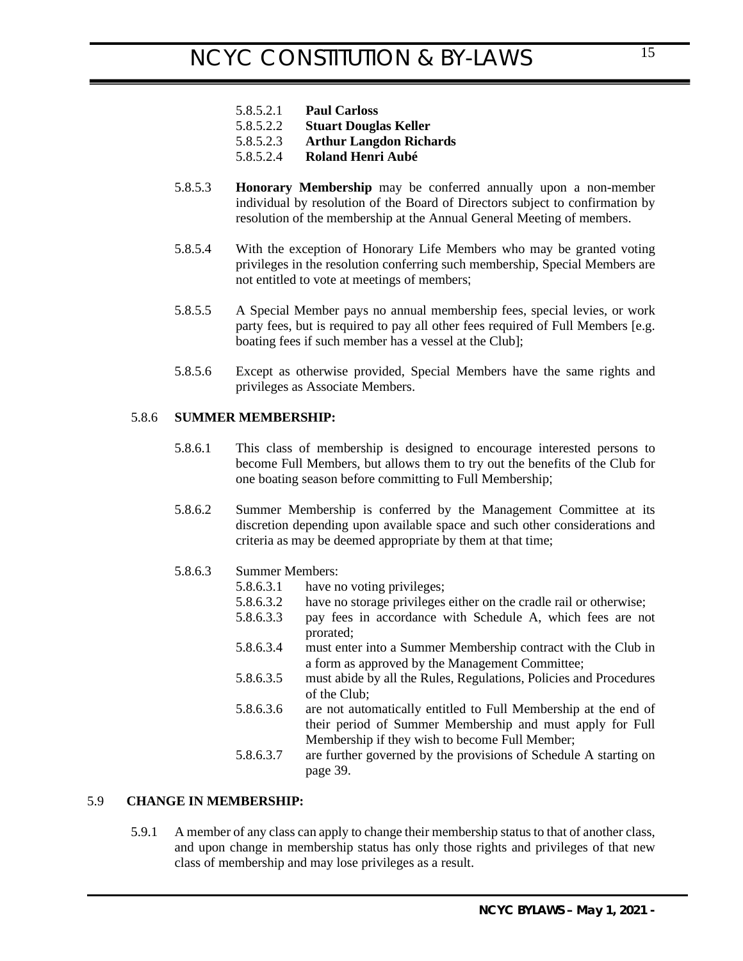- 5.8.5.2.1 **Paul Carloss**
- 5.8.5.2.2 **Stuart Douglas Keller**
- 5.8.5.2.3 **Arthur Langdon Richards**
- 5.8.5.2.4 **Roland Henri Aubé**
- 5.8.5.3 **Honorary Membership** may be conferred annually upon a non-member individual by resolution of the Board of Directors subject to confirmation by resolution of the membership at the Annual General Meeting of members.
- 5.8.5.4 With the exception of Honorary Life Members who may be granted voting privileges in the resolution conferring such membership, Special Members are not entitled to vote at meetings of members;
- 5.8.5.5 A Special Member pays no annual membership fees, special levies, or work party fees, but is required to pay all other fees required of Full Members [e.g. boating fees if such member has a vessel at the Club];
- 5.8.5.6 Except as otherwise provided, Special Members have the same rights and privileges as Associate Members.

### 5.8.6 **SUMMER MEMBERSHIP:**

- <span id="page-14-0"></span>5.8.6.1 This class of membership is designed to encourage interested persons to become Full Members, but allows them to try out the benefits of the Club for one boating season before committing to Full Membership;
- 5.8.6.2 Summer Membership is conferred by the Management Committee at its discretion depending upon available space and such other considerations and criteria as may be deemed appropriate by them at that time;

### 5.8.6.3 Summer Members:

- 5.8.6.3.1 have no voting privileges;
- 5.8.6.3.2 have no storage privileges either on the cradle rail or otherwise;
- 5.8.6.3.3 pay fees in accordance with Schedule A, which fees are not prorated;
- 5.8.6.3.4 must enter into a Summer Membership contract with the Club in a form as approved by the Management Committee;
- 5.8.6.3.5 must abide by all the Rules, Regulations, Policies and Procedures of the Club;
- 5.8.6.3.6 are not automatically entitled to Full Membership at the end of their period of Summer Membership and must apply for Full Membership if they wish to become Full Member;
- <span id="page-14-1"></span>5.8.6.3.7 are further governed by the provisions of Schedule A starting [on](#page-38-1)  [page 39.](#page-38-1)

## 5.9 **CHANGE IN MEMBERSHIP:**

5.9.1 A member of any class can apply to change their membership status to that of another class, and upon change in membership status has only those rights and privileges of that new class of membership and may lose privileges as a result.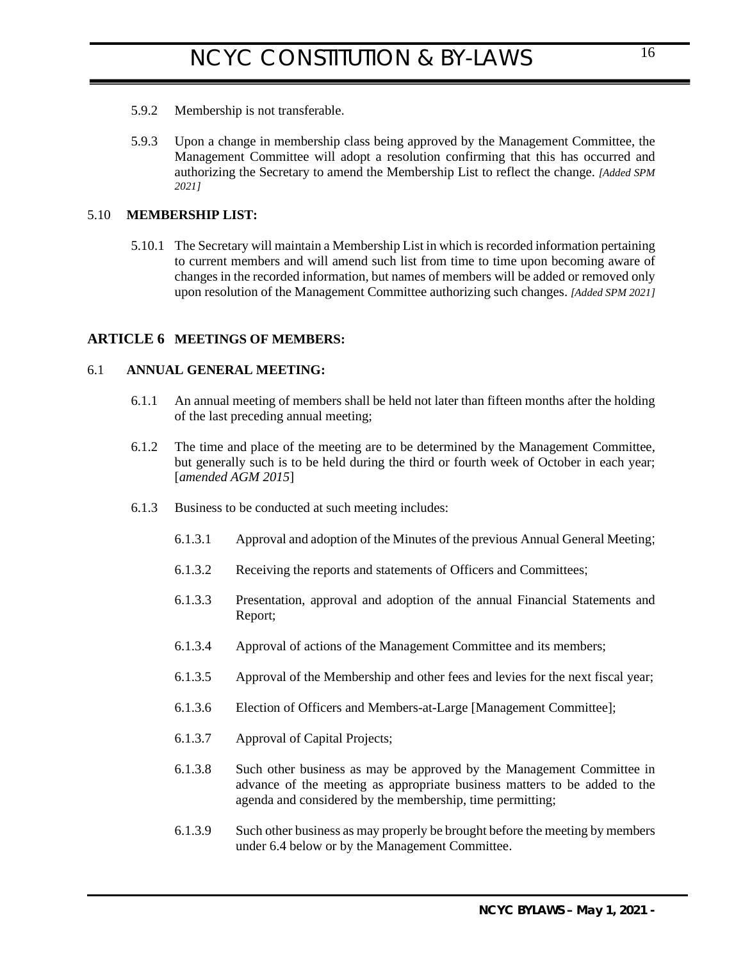- 5.9.2 Membership is not transferable.
- 5.9.3 Upon a change in membership class being approved by the Management Committee, the Management Committee will adopt a resolution confirming that this has occurred and authorizing the Secretary to amend the Membership List to reflect the change. *[Added SPM 2021]*

#### 5.10 **MEMBERSHIP LIST:**

5.10.1 The Secretary will maintain a Membership List in which is recorded information pertaining to current members and will amend such list from time to time upon becoming aware of changes in the recorded information, but names of members will be added or removed only upon resolution of the Management Committee authorizing such changes. *[Added SPM 2021]*

### **ARTICLE 6 MEETINGS OF MEMBERS:**

### 6.1 **ANNUAL GENERAL MEETING:**

- <span id="page-15-1"></span><span id="page-15-0"></span>6.1.1 An annual meeting of members shall be held not later than fifteen months after the holding of the last preceding annual meeting;
- 6.1.2 The time and place of the meeting are to be determined by the Management Committee, but generally such is to be held during the third or fourth week of October in each year; [*amended AGM 2015*]
- <span id="page-15-2"></span>6.1.3 Business to be conducted at such meeting includes:
	- 6.1.3.1 Approval and adoption of the Minutes of the previous Annual General Meeting;
	- 6.1.3.2 Receiving the reports and statements of Officers and Committees;
	- 6.1.3.3 Presentation, approval and adoption of the annual Financial Statements and Report;
	- 6.1.3.4 Approval of actions of the Management Committee and its members;
	- 6.1.3.5 Approval of the Membership and other fees and levies for the next fiscal year;
	- 6.1.3.6 Election of Officers and Members-at-Large [Management Committee];
	- 6.1.3.7 Approval of Capital Projects;
	- 6.1.3.8 Such other business as may be approved by the Management Committee in advance of the meeting as appropriate business matters to be added to the agenda and considered by the membership, time permitting;
	- 6.1.3.9 Such other business as may properly be brought before the meeting by members under [6.4 below](#page-16-4) or by the Management Committee.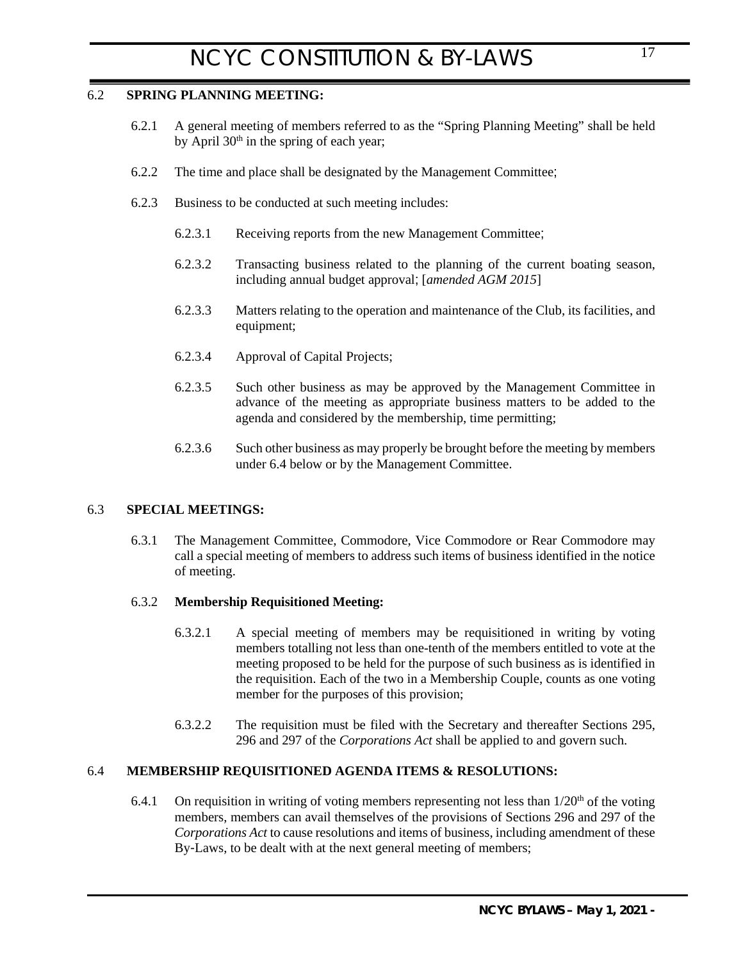## 6.2 **SPRING PLANNING MEETING:**

- <span id="page-16-0"></span>6.2.1 A general meeting of members referred to as the "Spring Planning Meeting" shall be held by April 30<sup>th</sup> in the spring of each year;
- 6.2.2 The time and place shall be designated by the Management Committee;
- 6.2.3 Business to be conducted at such meeting includes:
	- 6.2.3.1 Receiving reports from the new Management Committee;
	- 6.2.3.2 Transacting business related to the planning of the current boating season, including annual budget approval; [*amended AGM 2015*]
	- 6.2.3.3 Matters relating to the operation and maintenance of the Club, its facilities, and equipment;
	- 6.2.3.4 Approval of Capital Projects;
	- 6.2.3.5 Such other business as may be approved by the Management Committee in advance of the meeting as appropriate business matters to be added to the agenda and considered by the membership, time permitting;
	- 6.2.3.6 Such other business as may properly be brought before the meeting by members under [6.4 below](#page-16-4) or by the Management Committee.

## 6.3 **SPECIAL MEETINGS:**

<span id="page-16-1"></span>6.3.1 The Management Committee, Commodore, Vice Commodore or Rear Commodore may call a special meeting of members to address such items of business identified in the notice of meeting.

### 6.3.2 **Membership Requisitioned Meeting:**

- <span id="page-16-2"></span>6.3.2.1 A special meeting of members may be requisitioned in writing by voting members totalling not less than one-tenth of the members entitled to vote at the meeting proposed to be held for the purpose of such business as is identified in the requisition. Each of the two in a Membership Couple, counts as one voting member for the purposes of this provision;
- <span id="page-16-3"></span>6.3.2.2 The requisition must be filed with the Secretary and thereafter Sections 295, 296 and 297 of the *Corporations Act* shall be applied to and govern such.

## <span id="page-16-4"></span>6.4 **MEMBERSHIP REQUISITIONED AGENDA ITEMS & RESOLUTIONS:**

6.4.1 On requisition in writing of voting members representing not less than  $1/20<sup>th</sup>$  of the voting members, members can avail themselves of the provisions of Sections 296 and 297 of the *Corporations Act* to cause resolutions and items of business, including amendment of these By-Laws, to be dealt with at the next general meeting of members;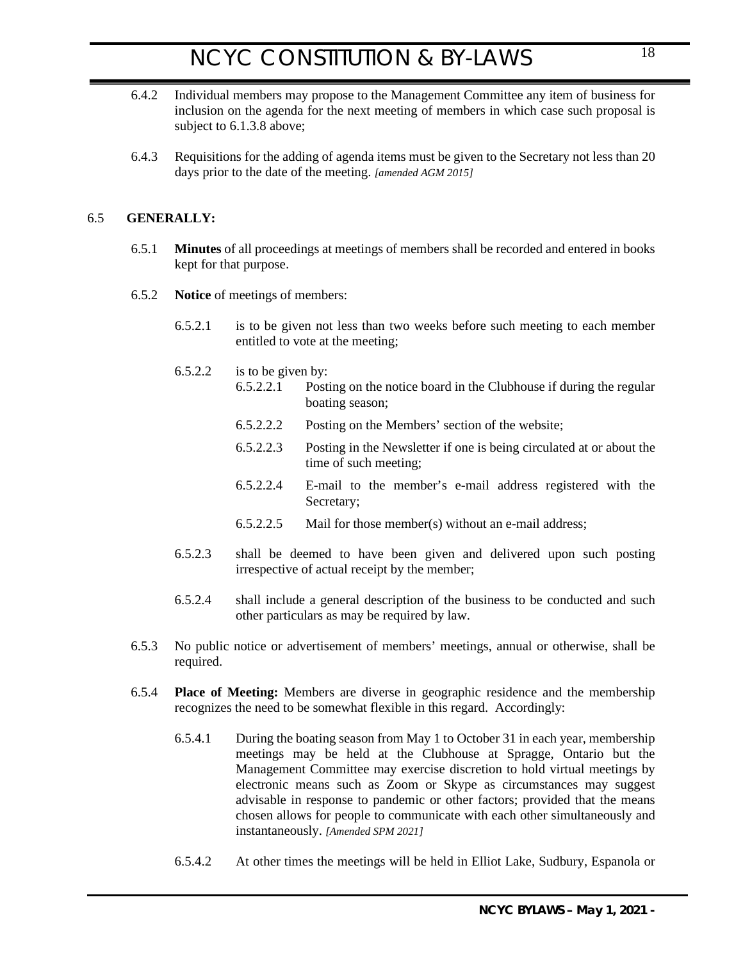- 6.4.2 Individual members may propose to the Management Committee any item of business for inclusion on the agenda for the next meeting of members in which case such proposal is subject to [6.1.3.8 above;](#page-15-2)
- 6.4.3 Requisitions for the adding of agenda items must be given to the Secretary not less than 20 days prior to the date of the meeting. *[amended AGM 2015]*

## 6.5 **GENERALLY:**

- <span id="page-17-1"></span><span id="page-17-0"></span>6.5.1 **Minutes** of all proceedings at meetings of members shall be recorded and entered in books kept for that purpose.
- <span id="page-17-2"></span>6.5.2 **Notice** of meetings of members:
	- 6.5.2.1 is to be given not less than two weeks before such meeting to each member entitled to vote at the meeting;
	- 6.5.2.2 is to be given by:
		- 6.5.2.2.1 Posting on the notice board in the Clubhouse if during the regular boating season;
			- 6.5.2.2.2 Posting on the Members' section of the website;
			- 6.5.2.2.3 Posting in the Newsletter if one is being circulated at or about the time of such meeting;
			- 6.5.2.2.4 E-mail to the member's e-mail address registered with the Secretary;
			- 6.5.2.2.5 Mail for those member(s) without an e-mail address;
	- 6.5.2.3 shall be deemed to have been given and delivered upon such posting irrespective of actual receipt by the member;
	- 6.5.2.4 shall include a general description of the business to be conducted and such other particulars as may be required by law.
- 6.5.3 No public notice or advertisement of members' meetings, annual or otherwise, shall be required.
- <span id="page-17-3"></span>6.5.4 **Place of Meeting:** Members are diverse in geographic residence and the membership recognizes the need to be somewhat flexible in this regard. Accordingly:
	- 6.5.4.1 During the boating season from May 1 to October 31 in each year, membership meetings may be held at the Clubhouse at Spragge, Ontario but the Management Committee may exercise discretion to hold virtual meetings by electronic means such as Zoom or Skype as circumstances may suggest advisable in response to pandemic or other factors; provided that the means chosen allows for people to communicate with each other simultaneously and instantaneously. *[Amended SPM 2021]*
	- 6.5.4.2 At other times the meetings will be held in Elliot Lake, Sudbury, Espanola or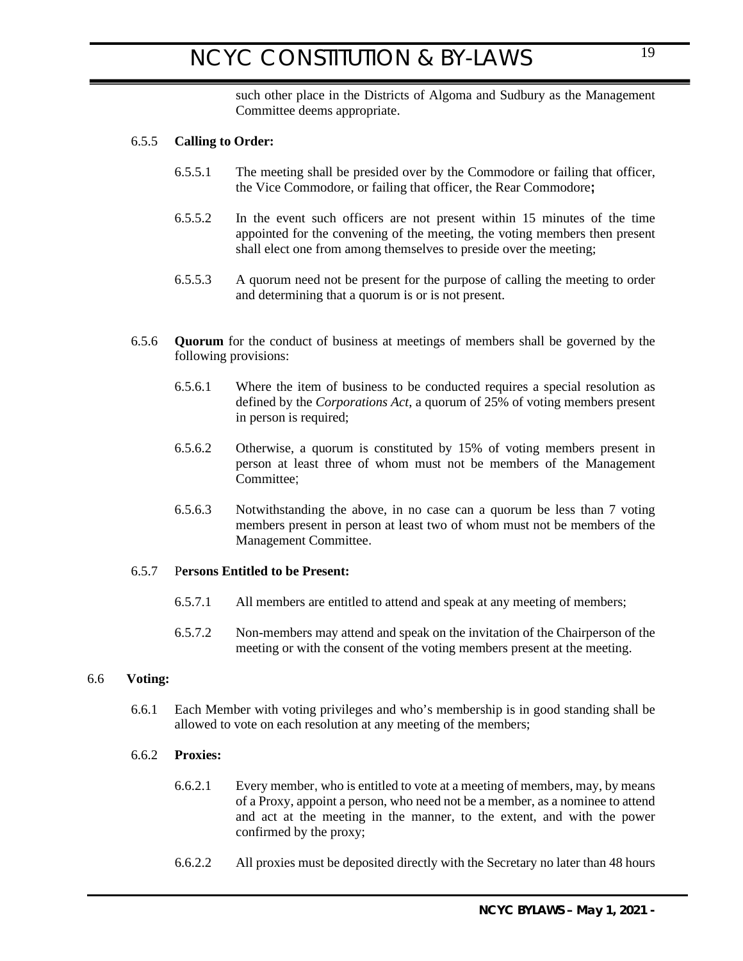<span id="page-18-0"></span>such other place in the Districts of Algoma and Sudbury as the Management Committee deems appropriate.

### 6.5.5 **Calling to Order:**

- 6.5.5.1 The meeting shall be presided over by the Commodore or failing that officer, the Vice Commodore, or failing that officer, the Rear Commodore**;**
- 6.5.5.2 In the event such officers are not present within 15 minutes of the time appointed for the convening of the meeting, the voting members then present shall elect one from among themselves to preside over the meeting;
- <span id="page-18-1"></span>6.5.5.3 A quorum need not be present for the purpose of calling the meeting to order and determining that a quorum is or is not present.
- 6.5.6 **Quorum** for the conduct of business at meetings of members shall be governed by the following provisions:
	- 6.5.6.1 Where the item of business to be conducted requires a special resolution as defined by the *Corporations Act*, a quorum of 25% of voting members present in person is required;
	- 6.5.6.2 Otherwise, a quorum is constituted by 15% of voting members present in person at least three of whom must not be members of the Management Committee;
	- 6.5.6.3 Notwithstanding the above, in no case can a quorum be less than 7 voting members present in person at least two of whom must not be members of the Management Committee.

## 6.5.7 P**ersons Entitled to be Present:**

- <span id="page-18-2"></span>6.5.7.1 All members are entitled to attend and speak at any meeting of members;
- <span id="page-18-3"></span>6.5.7.2 Non-members may attend and speak on the invitation of the Chairperson of the meeting or with the consent of the voting members present at the meeting.

#### 6.6 **Voting:**

6.6.1 Each Member with voting privileges and who's membership is in good standing shall be allowed to vote on each resolution at any meeting of the members;

### <span id="page-18-5"></span>6.6.2 **Proxies:**

- <span id="page-18-4"></span>6.6.2.1 Every member, who is entitled to vote at a meeting of members, may, by means of a Proxy, appoint a person, who need not be a member, as a nominee to attend and act at the meeting in the manner, to the extent, and with the power confirmed by the proxy;
- 6.6.2.2 All proxies must be deposited directly with the Secretary no later than 48 hours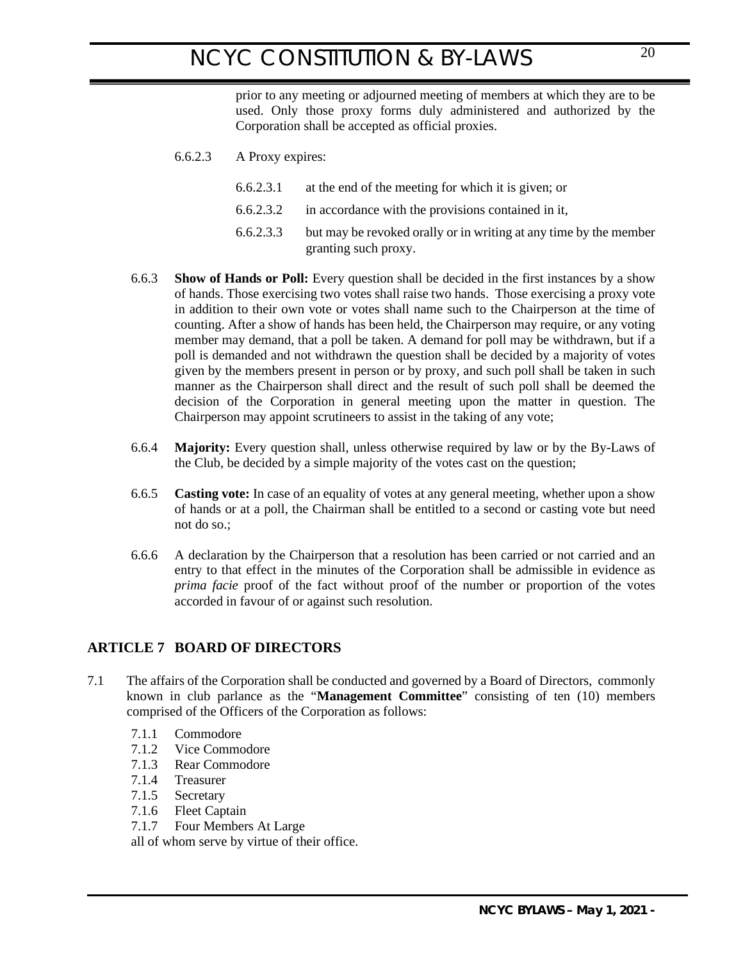prior to any meeting or adjourned meeting of members at which they are to be used. Only those proxy forms duly administered and authorized by the Corporation shall be accepted as official proxies.

- 6.6.2.3 A Proxy expires:
	- 6.6.2.3.1 at the end of the meeting for which it is given; or
	- 6.6.2.3.2 in accordance with the provisions contained in it,
	- 6.6.2.3.3 but may be revoked orally or in writing at any time by the member granting such proxy.
- <span id="page-19-0"></span>6.6.3 **Show of Hands or Poll:** Every question shall be decided in the first instances by a show of hands. Those exercising two votes shall raise two hands. Those exercising a proxy vote in addition to their own vote or votes shall name such to the Chairperson at the time of counting. After a show of hands has been held, the Chairperson may require, or any voting member may demand, that a poll be taken. A demand for poll may be withdrawn, but if a poll is demanded and not withdrawn the question shall be decided by a majority of votes given by the members present in person or by proxy, and such poll shall be taken in such manner as the Chairperson shall direct and the result of such poll shall be deemed the decision of the Corporation in general meeting upon the matter in question. The Chairperson may appoint scrutineers to assist in the taking of any vote;
- <span id="page-19-1"></span>6.6.4 **Majority:** Every question shall, unless otherwise required by law or by the By-Laws of the Club, be decided by a simple majority of the votes cast on the question;
- <span id="page-19-2"></span>6.6.5 **Casting vote:** In case of an equality of votes at any general meeting, whether upon a show of hands or at a poll, the Chairman shall be entitled to a second or casting vote but need not do so.;
- <span id="page-19-4"></span><span id="page-19-3"></span>6.6.6 A declaration by the Chairperson that a resolution has been carried or not carried and an entry to that effect in the minutes of the Corporation shall be admissible in evidence as *prima facie* proof of the fact without proof of the number or proportion of the votes accorded in favour of or against such resolution.

## **ARTICLE 7 BOARD OF DIRECTORS**

- 7.1 The affairs of the Corporation shall be conducted and governed by a Board of Directors, commonly known in club parlance as the "**Management Committee**" consisting of ten (10) members comprised of the Officers of the Corporation as follows:
	- 7.1.1 Commodore
	- 7.1.2 Vice Commodore
	- 7.1.3 Rear Commodore
	- 7.1.4 Treasurer
	- 7.1.5 Secretary
	- 7.1.6 Fleet Captain
	- 7.1.7 Four Members At Large

all of whom serve by virtue of their office.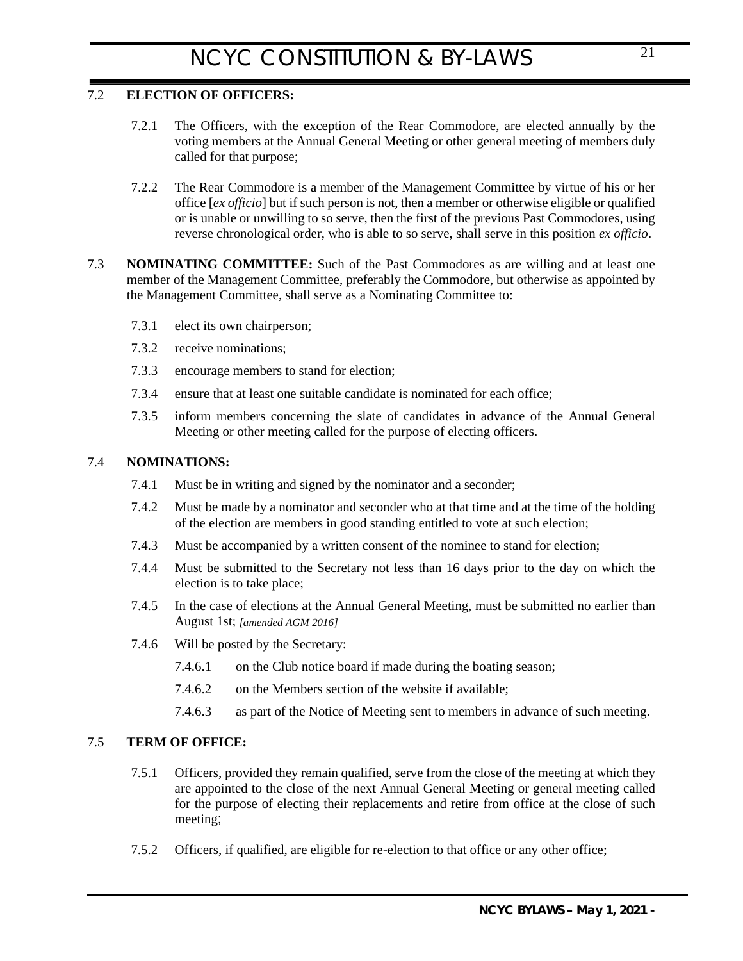## 7.2 **ELECTION OF OFFICERS:**

- <span id="page-20-0"></span>7.2.1 The Officers, with the exception of the Rear Commodore, are elected annually by the voting members at the Annual General Meeting or other general meeting of members duly called for that purpose;
- <span id="page-20-1"></span>7.2.2 The Rear Commodore is a member of the Management Committee by virtue of his or her office [*ex officio*] but if such person is not, then a member or otherwise eligible or qualified or is unable or unwilling to so serve, then the first of the previous Past Commodores, using reverse chronological order, who is able to so serve, shall serve in this position *ex officio*.
- 7.3 **NOMINATING COMMITTEE:** Such of the Past Commodores as are willing and at least one member of the Management Committee, preferably the Commodore, but otherwise as appointed by the Management Committee, shall serve as a Nominating Committee to:
	- 7.3.1 elect its own chairperson;
	- 7.3.2 receive nominations;
	- 7.3.3 encourage members to stand for election;
	- 7.3.4 ensure that at least one suitable candidate is nominated for each office;
	- 7.3.5 inform members concerning the slate of candidates in advance of the Annual General Meeting or other meeting called for the purpose of electing officers.

## 7.4 **NOMINATIONS:**

- <span id="page-20-2"></span>7.4.1 Must be in writing and signed by the nominator and a seconder;
- 7.4.2 Must be made by a nominator and seconder who at that time and at the time of the holding of the election are members in good standing entitled to vote at such election;
- 7.4.3 Must be accompanied by a written consent of the nominee to stand for election;
- 7.4.4 Must be submitted to the Secretary not less than 16 days prior to the day on which the election is to take place;
- 7.4.5 In the case of elections at the Annual General Meeting, must be submitted no earlier than August 1st; *[amended AGM 2016]*
- 7.4.6 Will be posted by the Secretary:
	- 7.4.6.1 on the Club notice board if made during the boating season;
	- 7.4.6.2 on the Members section of the website if available;
	- 7.4.6.3 as part of the Notice of Meeting sent to members in advance of such meeting.

## 7.5 **TERM OF OFFICE:**

- <span id="page-20-3"></span>7.5.1 Officers, provided they remain qualified, serve from the close of the meeting at which they are appointed to the close of the next Annual General Meeting or general meeting called for the purpose of electing their replacements and retire from office at the close of such meeting;
- 7.5.2 Officers, if qualified, are eligible for re-election to that office or any other office;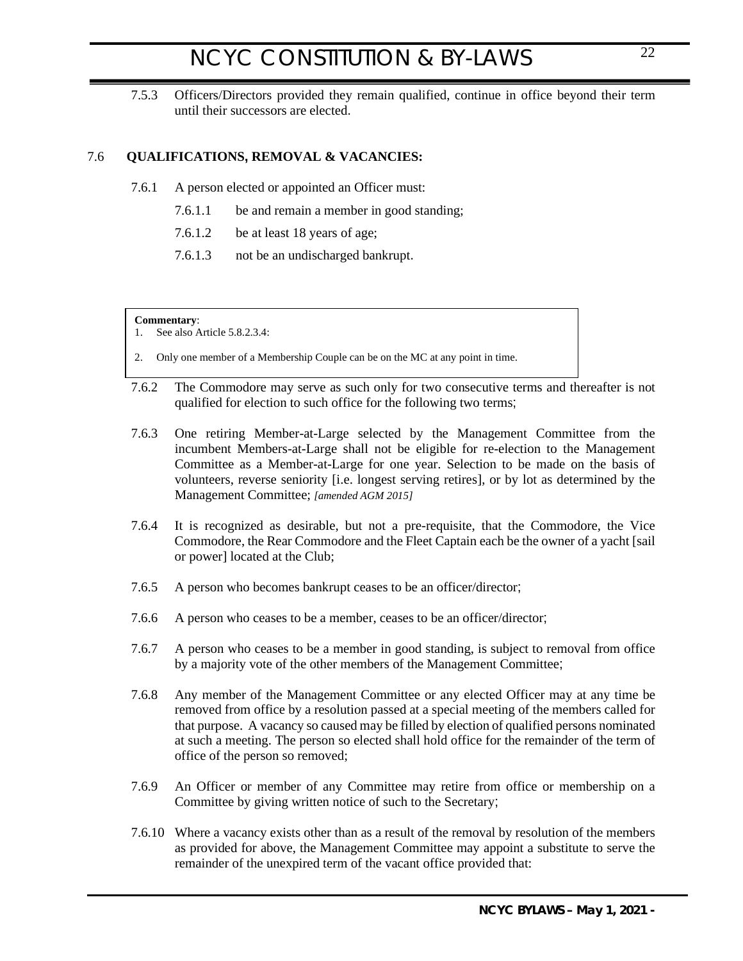7.5.3 Officers/Directors provided they remain qualified, continue in office beyond their term until their successors are elected.

## 7.6 **QUALIFICATIONS, REMOVAL & VACANCIES:**

- <span id="page-21-0"></span>7.6.1 A person elected or appointed an Officer must:
	- 7.6.1.1 be and remain a member in good standing;
	- 7.6.1.2 be at least 18 years of age;
	- 7.6.1.3 not be an undischarged bankrupt.

#### **Commentary**:

1. See also Article 5.8.2.3.4:

- 2. Only one member of a Membership Couple can be on the MC at any point in time.
- 7.6.2 The Commodore may serve as such only for two consecutive terms and thereafter is not qualified for election to such office for the following two terms;
- 7.6.3 One retiring Member-at-Large selected by the Management Committee from the incumbent Members-at-Large shall not be eligible for re-election to the Management Committee as a Member-at-Large for one year. Selection to be made on the basis of volunteers, reverse seniority [i.e. longest serving retires], or by lot as determined by the Management Committee; *[amended AGM 2015]*
- 7.6.4 It is recognized as desirable, but not a pre-requisite, that the Commodore, the Vice Commodore, the Rear Commodore and the Fleet Captain each be the owner of a yacht [sail or power] located at the Club;
- 7.6.5 A person who becomes bankrupt ceases to be an officer/director;
- 7.6.6 A person who ceases to be a member, ceases to be an officer/director;
- 7.6.7 A person who ceases to be a member in good standing, is subject to removal from office by a majority vote of the other members of the Management Committee;
- 7.6.8 Any member of the Management Committee or any elected Officer may at any time be removed from office by a resolution passed at a special meeting of the members called for that purpose. A vacancy so caused may be filled by election of qualified persons nominated at such a meeting. The person so elected shall hold office for the remainder of the term of office of the person so removed;
- 7.6.9 An Officer or member of any Committee may retire from office or membership on a Committee by giving written notice of such to the Secretary;
- 7.6.10 Where a vacancy exists other than as a result of the removal by resolution of the members as provided for above, the Management Committee may appoint a substitute to serve the remainder of the unexpired term of the vacant office provided that: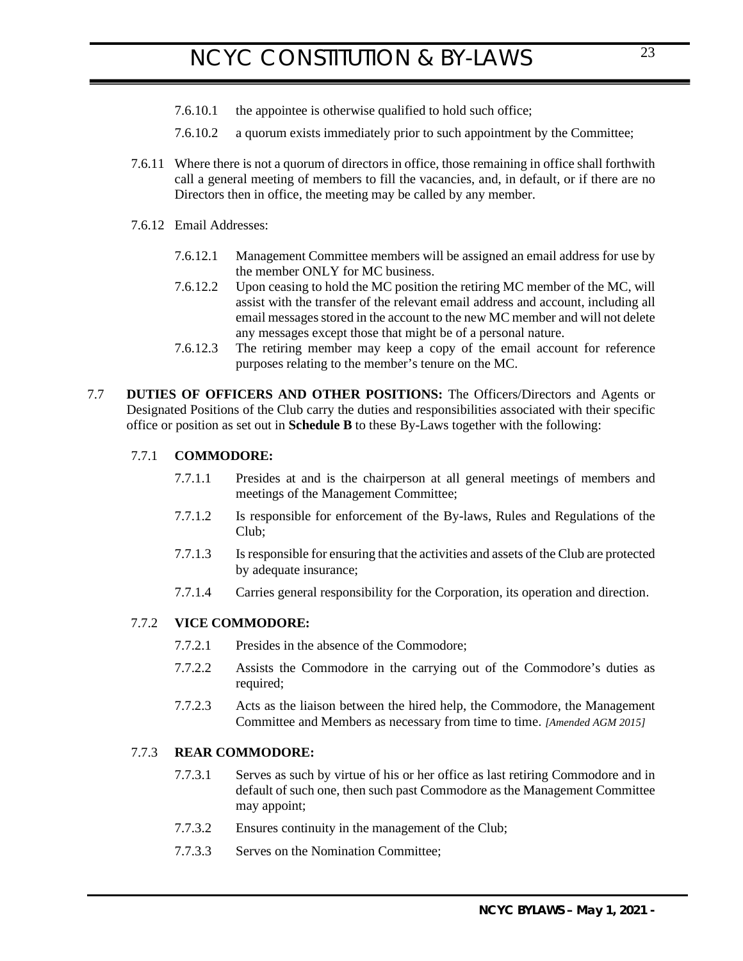- 7.6.10.1 the appointee is otherwise qualified to hold such office;
- 7.6.10.2 a quorum exists immediately prior to such appointment by the Committee;
- 7.6.11 Where there is not a quorum of directors in office, those remaining in office shall forthwith call a general meeting of members to fill the vacancies, and, in default, or if there are no Directors then in office, the meeting may be called by any member.
- 7.6.12 Email Addresses:
	- 7.6.12.1 Management Committee members will be assigned an email address for use by the member ONLY for MC business.
	- 7.6.12.2 Upon ceasing to hold the MC position the retiring MC member of the MC, will assist with the transfer of the relevant email address and account, including all email messages stored in the account to the new MC member and will not delete any messages except those that might be of a personal nature.
	- 7.6.12.3 The retiring member may keep a copy of the email account for reference purposes relating to the member's tenure on the MC.
- 7.7 **DUTIES OF OFFICERS AND OTHER POSITIONS:** The Officers/Directors and Agents or Designated Positions of the Club carry the duties and responsibilities associated with their specific office or position as set out in **Schedule B** to these By-Laws together with the following:

### 7.7.1 **COMMODORE:**

- <span id="page-22-1"></span><span id="page-22-0"></span>7.7.1.1 Presides at and is the chairperson at all general meetings of members and meetings of the Management Committee;
- 7.7.1.2 Is responsible for enforcement of the By-laws, Rules and Regulations of the Club;
- 7.7.1.3 Is responsible for ensuring that the activities and assets of the Club are protected by adequate insurance;
- 7.7.1.4 Carries general responsibility for the Corporation, its operation and direction.

### 7.7.2 **VICE COMMODORE:**

- <span id="page-22-2"></span>7.7.2.1 Presides in the absence of the Commodore;
- 7.7.2.2 Assists the Commodore in the carrying out of the Commodore's duties as required;
- 7.7.2.3 Acts as the liaison between the hired help, the Commodore, the Management Committee and Members as necessary from time to time. *[Amended AGM 2015]*

#### 7.7.3 **REAR COMMODORE:**

- <span id="page-22-3"></span>7.7.3.1 Serves as such by virtue of his or her office as last retiring Commodore and in default of such one, then such past Commodore as the Management Committee may appoint;
- 7.7.3.2 Ensures continuity in the management of the Club;
- 7.7.3.3 Serves on the Nomination Committee;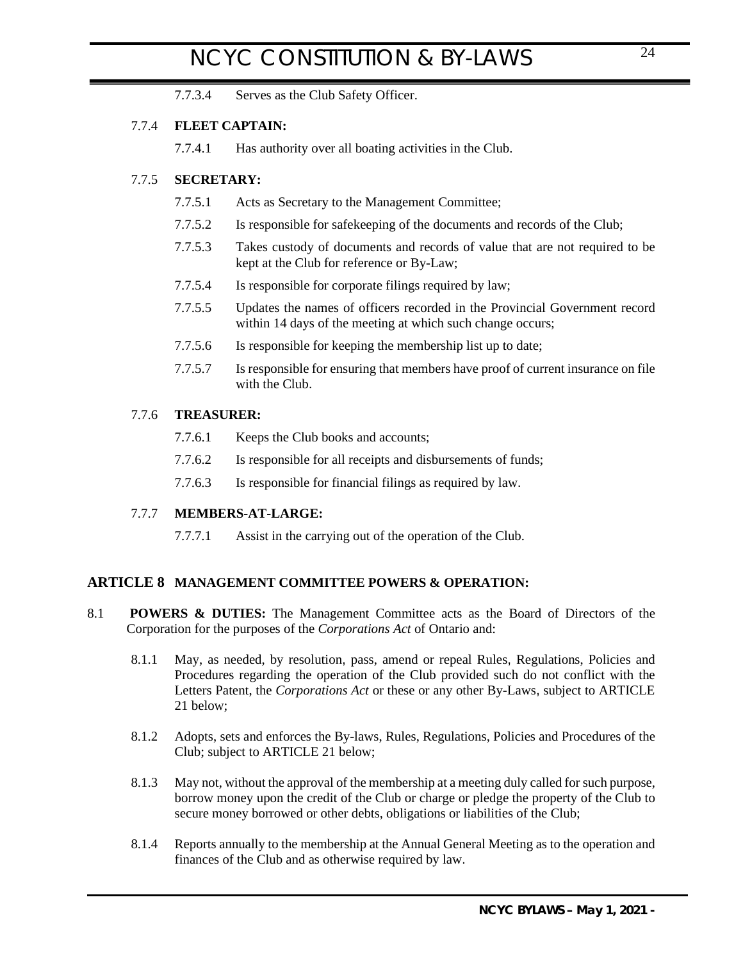7.7.3.4 Serves as the Club Safety Officer.

## 7.7.4 **FLEET CAPTAIN:**

<span id="page-23-0"></span>7.7.4.1 Has authority over all boating activities in the Club.

## 7.7.5 **SECRETARY:**

- <span id="page-23-1"></span>7.7.5.1 Acts as Secretary to the Management Committee;
- 7.7.5.2 Is responsible for safekeeping of the documents and records of the Club;
- 7.7.5.3 Takes custody of documents and records of value that are not required to be kept at the Club for reference or By-Law;
- 7.7.5.4 Is responsible for corporate filings required by law;
- 7.7.5.5 Updates the names of officers recorded in the Provincial Government record within 14 days of the meeting at which such change occurs;
- 7.7.5.6 Is responsible for keeping the membership list up to date;
- 7.7.5.7 Is responsible for ensuring that members have proof of current insurance on file with the Club.

## 7.7.6 **TREASURER:**

- <span id="page-23-2"></span>7.7.6.1 Keeps the Club books and accounts;
- 7.7.6.2 Is responsible for all receipts and disbursements of funds;
- 7.7.6.3 Is responsible for financial filings as required by law.

## 7.7.7 **MEMBERS-AT-LARGE:**

<span id="page-23-5"></span><span id="page-23-4"></span><span id="page-23-3"></span>7.7.7.1 Assist in the carrying out of the operation of the Club.

## **ARTICLE 8 MANAGEMENT COMMITTEE POWERS & OPERATION:**

- 8.1 **POWERS & DUTIES:** The Management Committee acts as the Board of Directors of the Corporation for the purposes of the *Corporations Act* of Ontario and:
	- 8.1.1 May, as needed, by resolution, pass, amend or repeal Rules, Regulations, Policies and Procedures regarding the operation of the Club provided such do not conflict with the Letters Patent, the *Corporations Act* or these or any other By-Laws, subject to [ARTICLE](#page-35-4)  [21 below;](#page-35-4)
	- 8.1.2 Adopts, sets and enforces the By-laws, Rules, Regulations, Policies and Procedures of the Club; subject to [ARTICLE 21 below;](#page-35-4)
	- 8.1.3 May not, without the approval of the membership at a meeting duly called for such purpose, borrow money upon the credit of the Club or charge or pledge the property of the Club to secure money borrowed or other debts, obligations or liabilities of the Club;
	- 8.1.4 Reports annually to the membership at the Annual General Meeting as to the operation and finances of the Club and as otherwise required by law.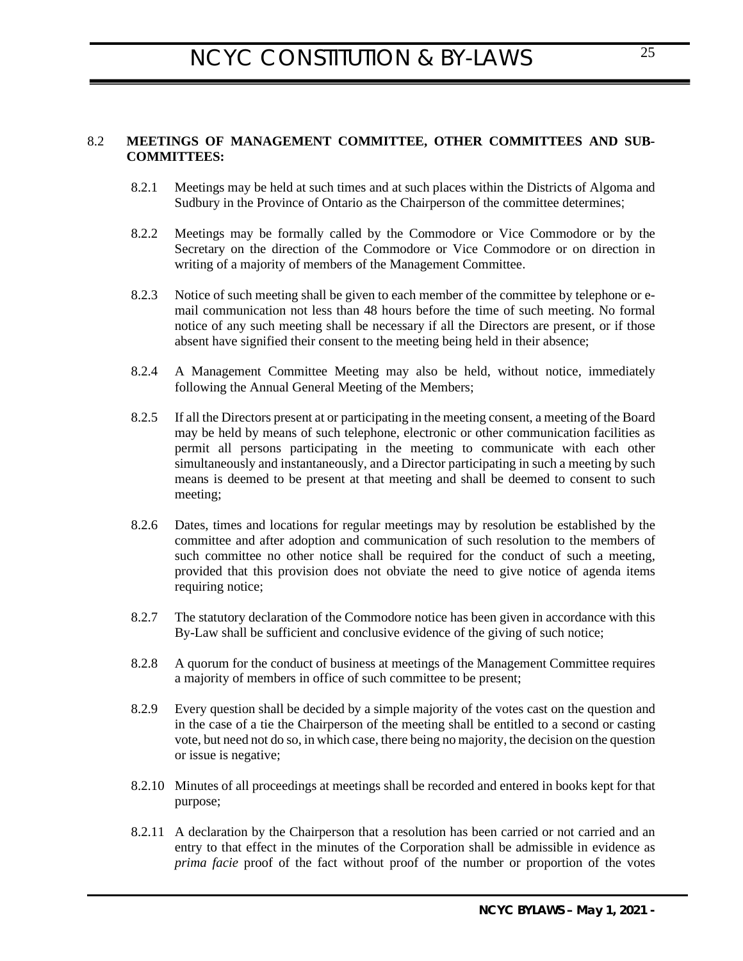## 8.2 **MEETINGS OF MANAGEMENT COMMITTEE, OTHER COMMITTEES AND SUB-COMMITTEES:**

- <span id="page-24-0"></span>8.2.1 Meetings may be held at such times and at such places within the Districts of Algoma and Sudbury in the Province of Ontario as the Chairperson of the committee determines;
- 8.2.2 Meetings may be formally called by the Commodore or Vice Commodore or by the Secretary on the direction of the Commodore or Vice Commodore or on direction in writing of a majority of members of the Management Committee.
- 8.2.3 Notice of such meeting shall be given to each member of the committee by telephone or email communication not less than 48 hours before the time of such meeting. No formal notice of any such meeting shall be necessary if all the Directors are present, or if those absent have signified their consent to the meeting being held in their absence;
- 8.2.4 A Management Committee Meeting may also be held, without notice, immediately following the Annual General Meeting of the Members;
- 8.2.5 If all the Directors present at or participating in the meeting consent, a meeting of the Board may be held by means of such telephone, electronic or other communication facilities as permit all persons participating in the meeting to communicate with each other simultaneously and instantaneously, and a Director participating in such a meeting by such means is deemed to be present at that meeting and shall be deemed to consent to such meeting;
- 8.2.6 Dates, times and locations for regular meetings may by resolution be established by the committee and after adoption and communication of such resolution to the members of such committee no other notice shall be required for the conduct of such a meeting, provided that this provision does not obviate the need to give notice of agenda items requiring notice;
- 8.2.7 The statutory declaration of the Commodore notice has been given in accordance with this By-Law shall be sufficient and conclusive evidence of the giving of such notice;
- <span id="page-24-1"></span>8.2.8 A quorum for the conduct of business at meetings of the Management Committee requires a majority of members in office of such committee to be present;
- 8.2.9 Every question shall be decided by a simple majority of the votes cast on the question and in the case of a tie the Chairperson of the meeting shall be entitled to a second or casting vote, but need not do so, in which case, there being no majority, the decision on the question or issue is negative;
- 8.2.10 Minutes of all proceedings at meetings shall be recorded and entered in books kept for that purpose;
- 8.2.11 A declaration by the Chairperson that a resolution has been carried or not carried and an entry to that effect in the minutes of the Corporation shall be admissible in evidence as *prima facie* proof of the fact without proof of the number or proportion of the votes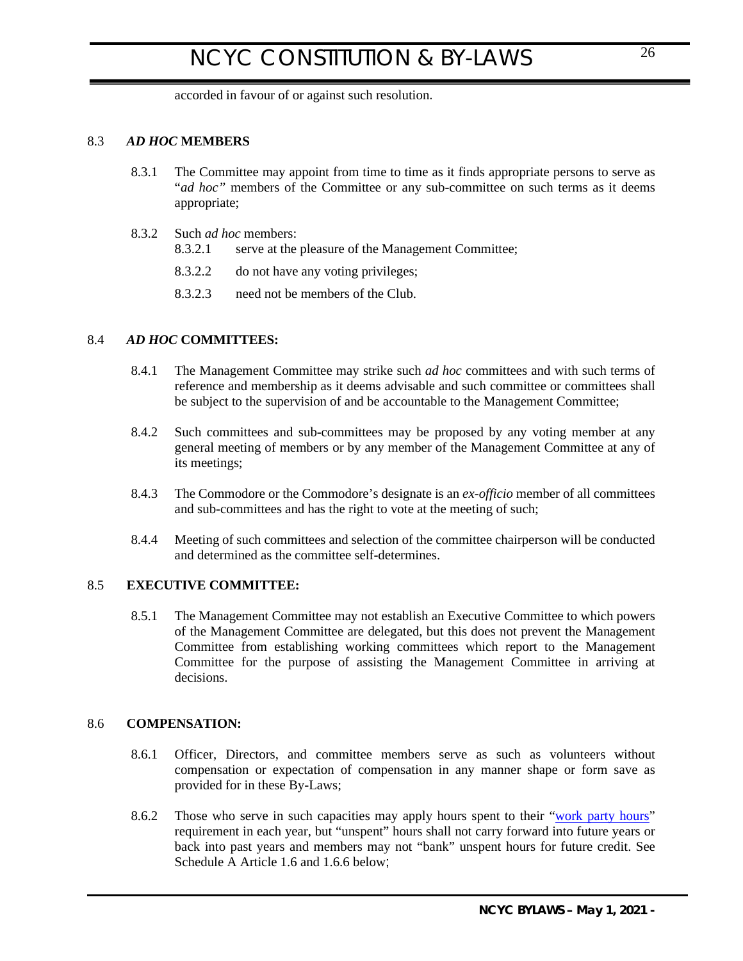<span id="page-25-0"></span>accorded in favour of or against such resolution.

## 8.3 *AD HOC* **MEMBERS**

- 8.3.1 The Committee may appoint from time to time as it finds appropriate persons to serve as "*ad hoc*" members of the Committee or any sub-committee on such terms as it deems appropriate;
- 8.3.2 Such *ad hoc* members:
	- 8.3.2.1 serve at the pleasure of the Management Committee;
	- 8.3.2.2 do not have any voting privileges;
	- 8.3.2.3 need not be members of the Club.

## 8.4 *AD HOC* **COMMITTEES:**

- <span id="page-25-1"></span>8.4.1 The Management Committee may strike such *ad hoc* committees and with such terms of reference and membership as it deems advisable and such committee or committees shall be subject to the supervision of and be accountable to the Management Committee;
- 8.4.2 Such committees and sub-committees may be proposed by any voting member at any general meeting of members or by any member of the Management Committee at any of its meetings;
- 8.4.3 The Commodore or the Commodore's designate is an *ex-officio* member of all committees and sub-committees and has the right to vote at the meeting of such;
- 8.4.4 Meeting of such committees and selection of the committee chairperson will be conducted and determined as the committee self-determines.

## 8.5 **EXECUTIVE COMMITTEE:**

<span id="page-25-2"></span>8.5.1 The Management Committee may not establish an Executive Committee to which powers of the Management Committee are delegated, but this does not prevent the Management Committee from establishing working committees which report to the Management Committee for the purpose of assisting the Management Committee in arriving at decisions.

### 8.6 **COMPENSATION:**

- <span id="page-25-3"></span>8.6.1 Officer, Directors, and committee members serve as such as volunteers without compensation or expectation of compensation in any manner shape or form save as provided for in these By-Laws;
- 8.6.2 Those who serve in such capacities may apply hours spent to their "work party hours" requirement in each year, but "unspent" hours shall not carry forward into future years or back into past years and members may not "bank" unspent hours for future credit. See Schedule A Article [1.6](#page-38-2) and [1.6.6 below](#page-39-1);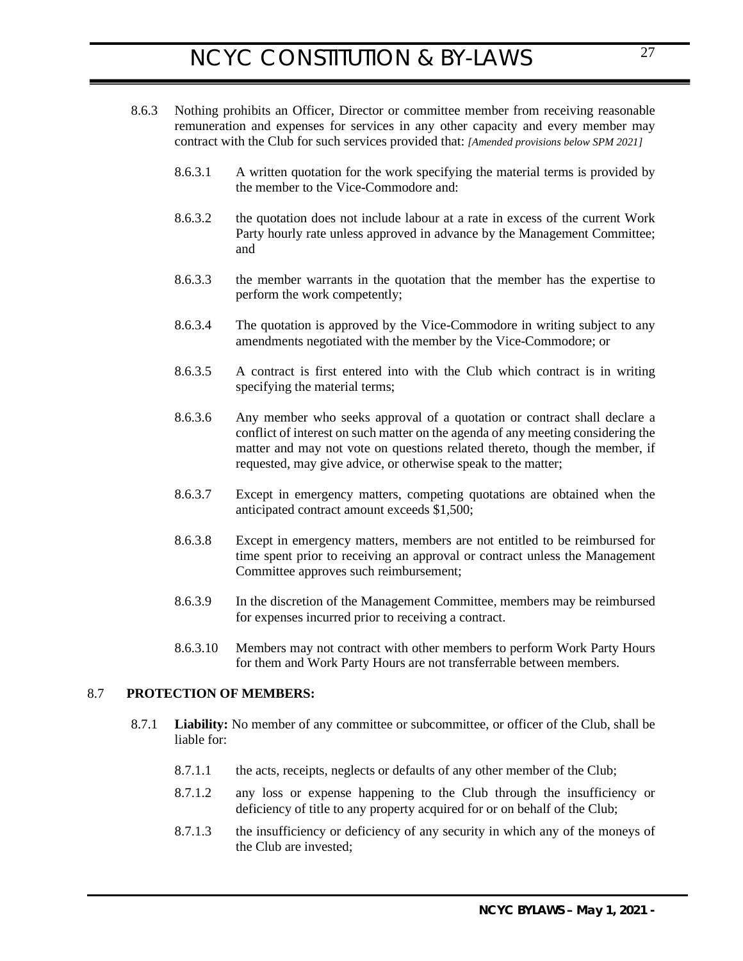- 8.6.3 Nothing prohibits an Officer, Director or committee member from receiving reasonable remuneration and expenses for services in any other capacity and every member may contract with the Club for such services provided that: *[Amended provisions below SPM 2021]*
	- 8.6.3.1 A written quotation for the work specifying the material terms is provided by the member to the Vice-Commodore and:
	- 8.6.3.2 the quotation does not include labour at a rate in excess of the current Work Party hourly rate unless approved in advance by the Management Committee; and
	- 8.6.3.3 the member warrants in the quotation that the member has the expertise to perform the work competently;
	- 8.6.3.4 The quotation is approved by the Vice-Commodore in writing subject to any amendments negotiated with the member by the Vice-Commodore; or
	- 8.6.3.5 A contract is first entered into with the Club which contract is in writing specifying the material terms;
	- 8.6.3.6 Any member who seeks approval of a quotation or contract shall declare a conflict of interest on such matter on the agenda of any meeting considering the matter and may not vote on questions related thereto, though the member, if requested, may give advice, or otherwise speak to the matter;
	- 8.6.3.7 Except in emergency matters, competing quotations are obtained when the anticipated contract amount exceeds \$1,500;
	- 8.6.3.8 Except in emergency matters, members are not entitled to be reimbursed for time spent prior to receiving an approval or contract unless the Management Committee approves such reimbursement;
	- 8.6.3.9 In the discretion of the Management Committee, members may be reimbursed for expenses incurred prior to receiving a contract.
	- 8.6.3.10 Members may not contract with other members to perform Work Party Hours for them and Work Party Hours are not transferrable between members.

### 8.7 **PROTECTION OF MEMBERS:**

- <span id="page-26-1"></span><span id="page-26-0"></span>8.7.1 **Liability:** No member of any committee or subcommittee, or officer of the Club, shall be liable for:
	- 8.7.1.1 the acts, receipts, neglects or defaults of any other member of the Club;
	- 8.7.1.2 any loss or expense happening to the Club through the insufficiency or deficiency of title to any property acquired for or on behalf of the Club;
	- 8.7.1.3 the insufficiency or deficiency of any security in which any of the moneys of the Club are invested;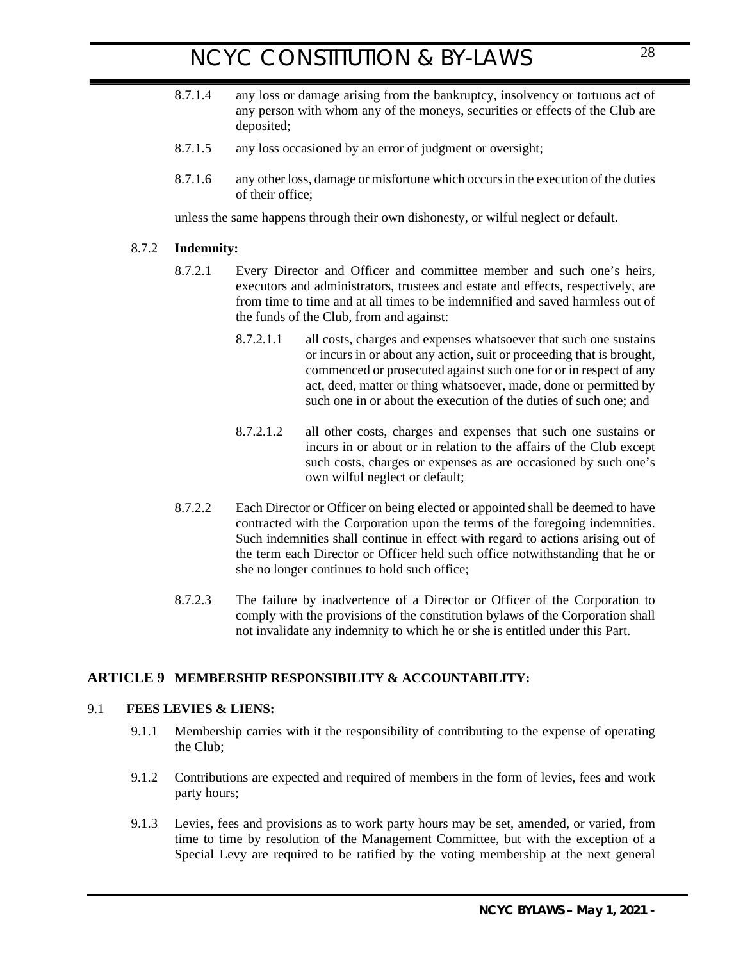- 8.7.1.4 any loss or damage arising from the bankruptcy, insolvency or tortuous act of any person with whom any of the moneys, securities or effects of the Club are deposited;
- 8.7.1.5 any loss occasioned by an error of judgment or oversight;
- 8.7.1.6 any other loss, damage or misfortune which occurs in the execution of the duties of their office;

unless the same happens through their own dishonesty, or wilful neglect or default.

### 8.7.2 **Indemnity:**

- <span id="page-27-0"></span>8.7.2.1 Every Director and Officer and committee member and such one's heirs, executors and administrators, trustees and estate and effects, respectively, are from time to time and at all times to be indemnified and saved harmless out of the funds of the Club, from and against:
	- 8.7.2.1.1 all costs, charges and expenses whatsoever that such one sustains or incurs in or about any action, suit or proceeding that is brought, commenced or prosecuted against such one for or in respect of any act, deed, matter or thing whatsoever, made, done or permitted by such one in or about the execution of the duties of such one; and
	- 8.7.2.1.2 all other costs, charges and expenses that such one sustains or incurs in or about or in relation to the affairs of the Club except such costs, charges or expenses as are occasioned by such one's own wilful neglect or default;
- 8.7.2.2 Each Director or Officer on being elected or appointed shall be deemed to have contracted with the Corporation upon the terms of the foregoing indemnities. Such indemnities shall continue in effect with regard to actions arising out of the term each Director or Officer held such office notwithstanding that he or she no longer continues to hold such office;
- <span id="page-27-1"></span>8.7.2.3 The failure by inadvertence of a Director or Officer of the Corporation to comply with the provisions of the constitution bylaws of the Corporation shall not invalidate any indemnity to which he or she is entitled under this Part.

## **ARTICLE 9 MEMBERSHIP RESPONSIBILITY & ACCOUNTABILITY:**

#### <span id="page-27-4"></span>9.1 **FEES LEVIES & LIENS:**

- <span id="page-27-2"></span>9.1.1 Membership carries with it the responsibility of contributing to the expense of operating the Club;
- 9.1.2 Contributions are expected and required of members in the form of levies, fees and work party hours;
- <span id="page-27-3"></span>9.1.3 Levies, fees and provisions as to work party hours may be set, amended, or varied, from time to time by resolution of the Management Committee, but with the exception of a Special Levy are required to be ratified by the voting membership at the next general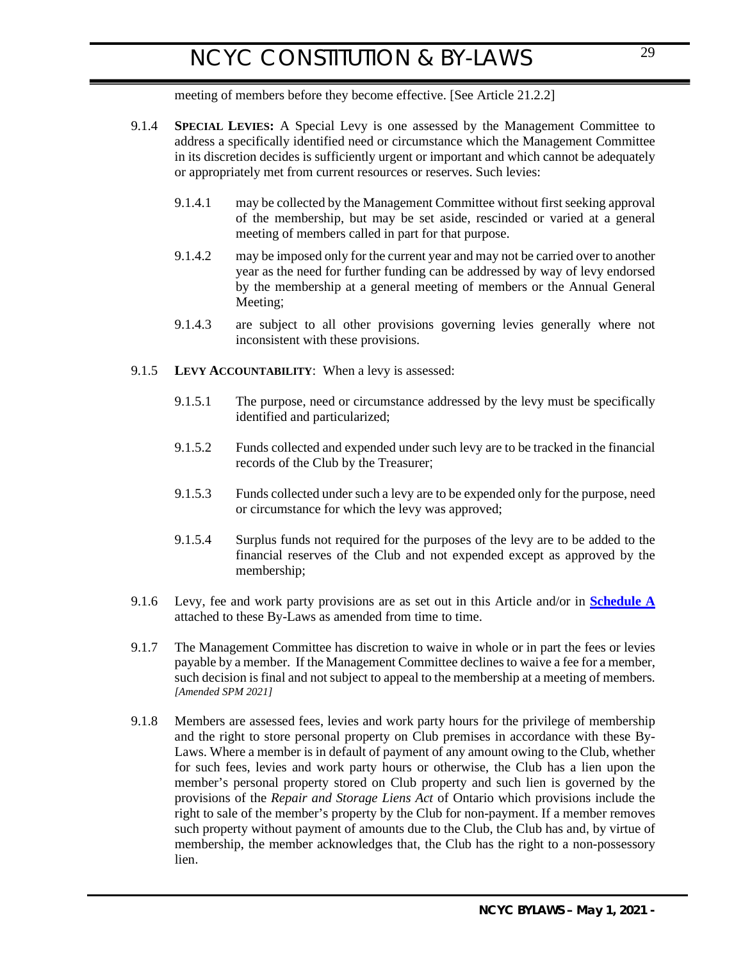meeting of members before they become effective. [See Article 21.2.2]

- <span id="page-28-0"></span>9.1.4 **SPECIAL LEVIES:** A Special Levy is one assessed by the Management Committee to address a specifically identified need or circumstance which the Management Committee in its discretion decides is sufficiently urgent or important and which cannot be adequately or appropriately met from current resources or reserves. Such levies:
	- 9.1.4.1 may be collected by the Management Committee without first seeking approval of the membership, but may be set aside, rescinded or varied at a general meeting of members called in part for that purpose.
	- 9.1.4.2 may be imposed only for the current year and may not be carried over to another year as the need for further funding can be addressed by way of levy endorsed by the membership at a general meeting of members or the Annual General Meeting;
	- 9.1.4.3 are subject to all other provisions governing levies generally where not inconsistent with these provisions.
- 9.1.5 **LEVY ACCOUNTABILITY**:When a levy is assessed:
	- 9.1.5.1 The purpose, need or circumstance addressed by the levy must be specifically identified and particularized;
	- 9.1.5.2 Funds collected and expended under such levy are to be tracked in the financial records of the Club by the Treasurer;
	- 9.1.5.3 Funds collected under such a levy are to be expended only for the purpose, need or circumstance for which the levy was approved;
	- 9.1.5.4 Surplus funds not required for the purposes of the levy are to be added to the financial reserves of the Club and not expended except as approved by the membership;
- 9.1.6 Levy, fee and work party provisions are as set out in this Article and/or in **[Schedule A](#page-38-1)** attached to these By-Laws as amended from time to time.
- <span id="page-28-1"></span>9.1.7 The Management Committee has discretion to waive in whole or in part the fees or levies payable by a member. If the Management Committee declines to waive a fee for a member, such decision is final and not subject to appeal to the membership at a meeting of members. *[Amended SPM 2021]*
- 9.1.8 Members are assessed fees, levies and work party hours for the privilege of membership and the right to store personal property on Club premises in accordance with these By-Laws. Where a member is in default of payment of any amount owing to the Club, whether for such fees, levies and work party hours or otherwise, the Club has a lien upon the member's personal property stored on Club property and such lien is governed by the provisions of the *Repair and Storage Liens Act* of Ontario which provisions include the right to sale of the member's property by the Club for non-payment. If a member removes such property without payment of amounts due to the Club, the Club has and, by virtue of membership, the member acknowledges that, the Club has the right to a non-possessory lien.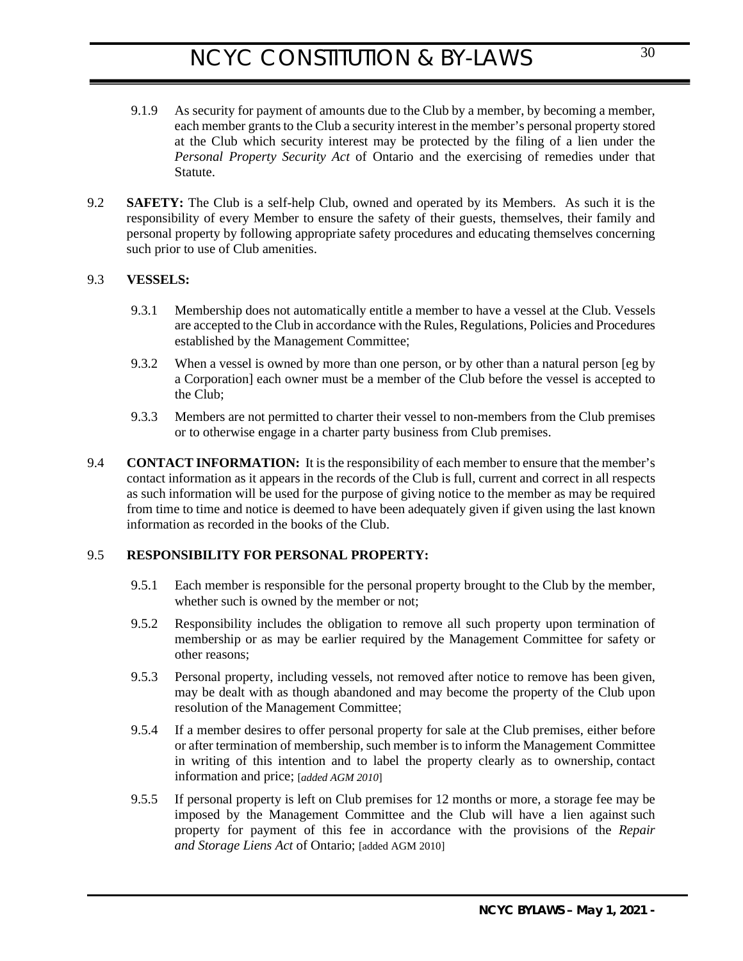- 9.1.9 As security for payment of amounts due to the Club by a member, by becoming a member, each member grants to the Club a security interest in the member's personal property stored at the Club which security interest may be protected by the filing of a lien under the *Personal Property Security Act* of Ontario and the exercising of remedies under that Statute.
- <span id="page-29-0"></span>9.2 **SAFETY:** The Club is a self-help Club, owned and operated by its Members. As such it is the responsibility of every Member to ensure the safety of their guests, themselves, their family and personal property by following appropriate safety procedures and educating themselves concerning such prior to use of Club amenities.

### 9.3 **VESSELS:**

- <span id="page-29-1"></span>9.3.1 Membership does not automatically entitle a member to have a vessel at the Club. Vessels are accepted to the Club in accordance with the Rules, Regulations, Policies and Procedures established by the Management Committee;
- 9.3.2 When a vessel is owned by more than one person, or by other than a natural person [eg by a Corporation] each owner must be a member of the Club before the vessel is accepted to the Club;
- <span id="page-29-2"></span>9.3.3 Members are not permitted to charter their vessel to non-members from the Club premises or to otherwise engage in a charter party business from Club premises.
- 9.4 **CONTACT INFORMATION:** It is the responsibility of each member to ensure that the member's contact information as it appears in the records of the Club is full, current and correct in all respects as such information will be used for the purpose of giving notice to the member as may be required from time to time and notice is deemed to have been adequately given if given using the last known information as recorded in the books of the Club.

## 9.5 **RESPONSIBILITY FOR PERSONAL PROPERTY:**

- <span id="page-29-3"></span>9.5.1 Each member is responsible for the personal property brought to the Club by the member, whether such is owned by the member or not;
- 9.5.2 Responsibility includes the obligation to remove all such property upon termination of membership or as may be earlier required by the Management Committee for safety or other reasons;
- 9.5.3 Personal property, including vessels, not removed after notice to remove has been given, may be dealt with as though abandoned and may become the property of the Club upon resolution of the Management Committee;
- 9.5.4 If a member desires to offer personal property for sale at the Club premises, either before or after termination of membership, such member is to inform the Management Committee in writing of this intention and to label the property clearly as to ownership, contact information and price; [*added AGM 2010*]
- 9.5.5 If personal property is left on Club premises for 12 months or more, a storage fee may be imposed by the Management Committee and the Club will have a lien against such property for payment of this fee in accordance with the provisions of the *Repair and Storage Liens Act* of Ontario; [added AGM 2010]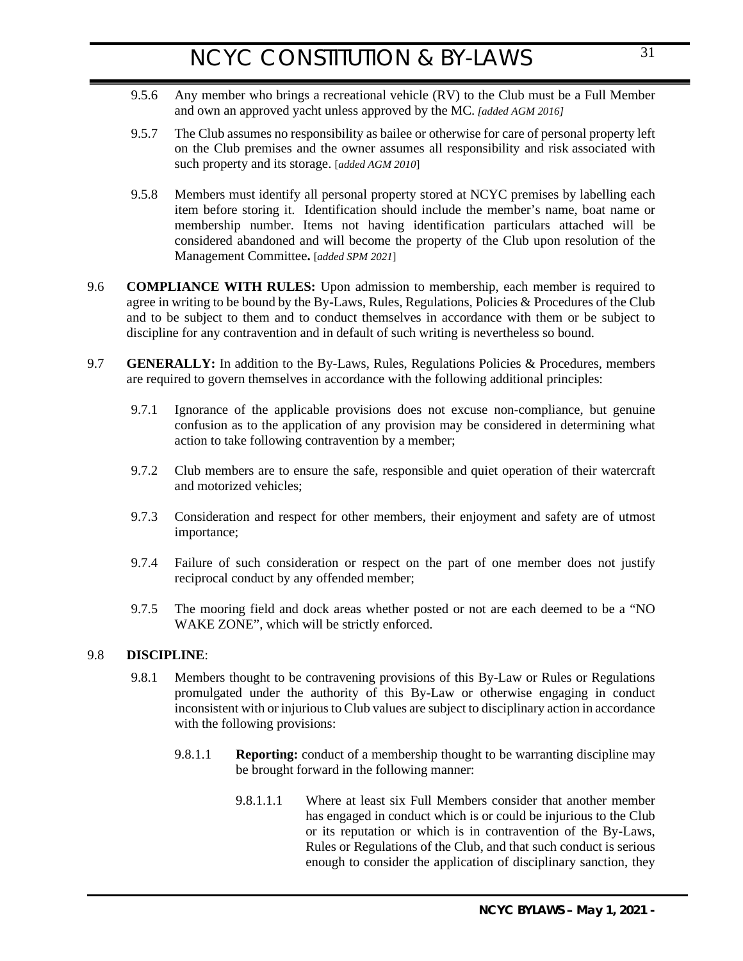- 9.5.6 Any member who brings a recreational vehicle (RV) to the Club must be a Full Member and own an approved yacht unless approved by the MC. *[added AGM 2016]*
- 9.5.7 The Club assumes no responsibility as bailee or otherwise for care of personal property left on the Club premises and the owner assumes all responsibility and risk associated with such property and its storage. [*added AGM 2010*]
- <span id="page-30-0"></span>9.5.8 Members must identify all personal property stored at NCYC premises by labelling each item before storing it. Identification should include the member's name, boat name or membership number. Items not having identification particulars attached will be considered abandoned and will become the property of the Club upon resolution of the Management Committee**.** [*added SPM 2021*]
- 9.6 **COMPLIANCE WITH RULES:** Upon admission to membership, each member is required to agree in writing to be bound by the By-Laws, Rules, Regulations, Policies & Procedures of the Club and to be subject to them and to conduct themselves in accordance with them or be subject to discipline for any contravention and in default of such writing is nevertheless so bound.
- <span id="page-30-1"></span>9.7 **GENERALLY:** In addition to the By-Laws, Rules, Regulations Policies & Procedures, members are required to govern themselves in accordance with the following additional principles:
	- 9.7.1 Ignorance of the applicable provisions does not excuse non-compliance, but genuine confusion as to the application of any provision may be considered in determining what action to take following contravention by a member;
	- 9.7.2 Club members are to ensure the safe, responsible and quiet operation of their watercraft and motorized vehicles;
	- 9.7.3 Consideration and respect for other members, their enjoyment and safety are of utmost importance;
	- 9.7.4 Failure of such consideration or respect on the part of one member does not justify reciprocal conduct by any offended member;
	- 9.7.5 The mooring field and dock areas whether posted or not are each deemed to be a "NO WAKE ZONE", which will be strictly enforced.

### 9.8 **DISCIPLINE**:

- <span id="page-30-3"></span><span id="page-30-2"></span>9.8.1 Members thought to be contravening provisions of this By-Law or Rules or Regulations promulgated under the authority of this By-Law or otherwise engaging in conduct inconsistent with or injurious to Club values are subject to disciplinary action in accordance with the following provisions:
	- 9.8.1.1 **Reporting:** conduct of a membership thought to be warranting discipline may be brought forward in the following manner:
		- 9.8.1.1.1 Where at least six Full Members consider that another member has engaged in conduct which is or could be injurious to the Club or its reputation or which is in contravention of the By-Laws, Rules or Regulations of the Club, and that such conduct is serious enough to consider the application of disciplinary sanction, they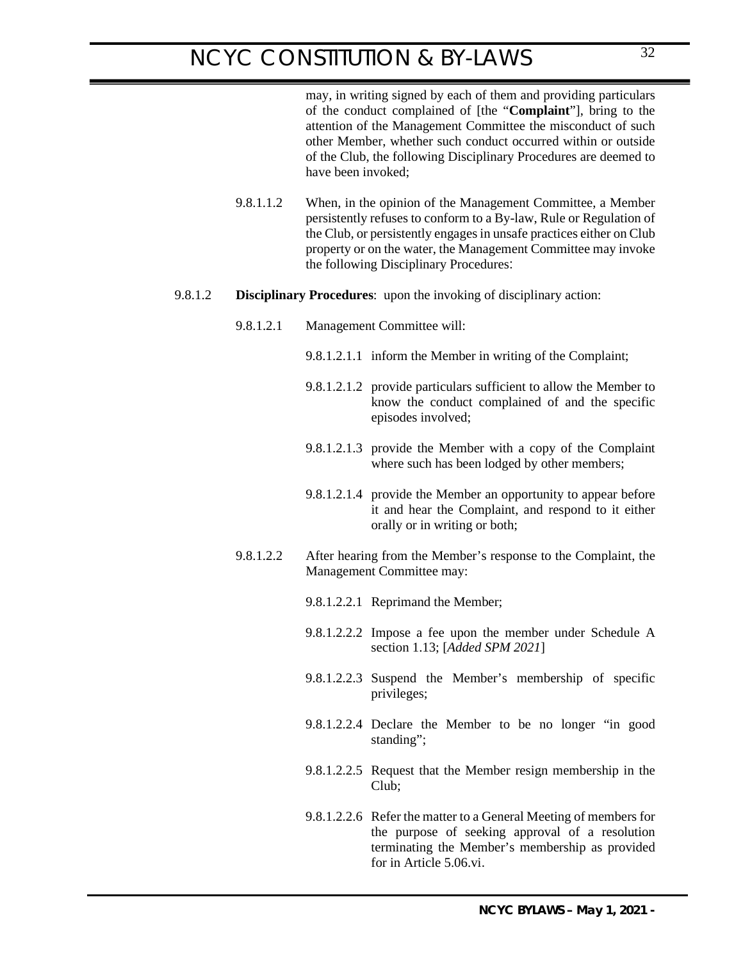9.8.1.1.2 When, in the opinion of the Management Committee, a Member persistently refuses to conform to a By-law, Rule or Regulation of the Club, or persistently engages in unsafe practices either on Club property or on the water, the Management Committee may invoke the following Disciplinary Procedures:

### 9.8.1.2 **Disciplinary Procedures**: upon the invoking of disciplinary action:

- <span id="page-31-0"></span>9.8.1.2.1 Management Committee will:
	- 9.8.1.2.1.1 inform the Member in writing of the Complaint;
	- 9.8.1.2.1.2 provide particulars sufficient to allow the Member to know the conduct complained of and the specific episodes involved;
	- 9.8.1.2.1.3 provide the Member with a copy of the Complaint where such has been lodged by other members;
	- 9.8.1.2.1.4 provide the Member an opportunity to appear before it and hear the Complaint, and respond to it either orally or in writing or both;
- 9.8.1.2.2 After hearing from the Member's response to the Complaint, the Management Committee may:
	- 9.8.1.2.2.1 Reprimand the Member;
	- 9.8.1.2.2.2 Impose a fee upon the member under Schedule A section 1.13; [*Added SPM 2021*]
	- 9.8.1.2.2.3 Suspend the Member's membership of specific privileges;
	- 9.8.1.2.2.4 Declare the Member to be no longer "in good standing";
	- 9.8.1.2.2.5 Request that the Member resign membership in the  $Cl<sub>u</sub>$ <sub>b</sub>.
	- 9.8.1.2.2.6 Refer the matter to a General Meeting of members for the purpose of seeking approval of a resolution terminating the Member's membership as provided for in Article 5.06.vi.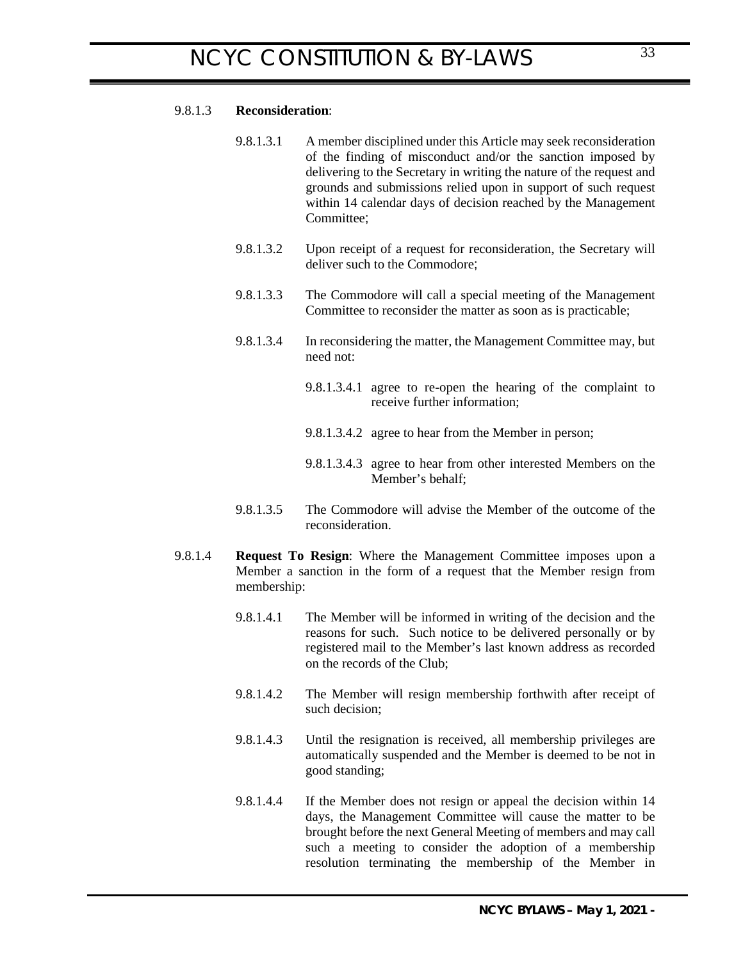## 9.8.1.3 **Reconsideration**:

- <span id="page-32-0"></span>9.8.1.3.1 A member disciplined under this Article may seek reconsideration of the finding of misconduct and/or the sanction imposed by delivering to the Secretary in writing the nature of the request and grounds and submissions relied upon in support of such request within 14 calendar days of decision reached by the Management Committee;
- 9.8.1.3.2 Upon receipt of a request for reconsideration, the Secretary will deliver such to the Commodore;
- 9.8.1.3.3 The Commodore will call a special meeting of the Management Committee to reconsider the matter as soon as is practicable;
- 9.8.1.3.4 In reconsidering the matter, the Management Committee may, but need not:
	- 9.8.1.3.4.1 agree to re-open the hearing of the complaint to receive further information;
	- 9.8.1.3.4.2 agree to hear from the Member in person;
	- 9.8.1.3.4.3 agree to hear from other interested Members on the Member's behalf;
- <span id="page-32-1"></span>9.8.1.3.5 The Commodore will advise the Member of the outcome of the reconsideration.
- 9.8.1.4 **Request To Resign**: Where the Management Committee imposes upon a Member a sanction in the form of a request that the Member resign from membership:
	- 9.8.1.4.1 The Member will be informed in writing of the decision and the reasons for such. Such notice to be delivered personally or by registered mail to the Member's last known address as recorded on the records of the Club;
	- 9.8.1.4.2 The Member will resign membership forthwith after receipt of such decision;
	- 9.8.1.4.3 Until the resignation is received, all membership privileges are automatically suspended and the Member is deemed to be not in good standing;
	- 9.8.1.4.4 If the Member does not resign or appeal the decision within 14 days, the Management Committee will cause the matter to be brought before the next General Meeting of members and may call such a meeting to consider the adoption of a membership resolution terminating the membership of the Member in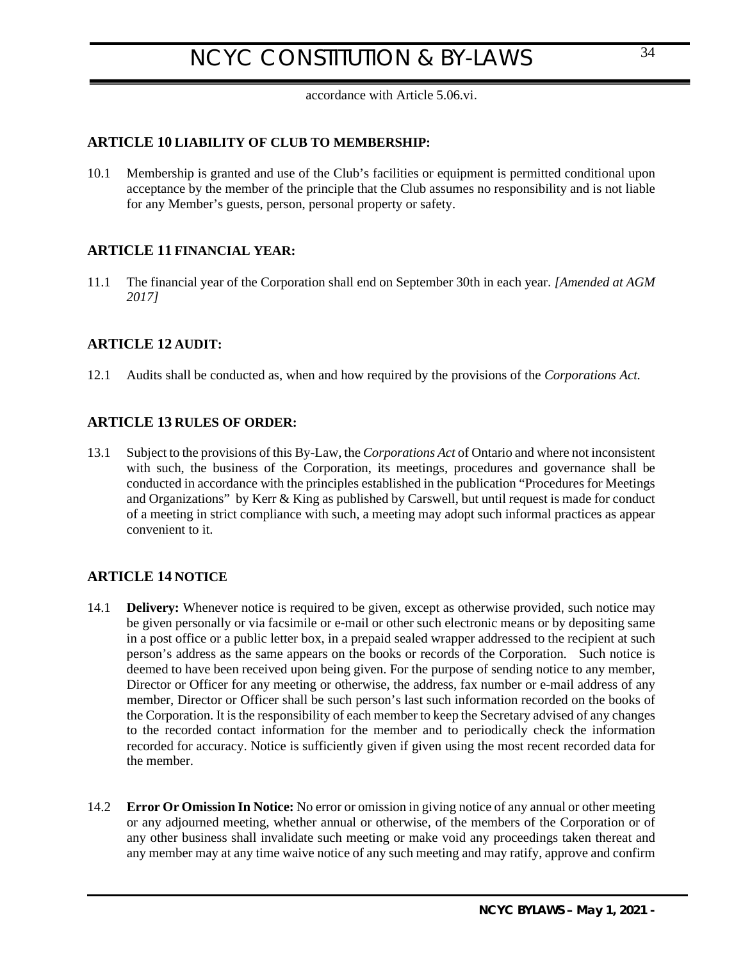<span id="page-33-1"></span><span id="page-33-0"></span>accordance with Article 5.06.vi.

## **ARTICLE 10 LIABILITY OF CLUB TO MEMBERSHIP:**

10.1 Membership is granted and use of the Club's facilities or equipment is permitted conditional upon acceptance by the member of the principle that the Club assumes no responsibility and is not liable for any Member's guests, person, personal property or safety.

## **ARTICLE 11 FINANCIAL YEAR:**

11.1 The financial year of the Corporation shall end on September 30th in each year. *[Amended at AGM 2017]*

## <span id="page-33-2"></span>**ARTICLE 12 AUDIT:**

12.1 Audits shall be conducted as, when and how required by the provisions of the *Corporations Act.*

## <span id="page-33-3"></span>**ARTICLE 13 RULES OF ORDER:**

13.1 Subject to the provisions of this By-Law, the *Corporations Act* of Ontario and where not inconsistent with such, the business of the Corporation, its meetings, procedures and governance shall be conducted in accordance with the principles established in the publication "Procedures for Meetings and Organizations" by Kerr & King as published by Carswell, but until request is made for conduct of a meeting in strict compliance with such, a meeting may adopt such informal practices as appear convenient to it.

## <span id="page-33-4"></span>**ARTICLE 14 NOTICE**

- <span id="page-33-5"></span>14.1 **Delivery:** Whenever notice is required to be given, except as otherwise provided, such notice may be given personally or via facsimile or e-mail or other such electronic means or by depositing same in a post office or a public letter box, in a prepaid sealed wrapper addressed to the recipient at such person's address as the same appears on the books or records of the Corporation. Such notice is deemed to have been received upon being given. For the purpose of sending notice to any member, Director or Officer for any meeting or otherwise, the address, fax number or e-mail address of any member, Director or Officer shall be such person's last such information recorded on the books of the Corporation. It is the responsibility of each member to keep the Secretary advised of any changes to the recorded contact information for the member and to periodically check the information recorded for accuracy. Notice is sufficiently given if given using the most recent recorded data for the member.
- <span id="page-33-6"></span>14.2 **Error Or Omission In Notice:** No error or omission in giving notice of any annual or other meeting or any adjourned meeting, whether annual or otherwise, of the members of the Corporation or of any other business shall invalidate such meeting or make void any proceedings taken thereat and any member may at any time waive notice of any such meeting and may ratify, approve and confirm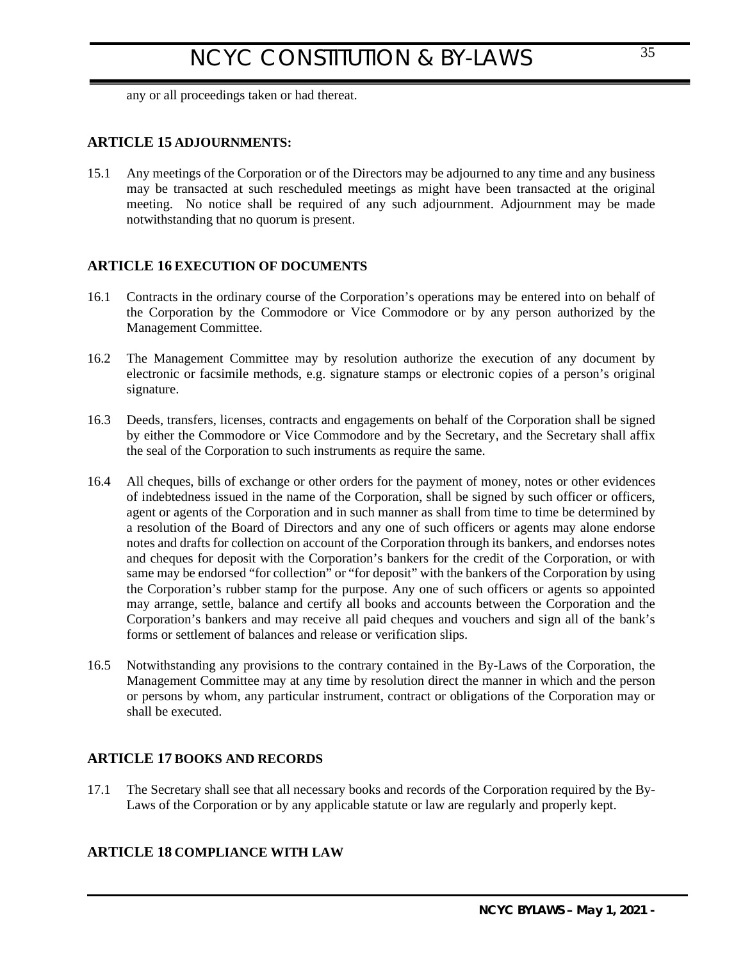<span id="page-34-0"></span>any or all proceedings taken or had thereat.

## **ARTICLE 15 ADJOURNMENTS:**

15.1 Any meetings of the Corporation or of the Directors may be adjourned to any time and any business may be transacted at such rescheduled meetings as might have been transacted at the original meeting. No notice shall be required of any such adjournment. Adjournment may be made notwithstanding that no quorum is present.

## <span id="page-34-1"></span>**ARTICLE 16 EXECUTION OF DOCUMENTS**

- 16.1 Contracts in the ordinary course of the Corporation's operations may be entered into on behalf of the Corporation by the Commodore or Vice Commodore or by any person authorized by the Management Committee.
- 16.2 The Management Committee may by resolution authorize the execution of any document by electronic or facsimile methods, e.g. signature stamps or electronic copies of a person's original signature.
- 16.3 Deeds, transfers, licenses, contracts and engagements on behalf of the Corporation shall be signed by either the Commodore or Vice Commodore and by the Secretary, and the Secretary shall affix the seal of the Corporation to such instruments as require the same.
- 16.4 All cheques, bills of exchange or other orders for the payment of money, notes or other evidences of indebtedness issued in the name of the Corporation, shall be signed by such officer or officers, agent or agents of the Corporation and in such manner as shall from time to time be determined by a resolution of the Board of Directors and any one of such officers or agents may alone endorse notes and drafts for collection on account of the Corporation through its bankers, and endorses notes and cheques for deposit with the Corporation's bankers for the credit of the Corporation, or with same may be endorsed "for collection" or "for deposit" with the bankers of the Corporation by using the Corporation's rubber stamp for the purpose. Any one of such officers or agents so appointed may arrange, settle, balance and certify all books and accounts between the Corporation and the Corporation's bankers and may receive all paid cheques and vouchers and sign all of the bank's forms or settlement of balances and release or verification slips.
- 16.5 Notwithstanding any provisions to the contrary contained in the By-Laws of the Corporation, the Management Committee may at any time by resolution direct the manner in which and the person or persons by whom, any particular instrument, contract or obligations of the Corporation may or shall be executed.

## <span id="page-34-2"></span>**ARTICLE 17 BOOKS AND RECORDS**

17.1 The Secretary shall see that all necessary books and records of the Corporation required by the By-Laws of the Corporation or by any applicable statute or law are regularly and properly kept.

## <span id="page-34-3"></span>**ARTICLE 18 COMPLIANCE WITH LAW**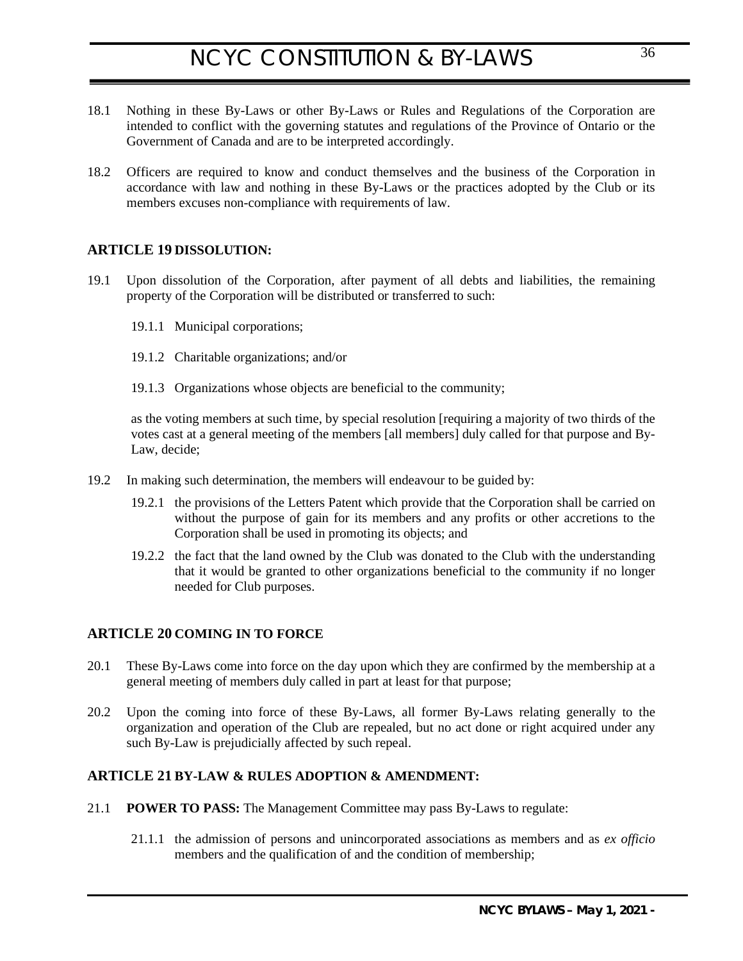- 18.1 Nothing in these By-Laws or other By-Laws or Rules and Regulations of the Corporation are intended to conflict with the governing statutes and regulations of the Province of Ontario or the Government of Canada and are to be interpreted accordingly.
- 18.2 Officers are required to know and conduct themselves and the business of the Corporation in accordance with law and nothing in these By-Laws or the practices adopted by the Club or its members excuses non-compliance with requirements of law.

## <span id="page-35-0"></span>**ARTICLE 19 DISSOLUTION:**

- 19.1 Upon dissolution of the Corporation, after payment of all debts and liabilities, the remaining property of the Corporation will be distributed or transferred to such:
	- 19.1.1 Municipal corporations;
	- 19.1.2 Charitable organizations; and/or
	- 19.1.3 Organizations whose objects are beneficial to the community;

as the voting members at such time, by special resolution [requiring a majority of two thirds of the votes cast at a general meeting of the members [all members] duly called for that purpose and By-Law, decide;

- 19.2 In making such determination, the members will endeavour to be guided by:
	- 19.2.1 the provisions of the Letters Patent which provide that the Corporation shall be carried on without the purpose of gain for its members and any profits or other accretions to the Corporation shall be used in promoting its objects; and
	- 19.2.2 the fact that the land owned by the Club was donated to the Club with the understanding that it would be granted to other organizations beneficial to the community if no longer needed for Club purposes.

## <span id="page-35-1"></span>**ARTICLE 20 COMING IN TO FORCE**

- 20.1 These By-Laws come into force on the day upon which they are confirmed by the membership at a general meeting of members duly called in part at least for that purpose;
- 20.2 Upon the coming into force of these By-Laws, all former By-Laws relating generally to the organization and operation of the Club are repealed, but no act done or right acquired under any such By-Law is prejudicially affected by such repeal.

### <span id="page-35-4"></span><span id="page-35-2"></span>**ARTICLE 21 BY-LAW & RULES ADOPTION & AMENDMENT:**

- <span id="page-35-3"></span>21.1 **POWER TO PASS:** The Management Committee may pass By-Laws to regulate:
	- 21.1.1 the admission of persons and unincorporated associations as members and as *ex officio* members and the qualification of and the condition of membership;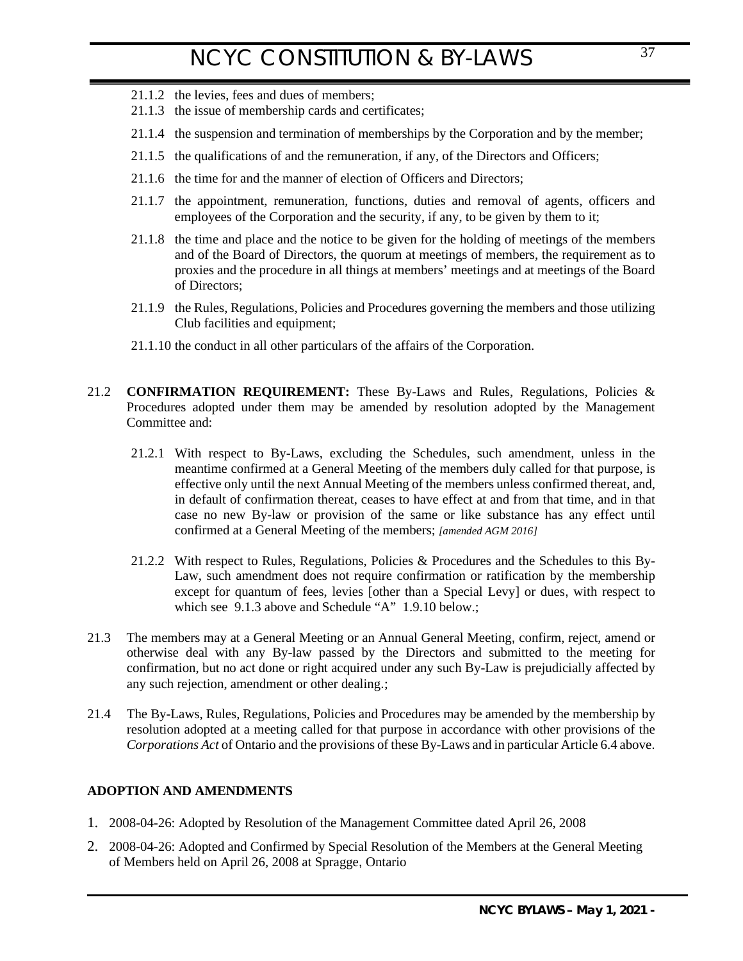- 21.1.2 the levies, fees and dues of members;
- 21.1.3 the issue of membership cards and certificates;
- 21.1.4 the suspension and termination of memberships by the Corporation and by the member;
- 21.1.5 the qualifications of and the remuneration, if any, of the Directors and Officers;
- 21.1.6 the time for and the manner of election of Officers and Directors;
- 21.1.7 the appointment, remuneration, functions, duties and removal of agents, officers and employees of the Corporation and the security, if any, to be given by them to it;
- 21.1.8 the time and place and the notice to be given for the holding of meetings of the members and of the Board of Directors, the quorum at meetings of members, the requirement as to proxies and the procedure in all things at members' meetings and at meetings of the Board of Directors;
- 21.1.9 the Rules, Regulations, Policies and Procedures governing the members and those utilizing Club facilities and equipment;
- <span id="page-36-0"></span>21.1.10 the conduct in all other particulars of the affairs of the Corporation.
- 21.2 **CONFIRMATION REQUIREMENT:** These By-Laws and Rules, Regulations, Policies & Procedures adopted under them may be amended by resolution adopted by the Management Committee and:
	- 21.2.1 With respect to By-Laws, excluding the Schedules, such amendment, unless in the meantime confirmed at a General Meeting of the members duly called for that purpose, is effective only until the next Annual Meeting of the members unless confirmed thereat, and, in default of confirmation thereat, ceases to have effect at and from that time, and in that case no new By-law or provision of the same or like substance has any effect until confirmed at a General Meeting of the members; *[amended AGM 2016]*
	- 21.2.2 With respect to Rules, Regulations, Policies & Procedures and the Schedules to this By-Law, such amendment does not require confirmation or ratification by the membership except for quantum of fees, levies [other than a Special Levy] or dues, with respect to which see [9.1.3 above](#page-27-3) and Schedule "A" [1.9.10 below.](#page-43-1);
- 21.3 The members may at a General Meeting or an Annual General Meeting, confirm, reject, amend or otherwise deal with any By-law passed by the Directors and submitted to the meeting for confirmation, but no act done or right acquired under any such By-Law is prejudicially affected by any such rejection, amendment or other dealing.;
- 21.4 The By-Laws, Rules, Regulations, Policies and Procedures may be amended by the membership by resolution adopted at a meeting called for that purpose in accordance with other provisions of the *Corporations Act* of Ontario and the provisions of these By-Laws and in particular Articl[e 6.4 above](#page-16-4).

### <span id="page-36-1"></span>**ADOPTION AND AMENDMENTS**

- 1. 2008-04-26: Adopted by Resolution of the Management Committee dated April 26, 2008
- 2. 2008-04-26: Adopted and Confirmed by Special Resolution of the Members at the General Meeting of Members held on April 26, 2008 at Spragge, Ontario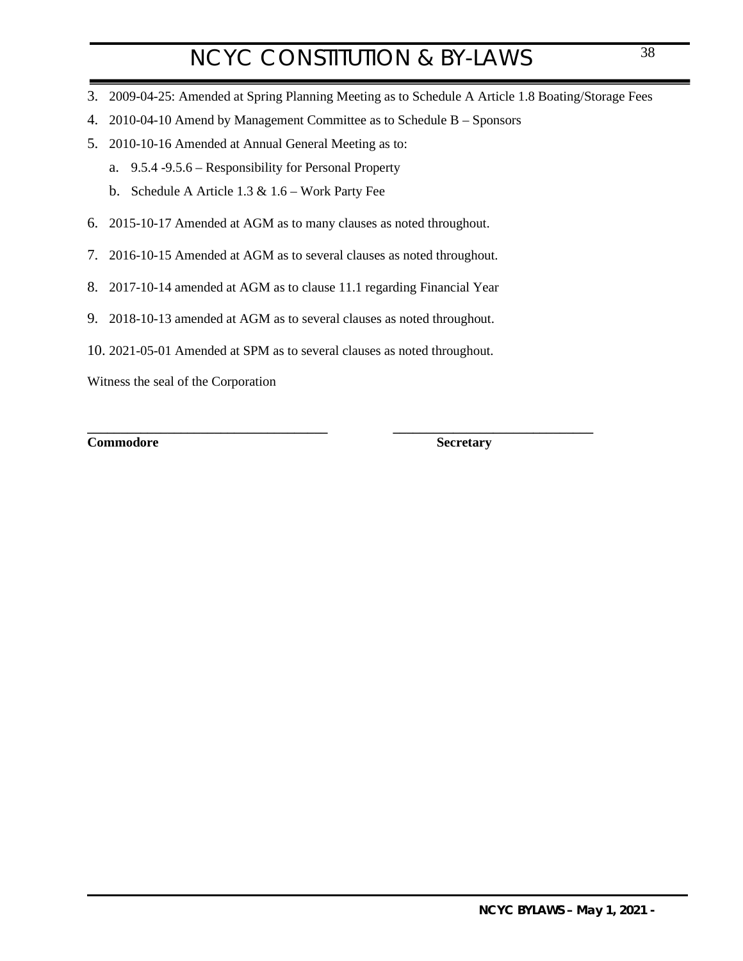- 3. 2009-04-25: Amended at Spring Planning Meeting as to Schedule A Article 1.8 Boating/Storage Fees
- 4. 2010-04-10 Amend by Management Committee as to Schedule B Sponsors
- 5. 2010-10-16 Amended at Annual General Meeting as to:
	- a. 9.5.4 -9.5.6 Responsibility for Personal Property
	- b. Schedule A Article  $1.3 \& 1.6$  Work Party Fee
- 6. 2015-10-17 Amended at AGM as to many clauses as noted throughout.
- 7. 2016-10-15 Amended at AGM as to several clauses as noted throughout.
- 8. 2017-10-14 amended at AGM as to clause 11.1 regarding Financial Year
- 9. 2018-10-13 amended at AGM as to several clauses as noted throughout.
- 10. 2021-05-01 Amended at SPM as to several clauses as noted throughout.

Witness the seal of the Corporation

**Commodore Secretary**

**\_\_\_\_\_\_\_\_\_\_\_\_\_\_\_\_\_\_\_\_\_\_\_\_\_\_\_\_\_\_\_\_\_\_\_\_ \_\_\_\_\_\_\_\_\_\_\_\_\_\_\_\_\_\_\_\_\_\_\_\_\_\_\_\_\_\_**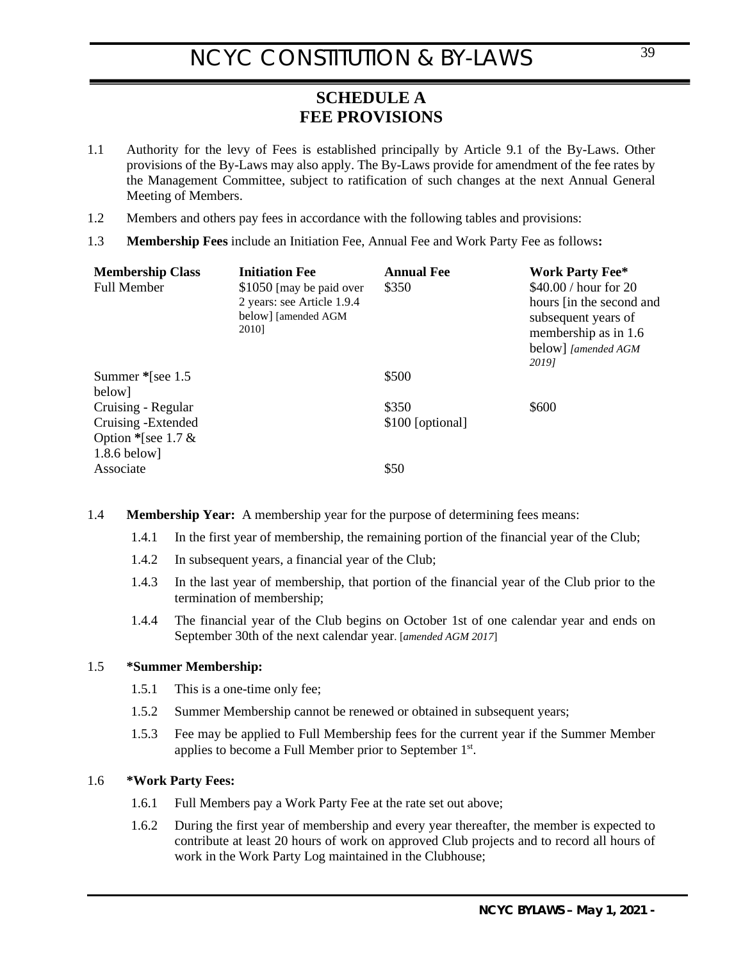## <span id="page-38-0"></span>**SCHEDULE A FEE PROVISIONS**

- <span id="page-38-1"></span>1.1 Authority for the levy of Fees is established principally by Article [9.1](#page-27-4) of the By-Laws. Other provisions of the By-Laws may also apply. The By-Laws provide for amendment of the fee rates by the Management Committee, subject to ratification of such changes at the next Annual General Meeting of Members.
- 1.2 Members and others pay fees in accordance with the following tables and provisions:
- <span id="page-38-3"></span>1.3 **Membership Fees** include an Initiation Fee, Annual Fee and Work Party Fee as follows**:**

| <b>Membership Class</b><br><b>Full Member</b>                                        | <b>Initiation Fee</b><br>\$1050 [may be paid over<br>2 years: see Article 1.9.4<br>below] [amended AGM<br>2010] | <b>Annual Fee</b><br>\$350 | <b>Work Party Fee*</b><br>\$40.00 / hour for 20<br>hours [in the second and<br>subsequent years of<br>membership as in 1.6<br>below] [amended AGM<br>20191 |
|--------------------------------------------------------------------------------------|-----------------------------------------------------------------------------------------------------------------|----------------------------|------------------------------------------------------------------------------------------------------------------------------------------------------------|
| Summer * [see 1.5]<br>below]                                                         |                                                                                                                 | \$500                      |                                                                                                                                                            |
| Cruising - Regular<br>Cruising - Extended<br>Option * [see 1.7 $&$<br>$1.8.6$ below] |                                                                                                                 | \$350<br>\$100 [optional]  | \$600                                                                                                                                                      |
| Associate                                                                            |                                                                                                                 | \$50                       |                                                                                                                                                            |

1.4 **Membership Year:** A membership year for the purpose of determining fees means:

- 1.4.1 In the first year of membership, the remaining portion of the financial year of the Club;
- 1.4.2 In subsequent years, a financial year of the Club;
- 1.4.3 In the last year of membership, that portion of the financial year of the Club prior to the termination of membership;
- 1.4.4 The financial year of the Club begins on October 1st of one calendar year and ends on September 30th of the next calendar year. [*amended AGM 2017*]

### 1.5 **\*Summer Membership:**

- 1.5.1 This is a one-time only fee;
- 1.5.2 Summer Membership cannot be renewed or obtained in subsequent years;
- 1.5.3 Fee may be applied to Full Membership fees for the current year if the Summer Member applies to become a Full Member prior to September 1st.

### <span id="page-38-2"></span>1.6 **\*Work Party Fees:**

- 1.6.1 Full Members pay a Work Party Fee at the rate set out above;
- 1.6.2 During the first year of membership and every year thereafter, the member is expected to contribute at least 20 hours of work on approved Club projects and to record all hours of work in the Work Party Log maintained in the Clubhouse;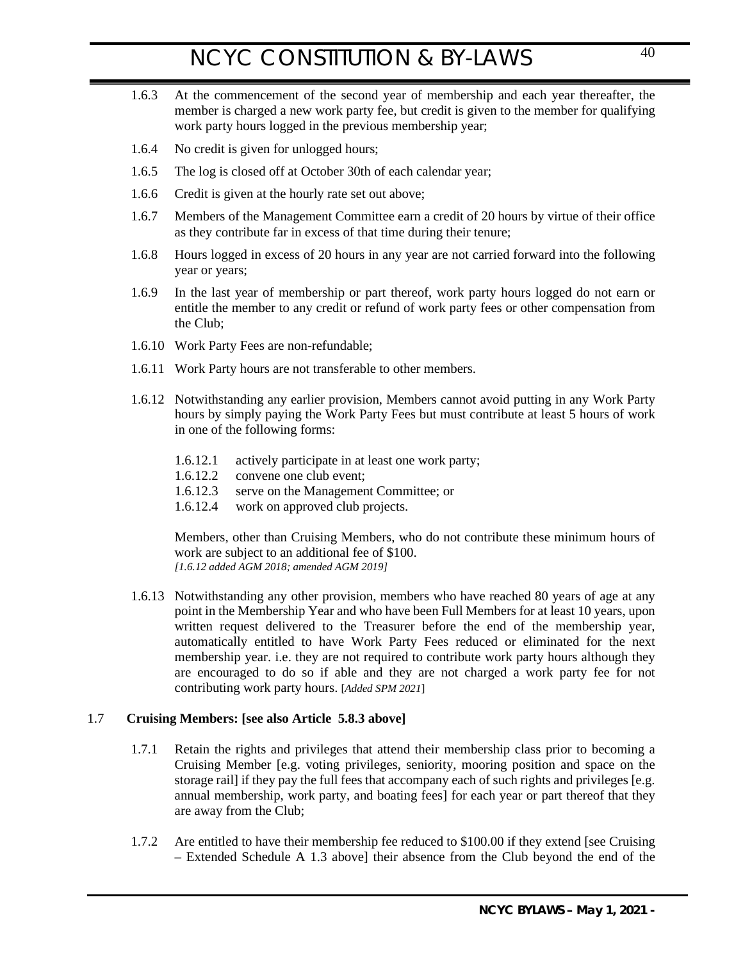- 1.6.3 At the commencement of the second year of membership and each year thereafter, the member is charged a new work party fee, but credit is given to the member for qualifying work party hours logged in the previous membership year;
- 1.6.4 No credit is given for unlogged hours;
- 1.6.5 The log is closed off at October 30th of each calendar year;
- <span id="page-39-1"></span>1.6.6 Credit is given at the hourly rate set out above;
- 1.6.7 Members of the Management Committee earn a credit of 20 hours by virtue of their office as they contribute far in excess of that time during their tenure;
- 1.6.8 Hours logged in excess of 20 hours in any year are not carried forward into the following year or years;
- 1.6.9 In the last year of membership or part thereof, work party hours logged do not earn or entitle the member to any credit or refund of work party fees or other compensation from the Club;
- 1.6.10 Work Party Fees are non-refundable;
- 1.6.11 Work Party hours are not transferable to other members.
- 1.6.12 Notwithstanding any earlier provision, Members cannot avoid putting in any Work Party hours by simply paying the Work Party Fees but must contribute at least 5 hours of work in one of the following forms:
	- 1.6.12.1 actively participate in at least one work party;<br>1.6.12.2 convene one club event;
	- convene one club event:
	- 1.6.12.3 serve on the Management Committee; or
	- 1.6.12.4 work on approved club projects.

Members, other than Cruising Members, who do not contribute these minimum hours of work are subject to an additional fee of \$100. *[1.6.12 added AGM 2018; amended AGM 2019]*

1.6.13 Notwithstanding any other provision, members who have reached 80 years of age at any point in the Membership Year and who have been Full Members for at least 10 years, upon written request delivered to the Treasurer before the end of the membership year, automatically entitled to have Work Party Fees reduced or eliminated for the next membership year. i.e. they are not required to contribute work party hours although they are encouraged to do so if able and they are not charged a work party fee for not contributing work party hours. [*Added SPM 2021*]

### <span id="page-39-0"></span>1.7 **Cruising Members: [see also Article [5.8.3 above\]](#page-12-1)**

- 1.7.1 Retain the rights and privileges that attend their membership class prior to becoming a Cruising Member [e.g. voting privileges, seniority, mooring position and space on the storage rail] if they pay the full fees that accompany each of such rights and privileges [e.g. annual membership, work party, and boating fees] for each year or part thereof that they are away from the Club;
- <span id="page-39-2"></span>1.7.2 Are entitled to have their membership fee reduced to \$100.00 if they extend [see Cruising – Extended Schedule A [1.3 above\]](#page-38-3) their absence from the Club beyond the end of the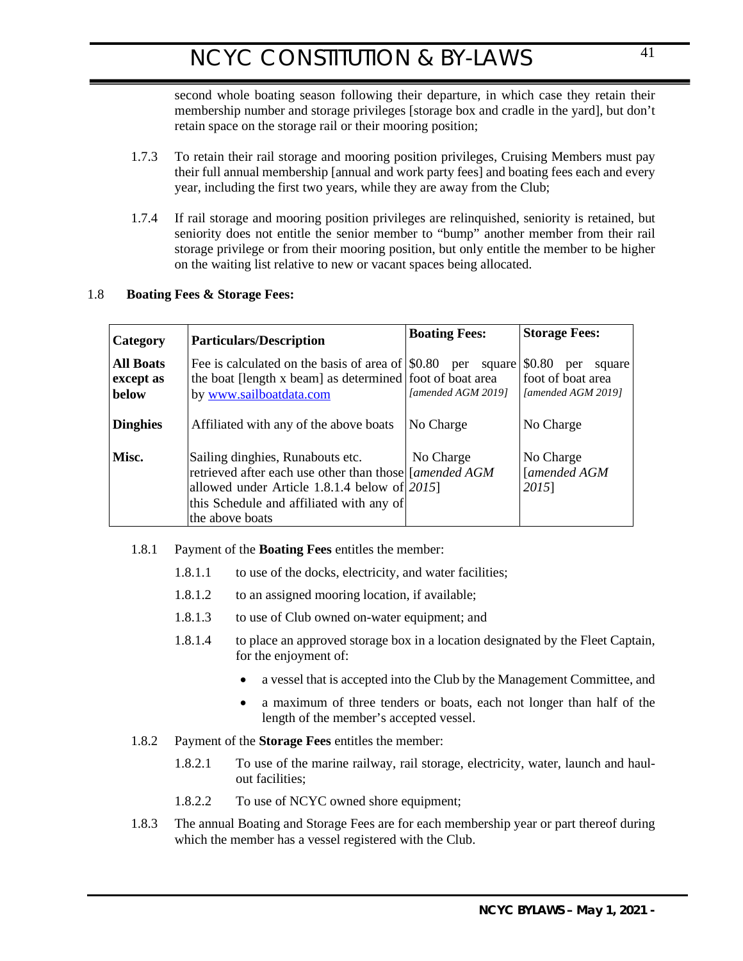second whole boating season following their departure, in which case they retain their membership number and storage privileges [storage box and cradle in the yard], but don't retain space on the storage rail or their mooring position;

- 1.7.3 To retain their rail storage and mooring position privileges, Cruising Members must pay their full annual membership [annual and work party fees] and boating fees each and every year, including the first two years, while they are away from the Club;
- 1.7.4 If rail storage and mooring position privileges are relinquished, seniority is retained, but seniority does not entitle the senior member to "bump" another member from their rail storage privilege or from their mooring position, but only entitle the member to be higher on the waiting list relative to new or vacant spaces being allocated.

## 1.8 **Boating Fees & Storage Fees:**

| Category                        | <b>Particulars/Description</b>                                                                                                                                                                              | <b>Boating Fees:</b>         | <b>Storage Fees:</b>                                               |
|---------------------------------|-------------------------------------------------------------------------------------------------------------------------------------------------------------------------------------------------------------|------------------------------|--------------------------------------------------------------------|
| All Boats<br>except as<br>below | Fee is calculated on the basis of area of $\mid $0.80$ per<br>the boat [length x beam] as determined foot of boat area<br>by www.sailboatdata.com                                                           | square<br>[amended AGM 2019] | \$0.80<br>per<br>square<br>foot of boat area<br>[amended AGM 2019] |
| <b>Dinghies</b>                 | Affiliated with any of the above boats                                                                                                                                                                      | No Charge                    | No Charge                                                          |
| Misc.                           | Sailing dinghies, Runabouts etc.<br>retrieved after each use other than those [[amended AGM<br>allowed under Article 1.8.1.4 below of $2015$<br>this Schedule and affiliated with any of<br>the above boats | No Charge                    | No Charge<br>[amended AGM<br>2015]                                 |

## 1.8.1 Payment of the **Boating Fees** entitles the member:

- 1.8.1.1 to use of the docks, electricity, and water facilities;
- 1.8.1.2 to an assigned mooring location, if available;
- 1.8.1.3 to use of Club owned on-water equipment; and
- <span id="page-40-0"></span>1.8.1.4 to place an approved storage box in a location designated by the Fleet Captain, for the enjoyment of:
	- a vessel that is accepted into the Club by the Management Committee, and
	- a maximum of three tenders or boats, each not longer than half of the length of the member's accepted vessel.
- 1.8.2 Payment of the **Storage Fees** entitles the member:
	- 1.8.2.1 To use of the marine railway, rail storage, electricity, water, launch and haulout facilities;
	- 1.8.2.2 To use of NCYC owned shore equipment;
- 1.8.3 The annual Boating and Storage Fees are for each membership year or part thereof during which the member has a vessel registered with the Club.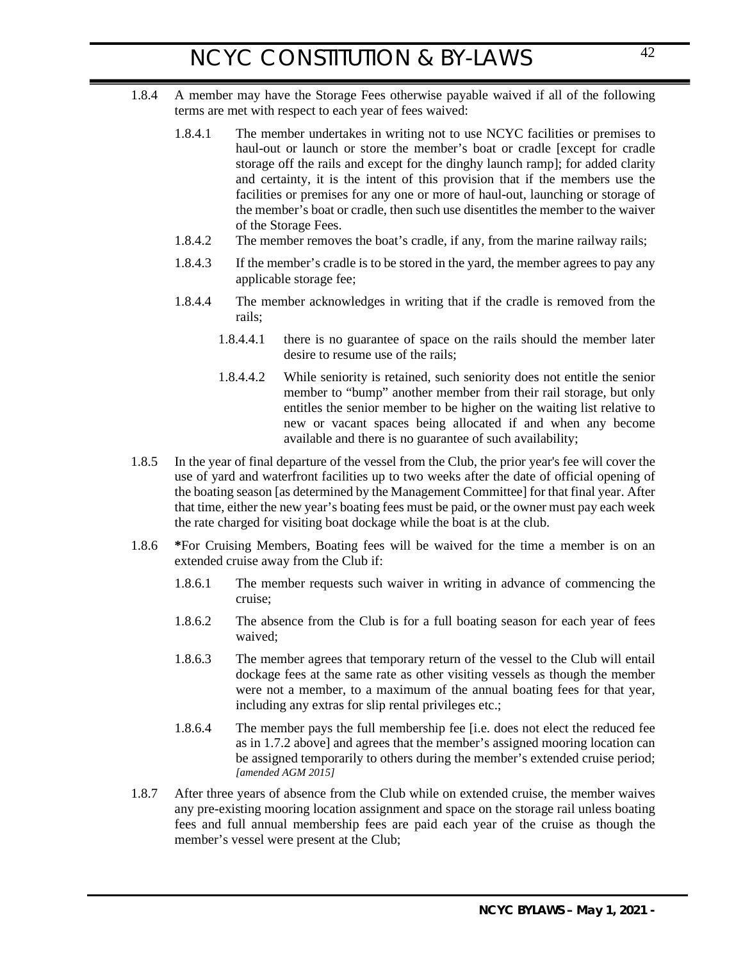- 1.8.4 A member may have the Storage Fees otherwise payable waived if all of the following terms are met with respect to each year of fees waived:
	- 1.8.4.1 The member undertakes in writing not to use NCYC facilities or premises to haul-out or launch or store the member's boat or cradle [except for cradle storage off the rails and except for the dinghy launch ramp]; for added clarity and certainty, it is the intent of this provision that if the members use the facilities or premises for any one or more of haul-out, launching or storage of the member's boat or cradle, then such use disentitles the member to the waiver of the Storage Fees.
	- 1.8.4.2 The member removes the boat's cradle, if any, from the marine railway rails;
	- 1.8.4.3 If the member's cradle is to be stored in the yard, the member agrees to pay any applicable storage fee;
	- 1.8.4.4 The member acknowledges in writing that if the cradle is removed from the rails;
		- 1.8.4.4.1 there is no guarantee of space on the rails should the member later desire to resume use of the rails;
		- 1.8.4.4.2 While seniority is retained, such seniority does not entitle the senior member to "bump" another member from their rail storage, but only entitles the senior member to be higher on the waiting list relative to new or vacant spaces being allocated if and when any become available and there is no guarantee of such availability;
- 1.8.5 In the year of final departure of the vessel from the Club, the prior year's fee will cover the use of yard and waterfront facilities up to two weeks after the date of official opening of the boating season [as determined by the Management Committee] for that final year. After that time, either the new year's boating fees must be paid, or the owner must pay each week the rate charged for visiting boat dockage while the boat is at the club.
- <span id="page-41-0"></span>1.8.6 **\***For Cruising Members, Boating fees will be waived for the time a member is on an extended cruise away from the Club if:
	- 1.8.6.1 The member requests such waiver in writing in advance of commencing the cruise;
	- 1.8.6.2 The absence from the Club is for a full boating season for each year of fees waived;
	- 1.8.6.3 The member agrees that temporary return of the vessel to the Club will entail dockage fees at the same rate as other visiting vessels as though the member were not a member, to a maximum of the annual boating fees for that year, including any extras for slip rental privileges etc.;
	- 1.8.6.4 The member pays the full membership fee [i.e. does not elect the reduced fee as in [1.7.2 above\]](#page-39-2) and agrees that the member's assigned mooring location can be assigned temporarily to others during the member's extended cruise period; *[amended AGM 2015]*
- 1.8.7 After three years of absence from the Club while on extended cruise, the member waives any pre-existing mooring location assignment and space on the storage rail unless boating fees and full annual membership fees are paid each year of the cruise as though the member's vessel were present at the Club;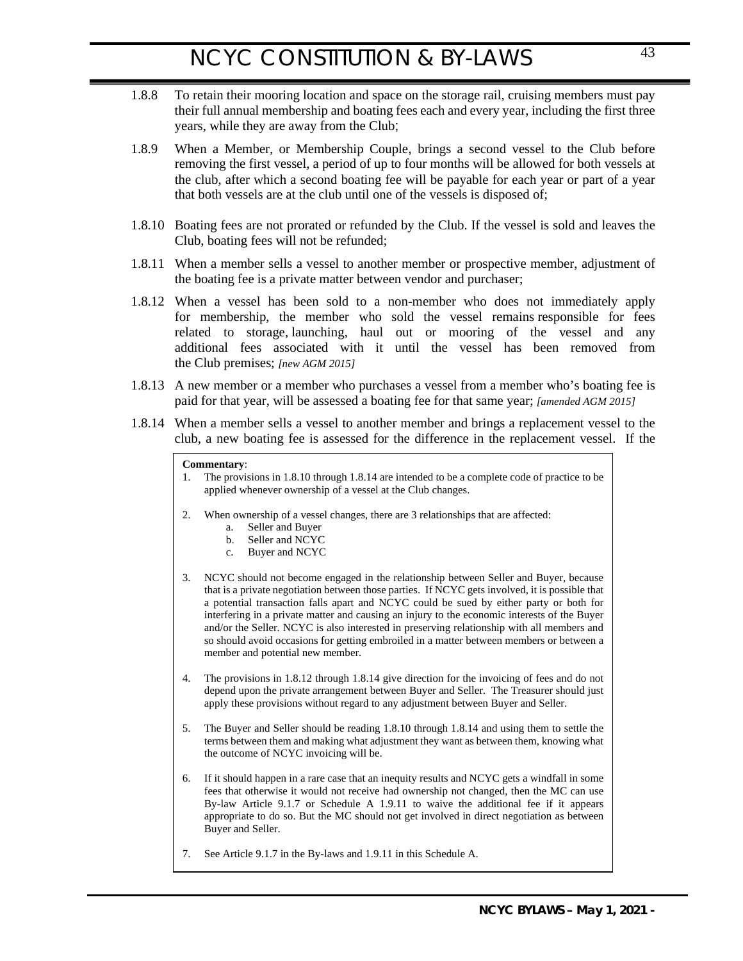- 1.8.8 To retain their mooring location and space on the storage rail, cruising members must pay their full annual membership and boating fees each and every year, including the first three years, while they are away from the Club;
- 1.8.9 When a Member, or Membership Couple, brings a second vessel to the Club before removing the first vessel, a period of up to four months will be allowed for both vessels at the club, after which a second boating fee will be payable for each year or part of a year that both vessels are at the club until one of the vessels is disposed of;
- 1.8.10 Boating fees are not prorated or refunded by the Club. If the vessel is sold and leaves the Club, boating fees will not be refunded;
- 1.8.11 When a member sells a vessel to another member or prospective member, adjustment of the boating fee is a private matter between vendor and purchaser;
- 1.8.12 When a vessel has been sold to a non-member who does not immediately apply for membership, the member who sold the vessel remains responsible for fees related to storage, launching, haul out or mooring of the vessel and any additional fees associated with it until the vessel has been removed from the Club premises; *[new AGM 2015]*
- 1.8.13 A new member or a member who purchases a vessel from a member who's boating fee is paid for that year, will be assessed a boating fee for that same year; *[amended AGM 2015]*
- 1.8.14 When a member sells a vessel to another member and brings a replacement vessel to the club, a new boating fee is assessed for the difference in the replacement vessel. If the

#### **Commentary**:

- 1. The provisions in 1.8.10 through 1.8.14 are intended to be a complete code of practice to be applied whenever ownership of a vessel at the Club changes.
- 2. When ownership of a vessel changes, there are 3 relationships that are affected:
	- a. Seller and Buyer
	- b. Seller and NCYC
	- c. Buyer and NCYC
- 3. NCYC should not become engaged in the relationship between Seller and Buyer, because that is a private negotiation between those parties. If NCYC gets involved, it is possible that a potential transaction falls apart and NCYC could be sued by either party or both for interfering in a private matter and causing an injury to the economic interests of the Buyer and/or the Seller. NCYC is also interested in preserving relationship with all members and so should avoid occasions for getting embroiled in a matter between members or between a member and potential new member.
- 4. The provisions in 1.8.12 through 1.8.14 give direction for the invoicing of fees and do not depend upon the private arrangement between Buyer and Seller. The Treasurer should just apply these provisions without regard to any adjustment between Buyer and Seller.
- 5. The Buyer and Seller should be reading 1.8.10 through 1.8.14 and using them to settle the terms between them and making what adjustment they want as between them, knowing what the outcome of NCYC invoicing will be.
- 6. If it should happen in a rare case that an inequity results and NCYC gets a windfall in some fees that otherwise it would not receive had ownership not changed, then the MC can use By-law Article 9.1.7 or Schedule A 1.9.11 to waive the additional fee if it appears appropriate to do so. But the MC should not get involved in direct negotiation as between Buyer and Seller.
- 7. See Article 9.1.7 in the By-laws and 1.9.11 in this Schedule A.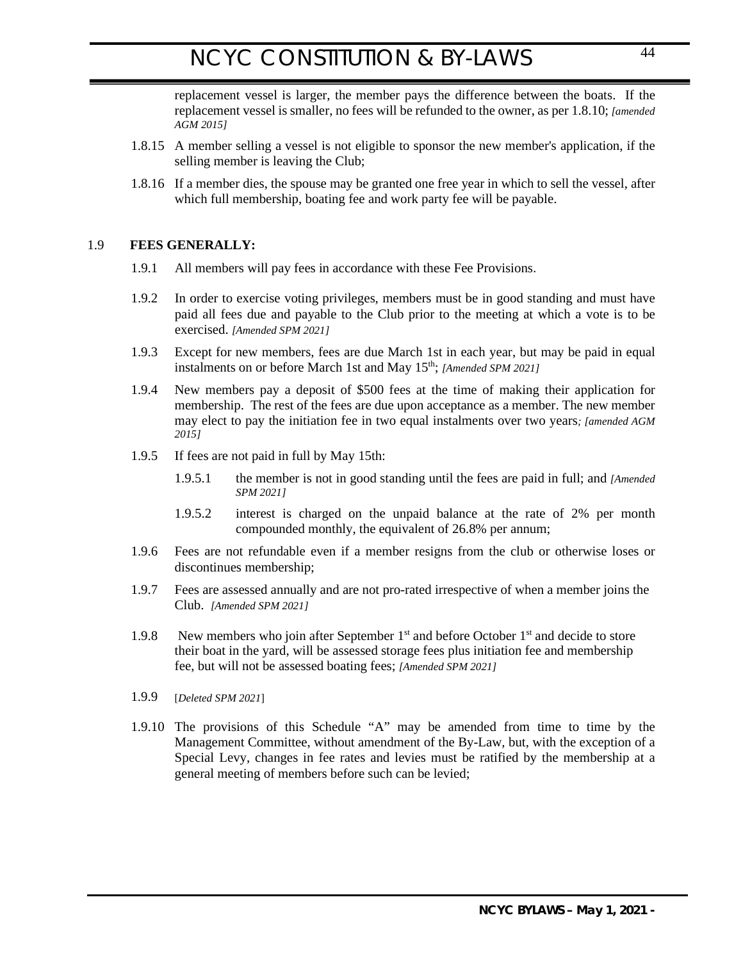replacement vessel is larger, the member pays the difference between the boats. If the replacement vessel is smaller, no fees will be refunded to the owner, as per 1.8.10; *[amended AGM 2015]*

- <span id="page-43-0"></span>1.8.15 A member selling a vessel is not eligible to sponsor the new member's application, if the selling member is leaving the Club;
- 1.8.16 If a member dies, the spouse may be granted one free year in which to sell the vessel, after which full membership, boating fee and work party fee will be payable.

### 1.9 **FEES GENERALLY:**

- 1.9.1 All members will pay fees in accordance with these Fee Provisions.
- 1.9.2 In order to exercise voting privileges, members must be in good standing and must have paid all fees due and payable to the Club prior to the meeting at which a vote is to be exercised. *[Amended SPM 2021]*
- 1.9.3 Except for new members, fees are due March 1st in each year, but may be paid in equal instalments on or before March 1st and May 15<sup>th</sup>; *[Amended SPM 2021]*
- <span id="page-43-2"></span>1.9.4 New members pay a deposit of \$500 fees at the time of making their application for membership. The rest of the fees are due upon acceptance as a member. The new member may elect to pay the initiation fee in two equal instalments over two years*; [amended AGM 2015]*
- 1.9.5 If fees are not paid in full by May 15th:
	- 1.9.5.1 the member is not in good standing until the fees are paid in full; and *[Amended SPM 2021]*
	- 1.9.5.2 interest is charged on the unpaid balance at the rate of 2% per month compounded monthly, the equivalent of 26.8% per annum;
- 1.9.6 Fees are not refundable even if a member resigns from the club or otherwise loses or discontinues membership;
- 1.9.7 Fees are assessed annually and are not pro-rated irrespective of when a member joins the Club. *[Amended SPM 2021]*
- 1.9.8 New members who join after September  $1<sup>st</sup>$  and before October  $1<sup>st</sup>$  and decide to store their boat in the yard, will be assessed storage fees plus initiation fee and membership fee, but will not be assessed boating fees; *[Amended SPM 2021]*
- 1.9.9 [*Deleted SPM 2021*]
- <span id="page-43-1"></span>1.9.10 The provisions of this Schedule "A" may be amended from time to time by the Management Committee, without amendment of the By-Law, but, with the exception of a Special Levy, changes in fee rates and levies must be ratified by the membership at a general meeting of members before such can be levied;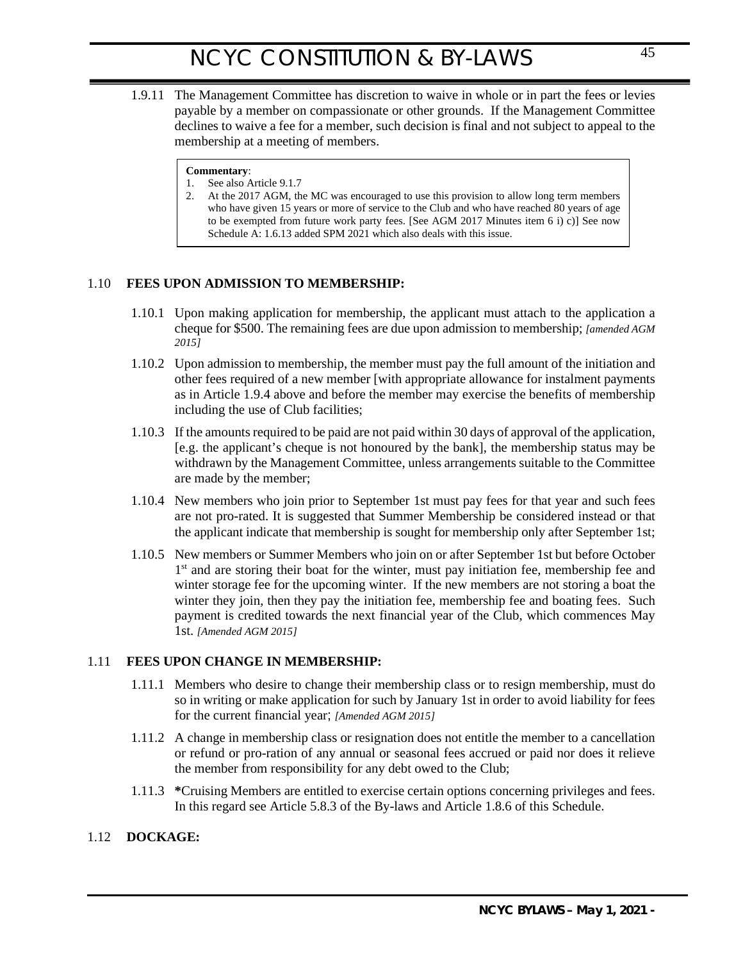1.9.11 The Management Committee has discretion to waive in whole or in part the fees or levies payable by a member on compassionate or other grounds. If the Management Committee declines to waive a fee for a member, such decision is final and not subject to appeal to the membership at a meeting of members.

#### **Commentary**:

- 1. See also Article 9.1.7
- <span id="page-44-0"></span>2. At the 2017 AGM, the MC was encouraged to use this provision to allow long term members who have given 15 years or more of service to the Club and who have reached 80 years of age to be exempted from future work party fees. [See AGM 2017 Minutes item 6 i) c)] See now Schedule A: 1.6.13 added SPM 2021 which also deals with this issue.

### 1.10 **FEES UPON ADMISSION TO MEMBERSHIP:**

- 1.10.1 Upon making application for membership, the applicant must attach to the application a cheque for \$500. The remaining fees are due upon admission to membership; *[amended AGM 2015]*
- 1.10.2 Upon admission to membership, the member must pay the full amount of the initiation and other fees required of a new member [with appropriate allowance for instalment payments as in Article [1.9.4 above](#page-43-2) and before the member may exercise the benefits of membership including the use of Club facilities;
- 1.10.3 If the amounts required to be paid are not paid within 30 days of approval of the application, [e.g. the applicant's cheque is not honoured by the bank], the membership status may be withdrawn by the Management Committee, unless arrangements suitable to the Committee are made by the member;
- 1.10.4 New members who join prior to September 1st must pay fees for that year and such fees are not pro-rated. It is suggested that Summer Membership be considered instead or that the applicant indicate that membership is sought for membership only after September 1st;
- 1.10.5 New members or Summer Members who join on or after September 1st but before October  $1<sup>st</sup>$  and are storing their boat for the winter, must pay initiation fee, membership fee and winter storage fee for the upcoming winter. If the new members are not storing a boat the winter they join, then they pay the initiation fee, membership fee and boating fees. Such payment is credited towards the next financial year of the Club, which commences May 1st. *[Amended AGM 2015]*

### 1.11 **FEES UPON CHANGE IN MEMBERSHIP:**

- <span id="page-44-1"></span>1.11.1 Members who desire to change their membership class or to resign membership, must do so in writing or make application for such by January 1st in order to avoid liability for fees for the current financial year; *[Amended AGM 2015]*
- 1.11.2 A change in membership class or resignation does not entitle the member to a cancellation or refund or pro-ration of any annual or seasonal fees accrued or paid nor does it relieve the member from responsibility for any debt owed to the Club;
- <span id="page-44-2"></span>1.11.3 **\***Cruising Members are entitled to exercise certain options concerning privileges and fees. In this regard see Article [5.8.3](#page-12-1) of the By-laws and Articl[e 1.8.6](#page-41-0) of this Schedule.

### 1.12 **DOCKAGE:**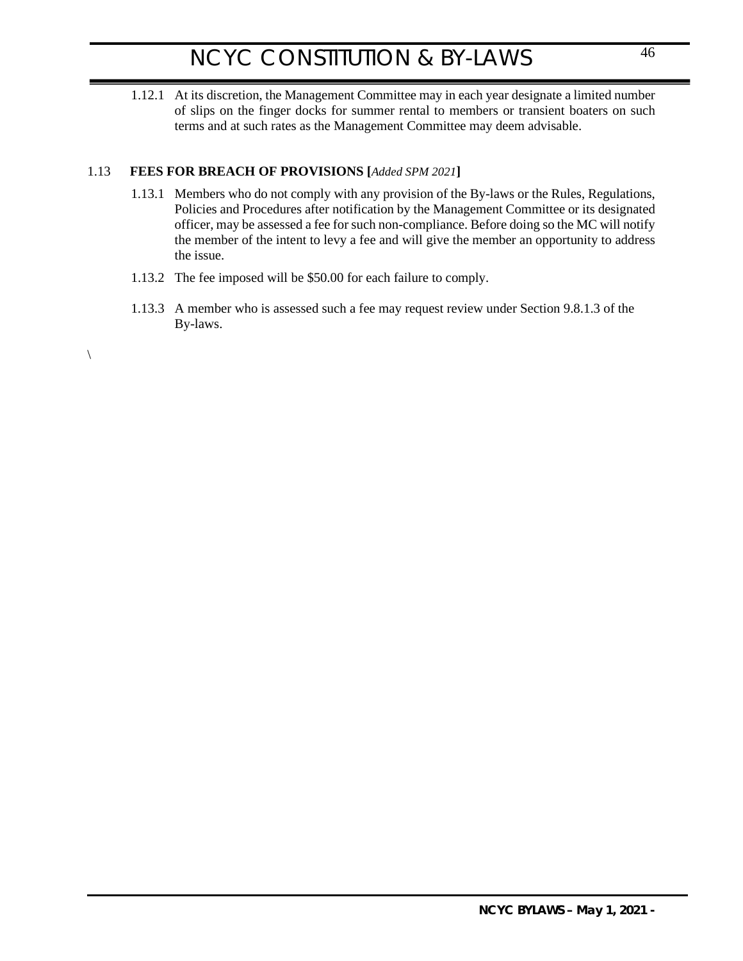1.12.1 At its discretion, the Management Committee may in each year designate a limited number of slips on the finger docks for summer rental to members or transient boaters on such terms and at such rates as the Management Committee may deem advisable.

## 1.13 **FEES FOR BREACH OF PROVISIONS [***Added SPM 2021***]**

 $\setminus$ 

- 1.13.1 Members who do not comply with any provision of the By-laws or the Rules, Regulations, Policies and Procedures after notification by the Management Committee or its designated officer, may be assessed a fee for such non-compliance. Before doing so the MC will notify the member of the intent to levy a fee and will give the member an opportunity to address the issue.
- 1.13.2 The fee imposed will be \$50.00 for each failure to comply.
- 1.13.3 A member who is assessed such a fee may request review under Section 9.8.1.3 of the By-laws.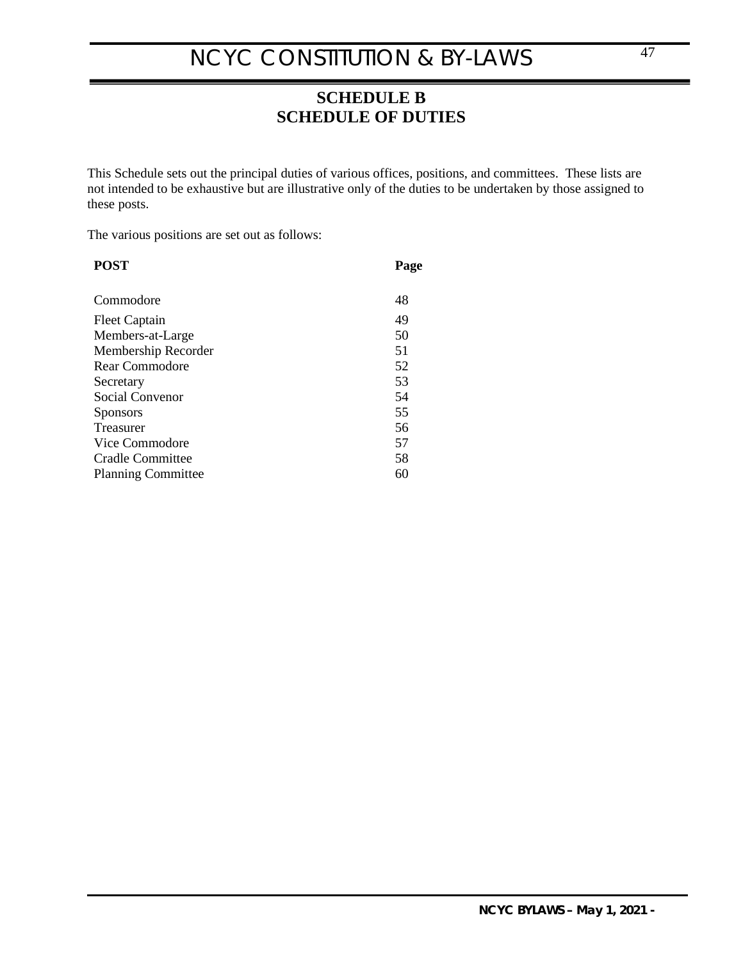## <span id="page-46-0"></span>**SCHEDULE B SCHEDULE OF DUTIES**

This Schedule sets out the principal duties of various offices, positions, and committees. These lists are not intended to be exhaustive but are illustrative only of the duties to be undertaken by those assigned to these posts.

The various positions are set out as follows:

| <b>POST</b>               | Page |
|---------------------------|------|
| Commodore                 | 48   |
| <b>Fleet Captain</b>      | 49   |
| Members-at-Large          | 50   |
| Membership Recorder       | 51   |
| Rear Commodore            | 52   |
| Secretary                 | 53   |
| Social Convenor           | 54   |
| <b>Sponsors</b>           | 55   |
| <b>Treasurer</b>          | 56   |
| Vice Commodore            | 57   |
| Cradle Committee          | 58   |
| <b>Planning Committee</b> | 60   |
|                           |      |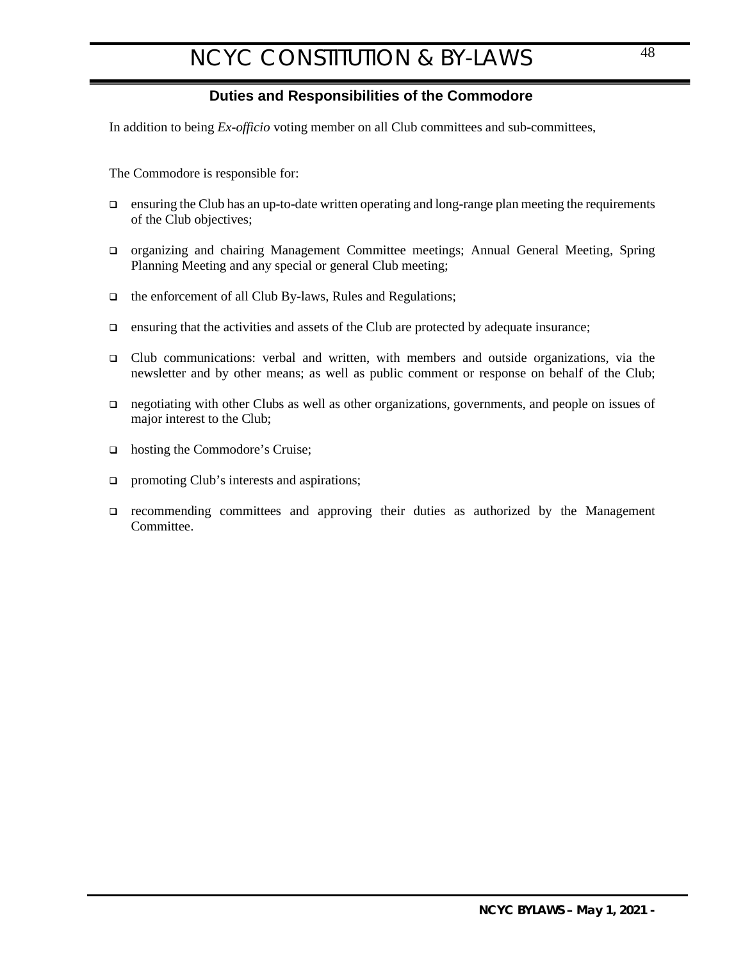## <span id="page-47-0"></span>**Duties and Responsibilities of the Commodore**

<span id="page-47-1"></span>In addition to being *Ex-officio* voting member on all Club committees and sub-committees,

The Commodore is responsible for:

- $\Box$  ensuring the Club has an up-to-date written operating and long-range plan meeting the requirements of the Club objectives;
- organizing and chairing Management Committee meetings; Annual General Meeting, Spring Planning Meeting and any special or general Club meeting;
- $\Box$  the enforcement of all Club By-laws, Rules and Regulations;
- $\Box$  ensuring that the activities and assets of the Club are protected by adequate insurance;
- Club communications: verbal and written, with members and outside organizations, via the newsletter and by other means; as well as public comment or response on behalf of the Club;
- negotiating with other Clubs as well as other organizations, governments, and people on issues of major interest to the Club;
- □ hosting the Commodore's Cruise;
- $\Box$  promoting Club's interests and aspirations;
- recommending committees and approving their duties as authorized by the Management Committee.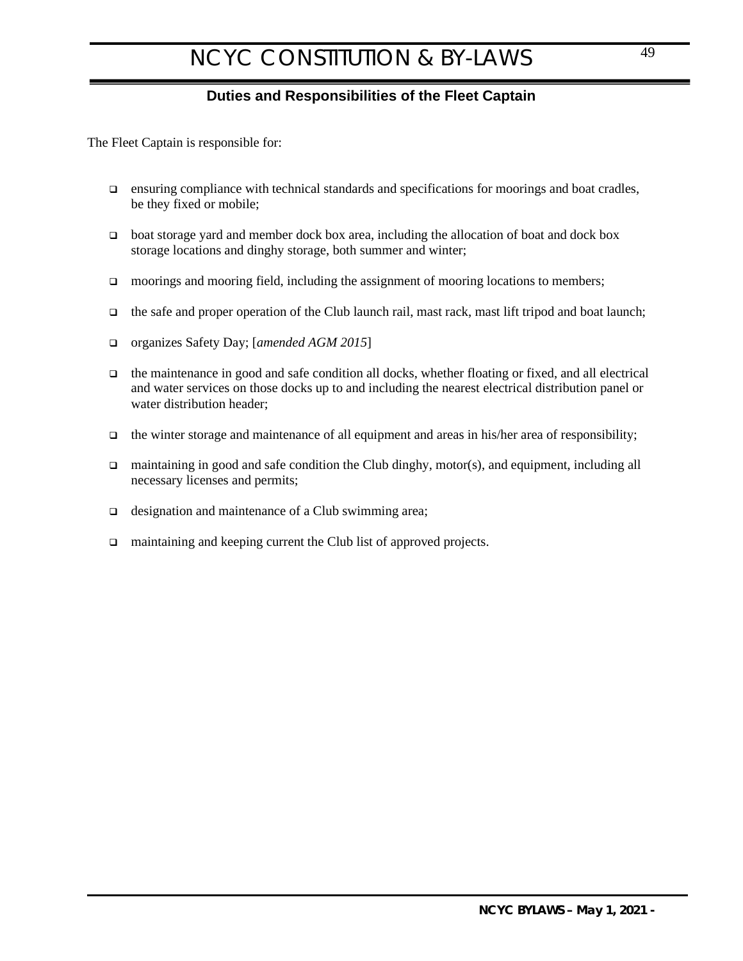## <span id="page-48-0"></span>**Duties and Responsibilities of the Fleet Captain**

<span id="page-48-1"></span>The Fleet Captain is responsible for:

- ensuring compliance with technical standards and specifications for moorings and boat cradles, be they fixed or mobile;
- boat storage yard and member dock box area, including the allocation of boat and dock box storage locations and dinghy storage, both summer and winter;
- $\Box$  moorings and mooring field, including the assignment of mooring locations to members;
- $\Box$  the safe and proper operation of the Club launch rail, mast rack, mast lift tripod and boat launch;
- organizes Safety Day; [*amended AGM 2015*]
- the maintenance in good and safe condition all docks, whether floating or fixed, and all electrical and water services on those docks up to and including the nearest electrical distribution panel or water distribution header;
- $\Box$  the winter storage and maintenance of all equipment and areas in his/her area of responsibility;
- maintaining in good and safe condition the Club dinghy, motor(s), and equipment, including all necessary licenses and permits;
- □ designation and maintenance of a Club swimming area;
- □ maintaining and keeping current the Club list of approved projects.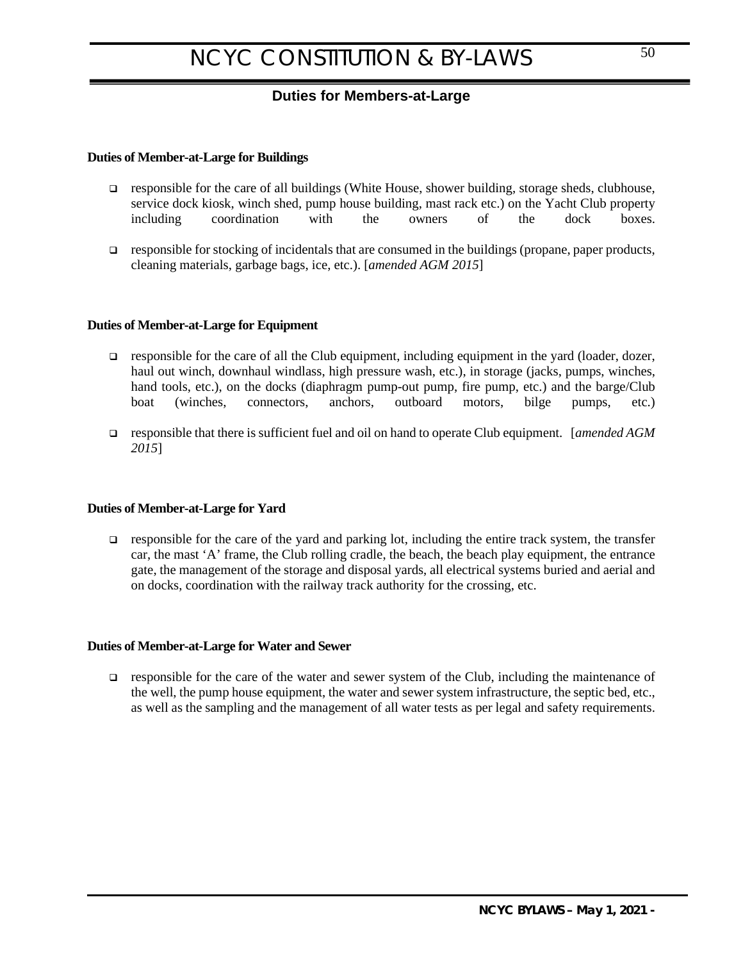## <span id="page-49-0"></span>**Duties for Members-at-Large**

### <span id="page-49-1"></span>**Duties of Member-at-Large for Buildings**

- responsible for the care of all buildings (White House, shower building, storage sheds, clubhouse, service dock kiosk, winch shed, pump house building, mast rack etc.) on the Yacht Club property including coordination with the owners of the dock boxes.
- responsible for stocking of incidentals that are consumed in the buildings (propane, paper products, cleaning materials, garbage bags, ice, etc.). [*amended AGM 2015*]

### **Duties of Member-at-Large for Equipment**

- responsible for the care of all the Club equipment, including equipment in the yard (loader, dozer, haul out winch, downhaul windlass, high pressure wash, etc.), in storage (jacks, pumps, winches, hand tools, etc.), on the docks (diaphragm pump-out pump, fire pump, etc.) and the barge/Club boat (winches, connectors, anchors, outboard motors, bilge pumps, etc.)
- responsible that there is sufficient fuel and oil on hand to operate Club equipment. [*amended AGM 2015*]

#### **Duties of Member-at-Large for Yard**

 $\Box$  responsible for the care of the yard and parking lot, including the entire track system, the transfer car, the mast 'A' frame, the Club rolling cradle, the beach, the beach play equipment, the entrance gate, the management of the storage and disposal yards, all electrical systems buried and aerial and on docks, coordination with the railway track authority for the crossing, etc.

#### **Duties of Member-at-Large for Water and Sewer**

responsible for the care of the water and sewer system of the Club, including the maintenance of the well, the pump house equipment, the water and sewer system infrastructure, the septic bed, etc., as well as the sampling and the management of all water tests as per legal and safety requirements.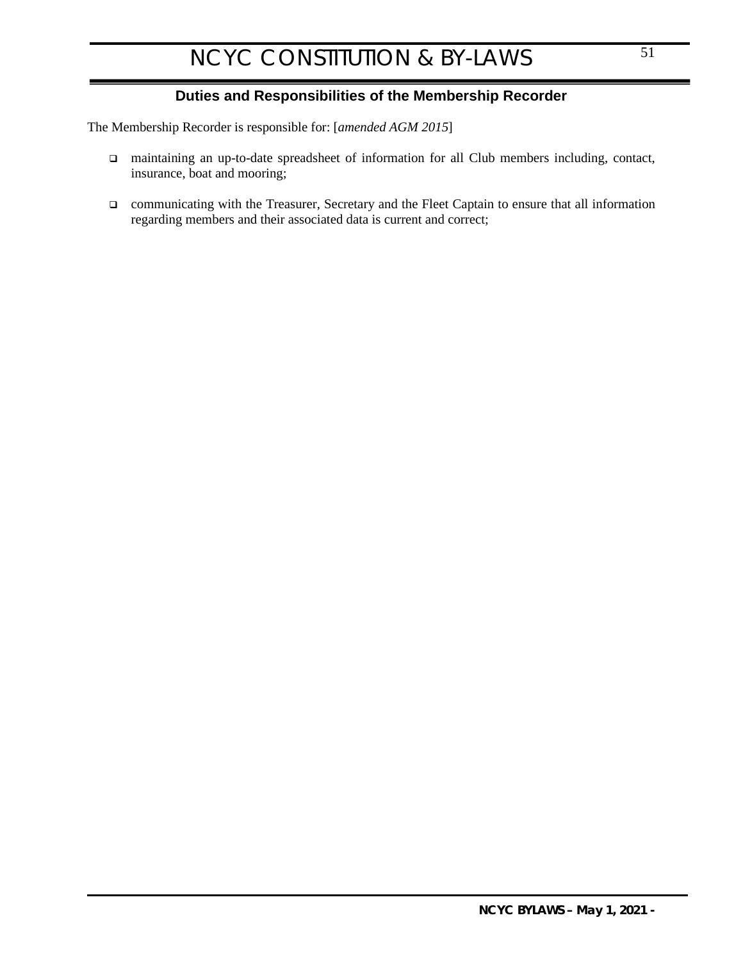## <span id="page-50-0"></span>**Duties and Responsibilities of the Membership Recorder**

<span id="page-50-1"></span>The Membership Recorder is responsible for: [*amended AGM 2015*]

- maintaining an up-to-date spreadsheet of information for all Club members including, contact, insurance, boat and mooring;
- communicating with the Treasurer, Secretary and the Fleet Captain to ensure that all information regarding members and their associated data is current and correct;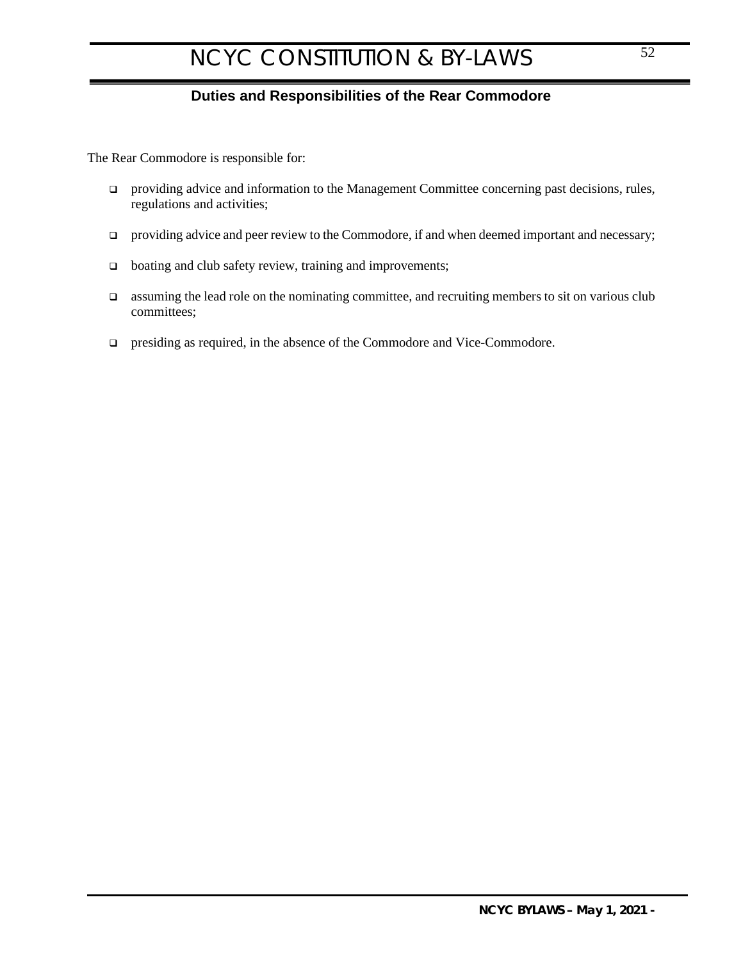## <span id="page-51-0"></span>**Duties and Responsibilities of the Rear Commodore**

<span id="page-51-1"></span>The Rear Commodore is responsible for:

- $\Box$  providing advice and information to the Management Committee concerning past decisions, rules, regulations and activities;
- $\Box$  providing advice and peer review to the Commodore, if and when deemed important and necessary;
- □ boating and club safety review, training and improvements;
- $\Box$  assuming the lead role on the nominating committee, and recruiting members to sit on various club committees;
- presiding as required, in the absence of the Commodore and Vice-Commodore.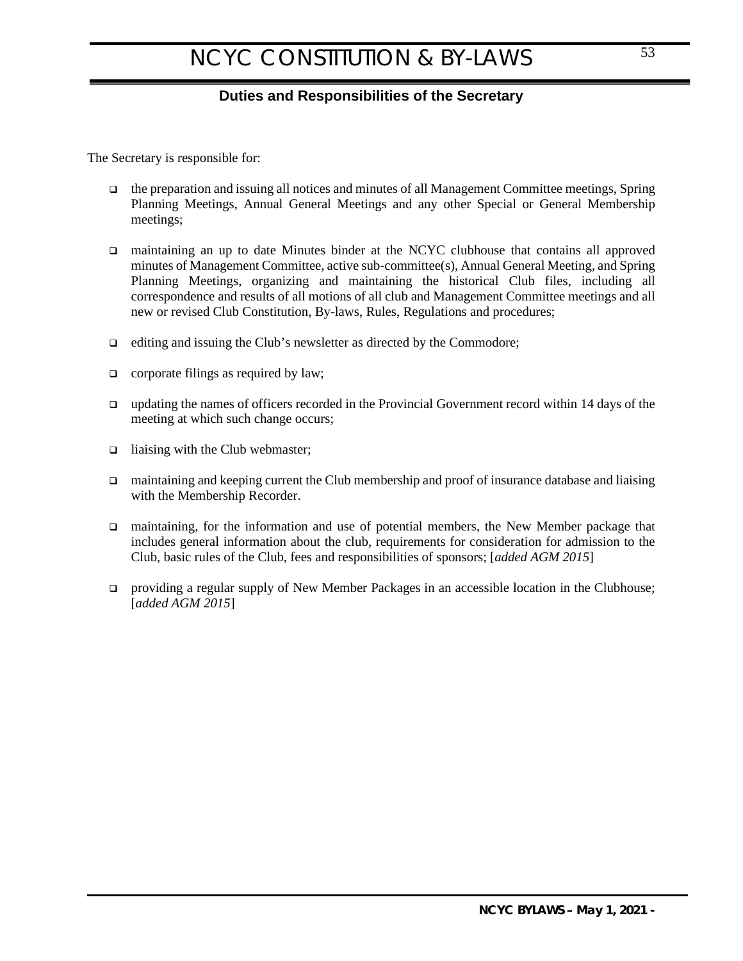## <span id="page-52-0"></span>**Duties and Responsibilities of the Secretary**

<span id="page-52-1"></span>The Secretary is responsible for:

- $\Box$  the preparation and issuing all notices and minutes of all Management Committee meetings, Spring Planning Meetings, Annual General Meetings and any other Special or General Membership meetings;
- maintaining an up to date Minutes binder at the NCYC clubhouse that contains all approved minutes of Management Committee, active sub-committee(s), Annual General Meeting, and Spring Planning Meetings, organizing and maintaining the historical Club files, including all correspondence and results of all motions of all club and Management Committee meetings and all new or revised Club Constitution, By-laws, Rules, Regulations and procedures;
- $\Box$  editing and issuing the Club's newsletter as directed by the Commodore;
- corporate filings as required by law;
- updating the names of officers recorded in the Provincial Government record within 14 days of the meeting at which such change occurs;
- $\Box$  liaising with the Club webmaster;
- □ maintaining and keeping current the Club membership and proof of insurance database and liaising with the Membership Recorder.
- maintaining, for the information and use of potential members, the New Member package that includes general information about the club, requirements for consideration for admission to the Club, basic rules of the Club, fees and responsibilities of sponsors; [*added AGM 2015*]
- providing a regular supply of New Member Packages in an accessible location in the Clubhouse; [*added AGM 2015*]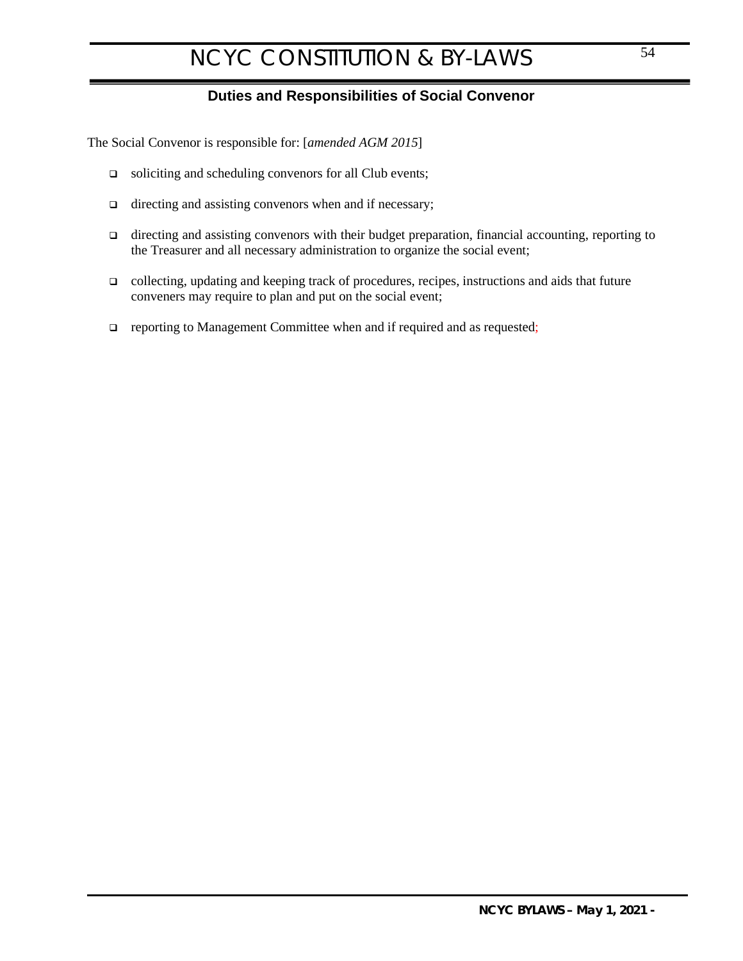## <span id="page-53-0"></span>**Duties and Responsibilities of Social Convenor**

<span id="page-53-1"></span>The Social Convenor is responsible for: [*amended AGM 2015*]

- soliciting and scheduling convenors for all Club events;
- $\Box$  directing and assisting convenors when and if necessary;
- $\Box$  directing and assisting convenors with their budget preparation, financial accounting, reporting to the Treasurer and all necessary administration to organize the social event;
- $\Box$  collecting, updating and keeping track of procedures, recipes, instructions and aids that future conveners may require to plan and put on the social event;
- **Q** reporting to Management Committee when and if required and as requested;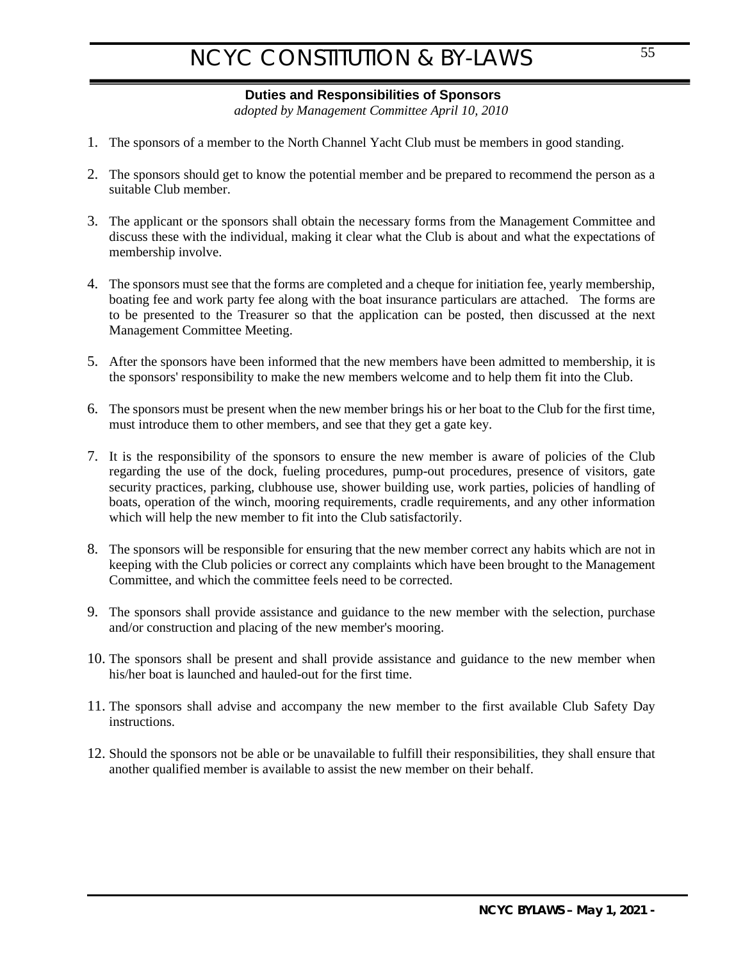## <span id="page-54-1"></span><span id="page-54-0"></span>**Duties and Responsibilities of Sponsors**

*adopted by Management Committee April 10, 2010*

- 1. The sponsors of a member to the North Channel Yacht Club must be members in good standing.
- 2. The sponsors should get to know the potential member and be prepared to recommend the person as a suitable Club member.
- 3. The applicant or the sponsors shall obtain the necessary forms from the Management Committee and discuss these with the individual, making it clear what the Club is about and what the expectations of membership involve.
- 4. The sponsors must see that the forms are completed and a cheque for initiation fee, yearly membership, boating fee and work party fee along with the boat insurance particulars are attached. The forms are to be presented to the Treasurer so that the application can be posted, then discussed at the next Management Committee Meeting.
- 5. After the sponsors have been informed that the new members have been admitted to membership, it is the sponsors' responsibility to make the new members welcome and to help them fit into the Club.
- 6. The sponsors must be present when the new member brings his or her boat to the Club for the first time, must introduce them to other members, and see that they get a gate key.
- 7. It is the responsibility of the sponsors to ensure the new member is aware of policies of the Club regarding the use of the dock, fueling procedures, pump-out procedures, presence of visitors, gate security practices, parking, clubhouse use, shower building use, work parties, policies of handling of boats, operation of the winch, mooring requirements, cradle requirements, and any other information which will help the new member to fit into the Club satisfactorily.
- 8. The sponsors will be responsible for ensuring that the new member correct any habits which are not in keeping with the Club policies or correct any complaints which have been brought to the Management Committee, and which the committee feels need to be corrected.
- 9. The sponsors shall provide assistance and guidance to the new member with the selection, purchase and/or construction and placing of the new member's mooring.
- 10. The sponsors shall be present and shall provide assistance and guidance to the new member when his/her boat is launched and hauled-out for the first time.
- 11. The sponsors shall advise and accompany the new member to the first available Club Safety Day instructions.
- 12. Should the sponsors not be able or be unavailable to fulfill their responsibilities, they shall ensure that another qualified member is available to assist the new member on their behalf.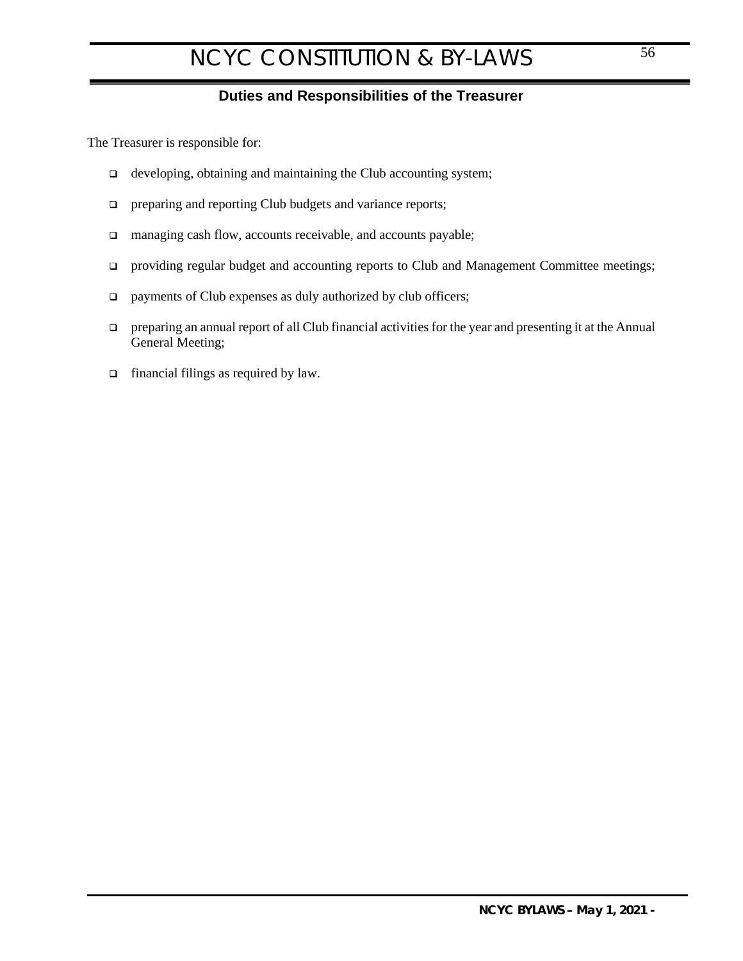## <span id="page-55-0"></span>**Duties and Responsibilities of the Treasurer**

<span id="page-55-1"></span>The Treasurer is responsible for:

- $\Box$  developing, obtaining and maintaining the Club accounting system;
- **preparing and reporting Club budgets and variance reports;**
- □ managing cash flow, accounts receivable, and accounts payable;
- providing regular budget and accounting reports to Club and Management Committee meetings;
- $\Box$  payments of Club expenses as duly authorized by club officers;
- preparing an annual report of all Club financial activities for the year and presenting it at the Annual General Meeting;
- □ financial filings as required by law.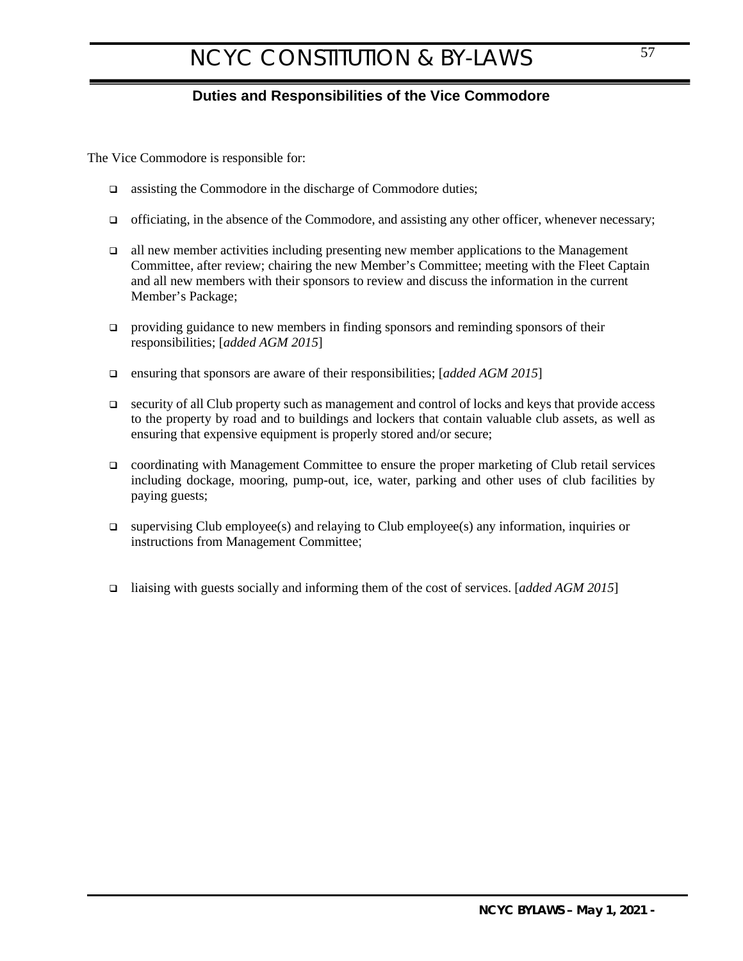## <span id="page-56-0"></span>**Duties and Responsibilities of the Vice Commodore**

<span id="page-56-1"></span>The Vice Commodore is responsible for:

- $\Box$  assisting the Commodore in the discharge of Commodore duties;
- $\Box$  officiating, in the absence of the Commodore, and assisting any other officer, whenever necessary;
- all new member activities including presenting new member applications to the Management Committee, after review; chairing the new Member's Committee; meeting with the Fleet Captain and all new members with their sponsors to review and discuss the information in the current Member's Package;
- $\Box$  providing guidance to new members in finding sponsors and reminding sponsors of their responsibilities; [*added AGM 2015*]
- ensuring that sponsors are aware of their responsibilities; [*added AGM 2015*]
- $\Box$  security of all Club property such as management and control of locks and keys that provide access to the property by road and to buildings and lockers that contain valuable club assets, as well as ensuring that expensive equipment is properly stored and/or secure;
- coordinating with Management Committee to ensure the proper marketing of Club retail services including dockage, mooring, pump-out, ice, water, parking and other uses of club facilities by paying guests;
- $\Box$  supervising Club employee(s) and relaying to Club employee(s) any information, inquiries or instructions from Management Committee;
- liaising with guests socially and informing them of the cost of services. [*added AGM 2015*]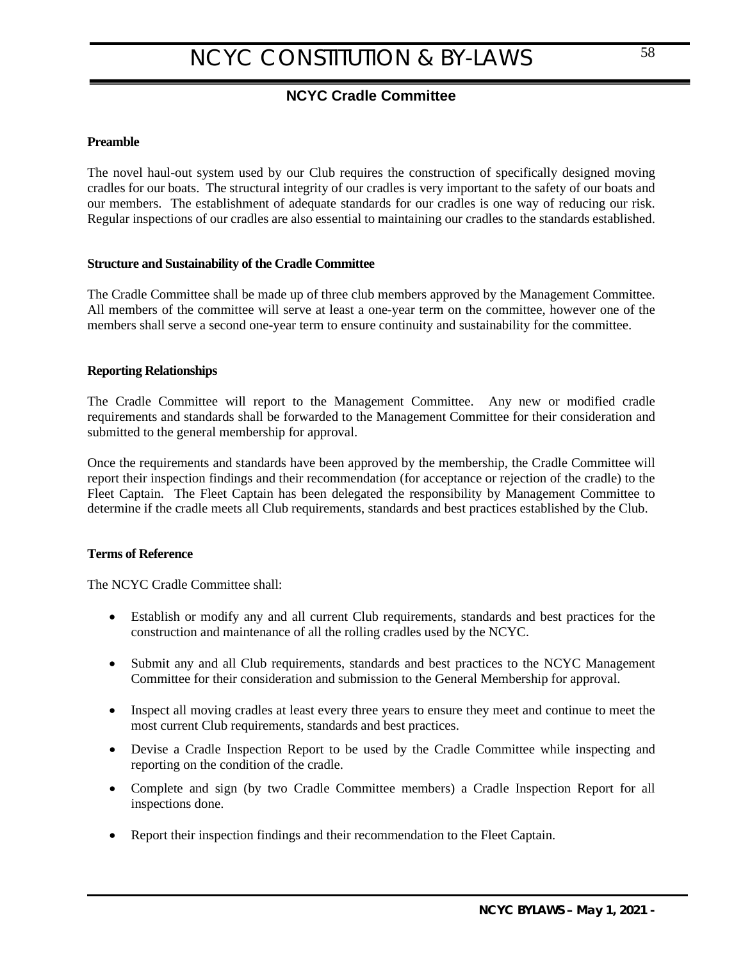## <span id="page-57-0"></span>**NCYC Cradle Committee**

### <span id="page-57-1"></span>**Preamble**

The novel haul-out system used by our Club requires the construction of specifically designed moving cradles for our boats. The structural integrity of our cradles is very important to the safety of our boats and our members. The establishment of adequate standards for our cradles is one way of reducing our risk. Regular inspections of our cradles are also essential to maintaining our cradles to the standards established.

### **Structure and Sustainability of the Cradle Committee**

The Cradle Committee shall be made up of three club members approved by the Management Committee. All members of the committee will serve at least a one-year term on the committee, however one of the members shall serve a second one-year term to ensure continuity and sustainability for the committee.

### **Reporting Relationships**

The Cradle Committee will report to the Management Committee. Any new or modified cradle requirements and standards shall be forwarded to the Management Committee for their consideration and submitted to the general membership for approval.

Once the requirements and standards have been approved by the membership, the Cradle Committee will report their inspection findings and their recommendation (for acceptance or rejection of the cradle) to the Fleet Captain. The Fleet Captain has been delegated the responsibility by Management Committee to determine if the cradle meets all Club requirements, standards and best practices established by the Club.

### **Terms of Reference**

The NCYC Cradle Committee shall:

- Establish or modify any and all current Club requirements, standards and best practices for the construction and maintenance of all the rolling cradles used by the NCYC.
- Submit any and all Club requirements, standards and best practices to the NCYC Management Committee for their consideration and submission to the General Membership for approval.
- Inspect all moving cradles at least every three years to ensure they meet and continue to meet the most current Club requirements, standards and best practices.
- Devise a Cradle Inspection Report to be used by the Cradle Committee while inspecting and reporting on the condition of the cradle.
- Complete and sign (by two Cradle Committee members) a Cradle Inspection Report for all inspections done.
- Report their inspection findings and their recommendation to the Fleet Captain.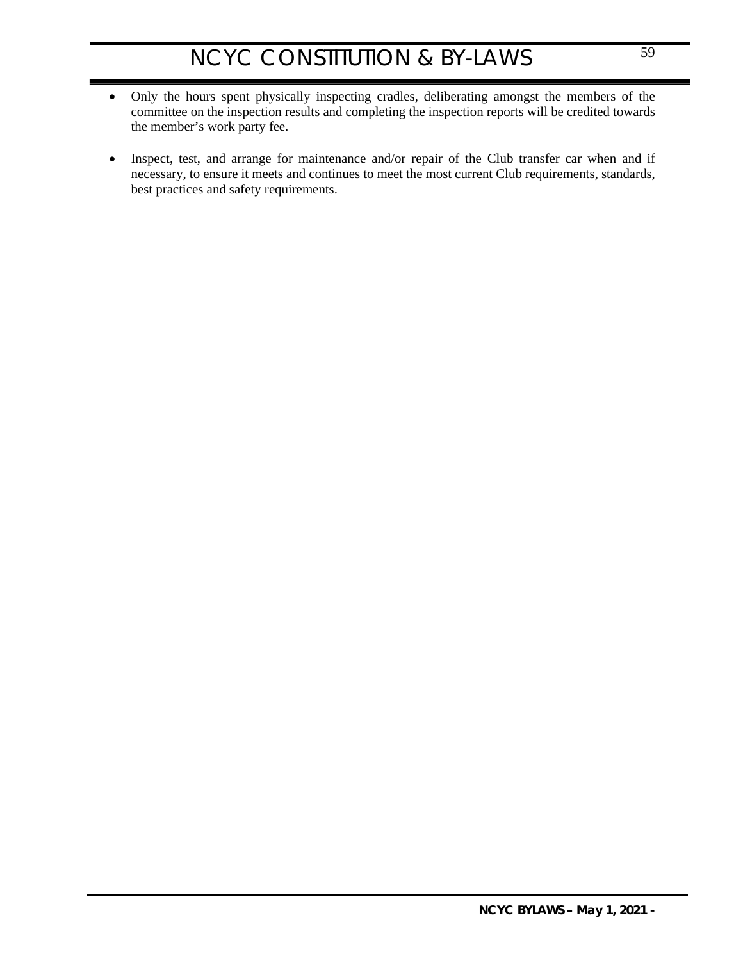- Only the hours spent physically inspecting cradles, deliberating amongst the members of the committee on the inspection results and completing the inspection reports will be credited towards the member's work party fee.
- Inspect, test, and arrange for maintenance and/or repair of the Club transfer car when and if necessary, to ensure it meets and continues to meet the most current Club requirements, standards, best practices and safety requirements.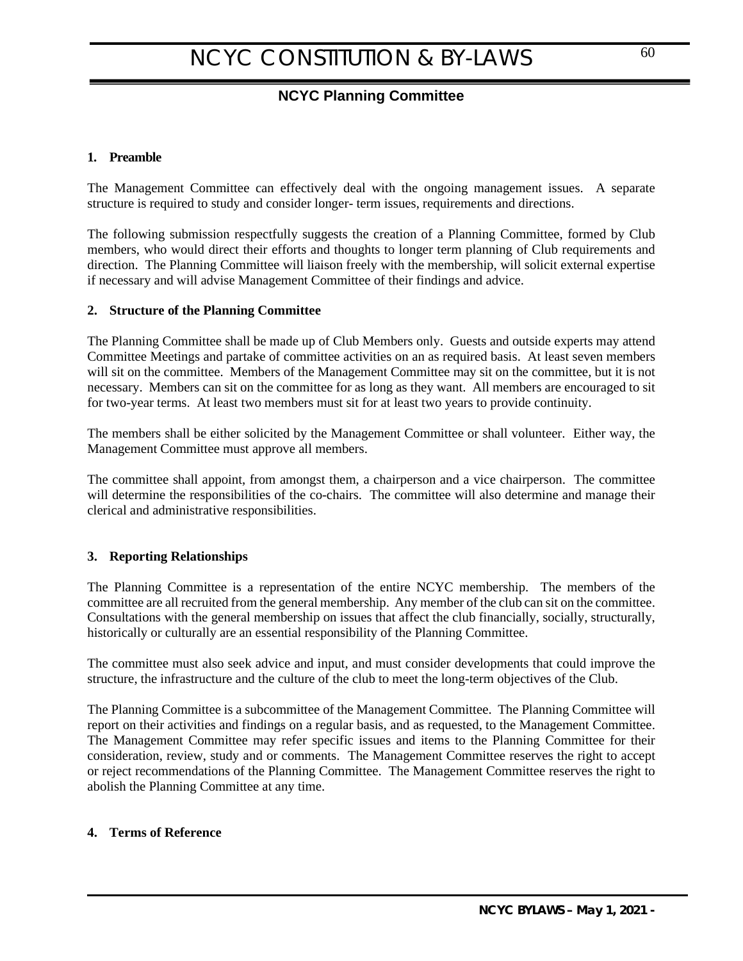## **NCYC Planning Committee**

### <span id="page-59-1"></span>**1. Preamble**

The Management Committee can effectively deal with the ongoing management issues. A separate structure is required to study and consider longer- term issues, requirements and directions.

The following submission respectfully suggests the creation of a Planning Committee, formed by Club members, who would direct their efforts and thoughts to longer term planning of Club requirements and direction. The Planning Committee will liaison freely with the membership, will solicit external expertise if necessary and will advise Management Committee of their findings and advice.

### **2. Structure of the Planning Committee**

The Planning Committee shall be made up of Club Members only. Guests and outside experts may attend Committee Meetings and partake of committee activities on an as required basis. At least seven members will sit on the committee. Members of the Management Committee may sit on the committee, but it is not necessary. Members can sit on the committee for as long as they want. All members are encouraged to sit for two-year terms. At least two members must sit for at least two years to provide continuity.

The members shall be either solicited by the Management Committee or shall volunteer. Either way, the Management Committee must approve all members.

The committee shall appoint, from amongst them, a chairperson and a vice chairperson. The committee will determine the responsibilities of the co-chairs. The committee will also determine and manage their clerical and administrative responsibilities.

#### **3. Reporting Relationships**

The Planning Committee is a representation of the entire NCYC membership. The members of the committee are all recruited from the general membership. Any member of the club can sit on the committee. Consultations with the general membership on issues that affect the club financially, socially, structurally, historically or culturally are an essential responsibility of the Planning Committee.

The committee must also seek advice and input, and must consider developments that could improve the structure, the infrastructure and the culture of the club to meet the long-term objectives of the Club.

The Planning Committee is a subcommittee of the Management Committee. The Planning Committee will report on their activities and findings on a regular basis, and as requested, to the Management Committee. The Management Committee may refer specific issues and items to the Planning Committee for their consideration, review, study and or comments. The Management Committee reserves the right to accept or reject recommendations of the Planning Committee. The Management Committee reserves the right to abolish the Planning Committee at any time.

#### **4. Terms of Reference**

<span id="page-59-0"></span>60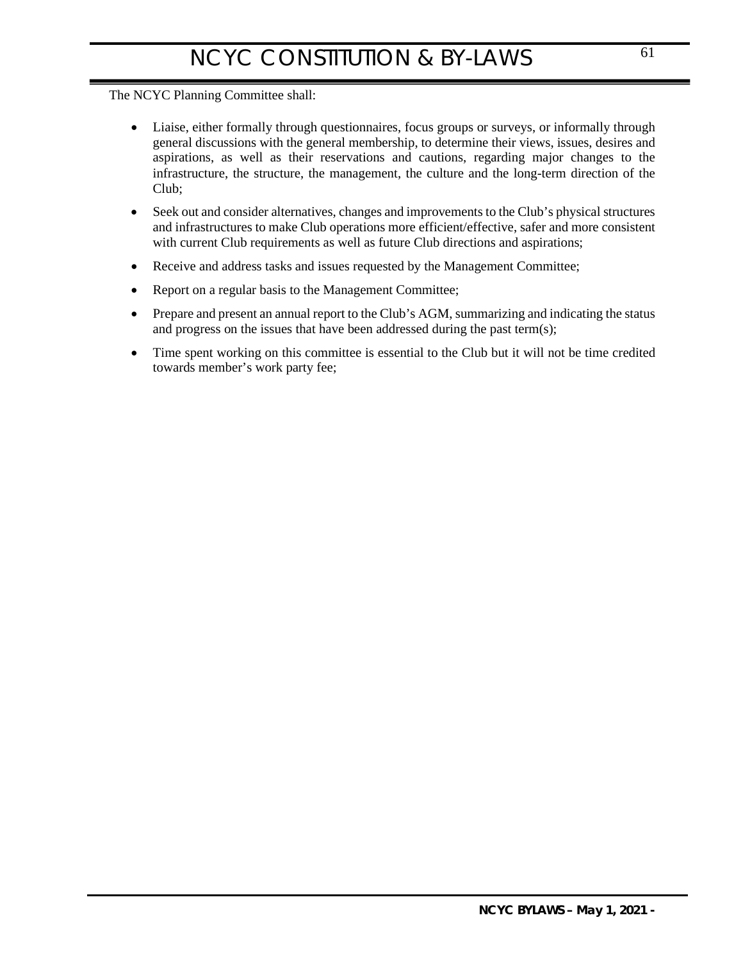## The NCYC Planning Committee shall:

- Liaise, either formally through questionnaires, focus groups or surveys, or informally through general discussions with the general membership, to determine their views, issues, desires and aspirations, as well as their reservations and cautions, regarding major changes to the infrastructure, the structure, the management, the culture and the long-term direction of the Club;
- Seek out and consider alternatives, changes and improvements to the Club's physical structures and infrastructures to make Club operations more efficient/effective, safer and more consistent with current Club requirements as well as future Club directions and aspirations;
- Receive and address tasks and issues requested by the Management Committee;
- Report on a regular basis to the Management Committee;
- Prepare and present an annual report to the Club's AGM, summarizing and indicating the status and progress on the issues that have been addressed during the past term(s);
- Time spent working on this committee is essential to the Club but it will not be time credited towards member's work party fee;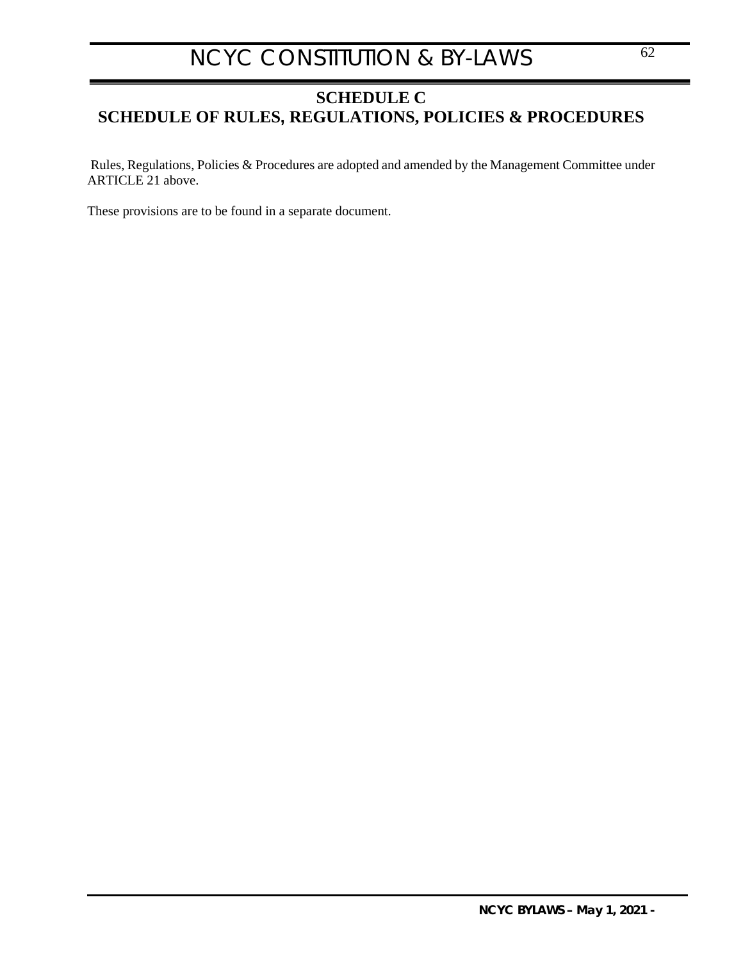## <span id="page-61-0"></span>**SCHEDULE C SCHEDULE OF RULES, REGULATIONS, POLICIES & PROCEDURES**

Rules, Regulations, Policies & Procedures are adopted and amended by the Management Committee under [ARTICLE 21 above.](#page-35-4)

These provisions are to be found in a separate document.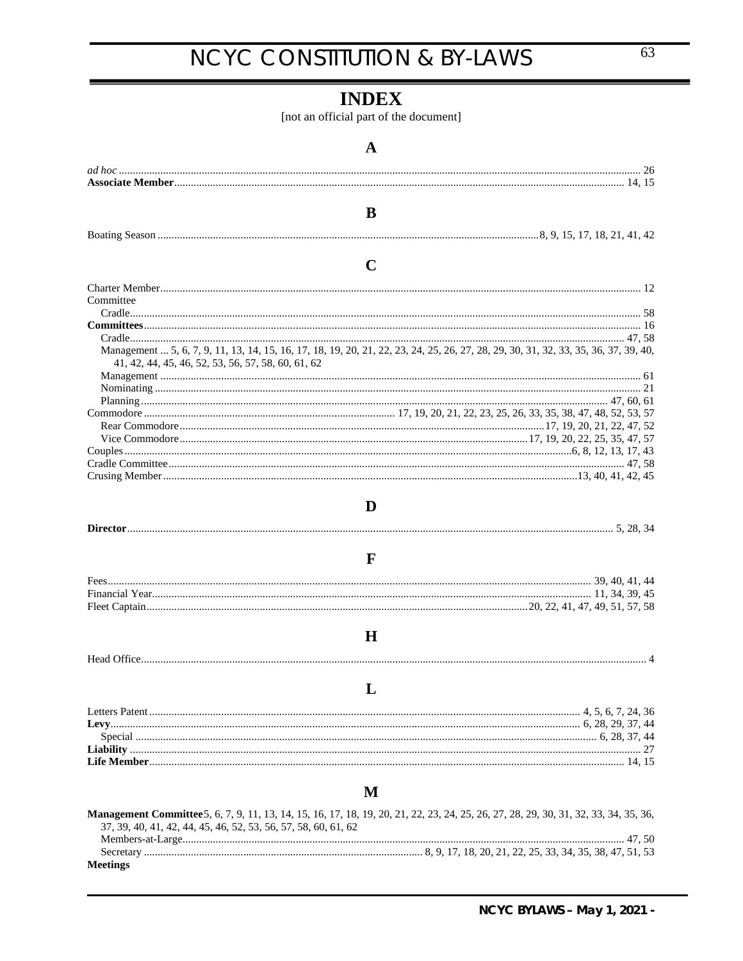## <span id="page-62-0"></span>**INDEX**

[not an official part of the document]

|                                                                | A                                                                                                                                    |
|----------------------------------------------------------------|--------------------------------------------------------------------------------------------------------------------------------------|
|                                                                |                                                                                                                                      |
|                                                                |                                                                                                                                      |
|                                                                |                                                                                                                                      |
|                                                                | B                                                                                                                                    |
|                                                                |                                                                                                                                      |
|                                                                |                                                                                                                                      |
|                                                                | C                                                                                                                                    |
|                                                                |                                                                                                                                      |
| Committee                                                      |                                                                                                                                      |
|                                                                |                                                                                                                                      |
|                                                                |                                                                                                                                      |
|                                                                |                                                                                                                                      |
|                                                                | Management  5, 6, 7, 9, 11, 13, 14, 15, 16, 17, 18, 19, 20, 21, 22, 23, 24, 25, 26, 27, 28, 29, 30, 31, 32, 33, 35, 36, 37, 39, 40,  |
| 41, 42, 44, 45, 46, 52, 53, 56, 57, 58, 60, 61, 62             |                                                                                                                                      |
|                                                                |                                                                                                                                      |
|                                                                |                                                                                                                                      |
|                                                                |                                                                                                                                      |
|                                                                |                                                                                                                                      |
|                                                                |                                                                                                                                      |
|                                                                |                                                                                                                                      |
|                                                                |                                                                                                                                      |
|                                                                |                                                                                                                                      |
|                                                                |                                                                                                                                      |
|                                                                | D                                                                                                                                    |
|                                                                |                                                                                                                                      |
|                                                                |                                                                                                                                      |
|                                                                | $\mathbf{F}$                                                                                                                         |
|                                                                |                                                                                                                                      |
|                                                                |                                                                                                                                      |
|                                                                |                                                                                                                                      |
|                                                                |                                                                                                                                      |
|                                                                | $\bf H$                                                                                                                              |
|                                                                |                                                                                                                                      |
|                                                                |                                                                                                                                      |
|                                                                |                                                                                                                                      |
|                                                                |                                                                                                                                      |
|                                                                |                                                                                                                                      |
|                                                                |                                                                                                                                      |
|                                                                |                                                                                                                                      |
|                                                                |                                                                                                                                      |
|                                                                |                                                                                                                                      |
|                                                                | M                                                                                                                                    |
|                                                                |                                                                                                                                      |
| 37, 39, 40, 41, 42, 44, 45, 46, 52, 53, 56, 57, 58, 60, 61, 62 | Management Committee 5, 6, 7, 9, 11, 13, 14, 15, 16, 17, 18, 19, 20, 21, 22, 23, 24, 25, 26, 27, 28, 29, 30, 31, 32, 33, 34, 35, 36, |
|                                                                |                                                                                                                                      |
|                                                                |                                                                                                                                      |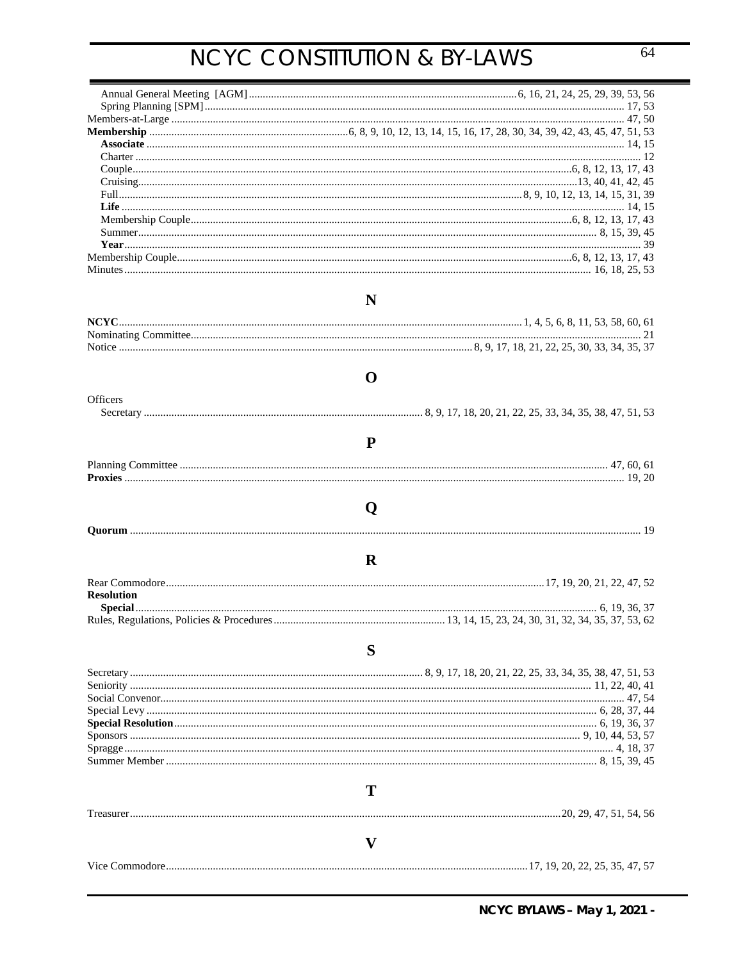|                   | N            |
|-------------------|--------------|
|                   |              |
|                   |              |
|                   |              |
|                   | O            |
| Officers          |              |
|                   |              |
|                   | P            |
|                   |              |
|                   |              |
|                   |              |
|                   | Q            |
|                   |              |
|                   | $\mathbf R$  |
|                   |              |
|                   |              |
| <b>Resolution</b> |              |
|                   |              |
|                   |              |
|                   | S            |
|                   |              |
|                   |              |
|                   |              |
|                   |              |
|                   |              |
|                   |              |
|                   |              |
|                   |              |
|                   |              |
|                   |              |
|                   | T            |
|                   |              |
|                   |              |
|                   | $\mathbf{V}$ |
|                   |              |